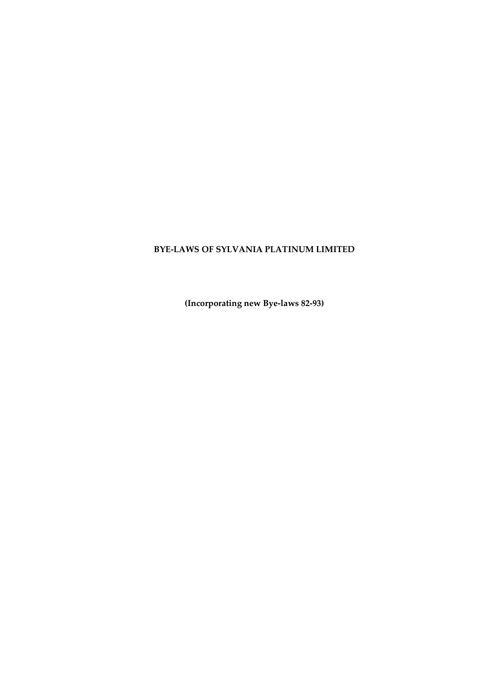# **BYE-LAWS OF SYLVANIA PLATINUM LIMITED**

**(Incorporating new Bye-laws 82-93)**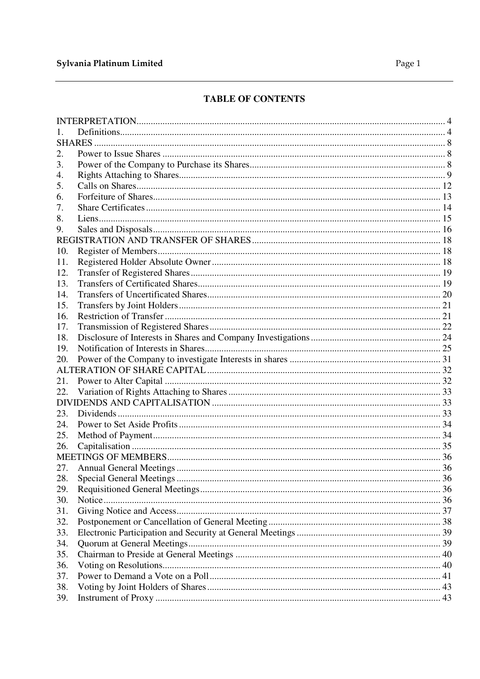# Sylvania Platinum Limited

# TABLE OF CONTENTS

| 2.  |  |
|-----|--|
| 3.  |  |
| 4.  |  |
| 5.  |  |
| 6.  |  |
| 7.  |  |
| 8.  |  |
| 9.  |  |
|     |  |
| 10. |  |
| 11. |  |
| 12. |  |
| 13. |  |
| 14. |  |
| 15. |  |
| 16. |  |
| 17. |  |
| 18. |  |
| 19. |  |
| 20. |  |
|     |  |
| 21. |  |
| 22. |  |
|     |  |
| 23. |  |
| 24. |  |
| 25. |  |
| 26. |  |
|     |  |
| 27. |  |
| 28. |  |
| 29. |  |
| 30. |  |
| 31. |  |
| 32. |  |
| 33. |  |
| 34. |  |
| 35. |  |
| 36. |  |
| 37. |  |
| 38. |  |
| 39. |  |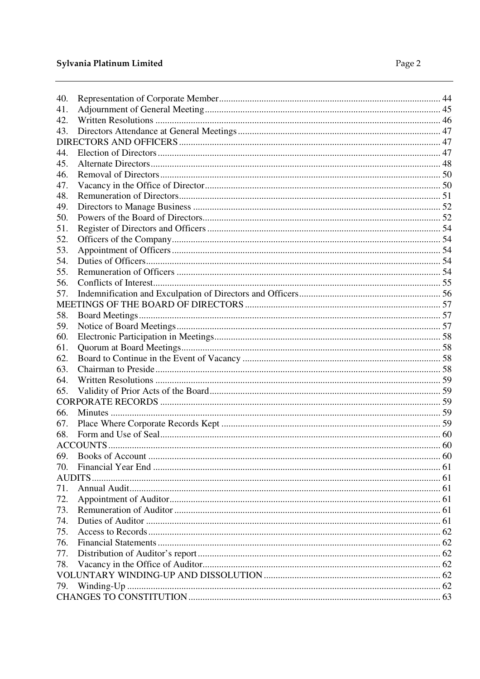| 40. |  |
|-----|--|
| 41. |  |
| 42. |  |
| 43. |  |
|     |  |
| 44. |  |
| 45. |  |
| 46. |  |
| 47. |  |
| 48. |  |
| 49. |  |
| 50. |  |
| 51. |  |
| 52. |  |
| 53. |  |
| 54. |  |
| 55. |  |
| 56. |  |
| 57. |  |
|     |  |
| 58. |  |
| 59. |  |
| 60. |  |
| 61. |  |
| 62. |  |
| 63. |  |
| 64. |  |
| 65. |  |
|     |  |
| 66. |  |
| 67. |  |
| 68. |  |
|     |  |
| 69. |  |
| 70. |  |
|     |  |
| 71. |  |
| 72. |  |
| 73. |  |
| 74. |  |
| 75. |  |
| 76. |  |
| 77. |  |
| 78. |  |
|     |  |
| 79. |  |
|     |  |
|     |  |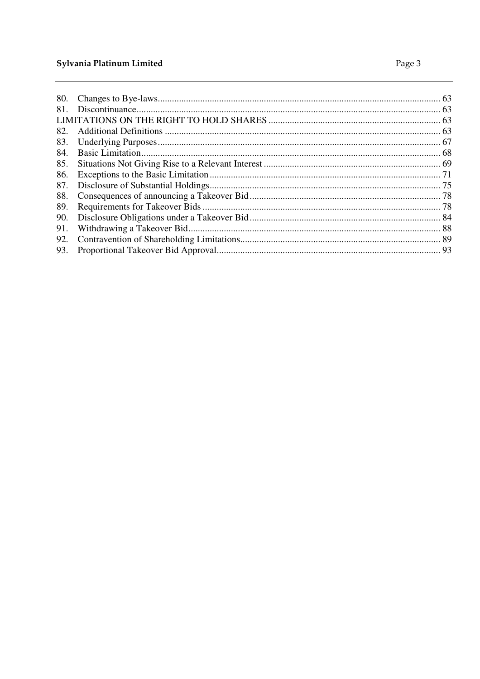# Sylvania Platinum Limited

| 80. |  |
|-----|--|
|     |  |
| 81. |  |
|     |  |
| 82. |  |
| 83. |  |
| 84. |  |
| 85. |  |
| 86. |  |
| 87. |  |
| 88. |  |
| 89. |  |
| 90. |  |
| 91. |  |
| 92. |  |
| 93. |  |
|     |  |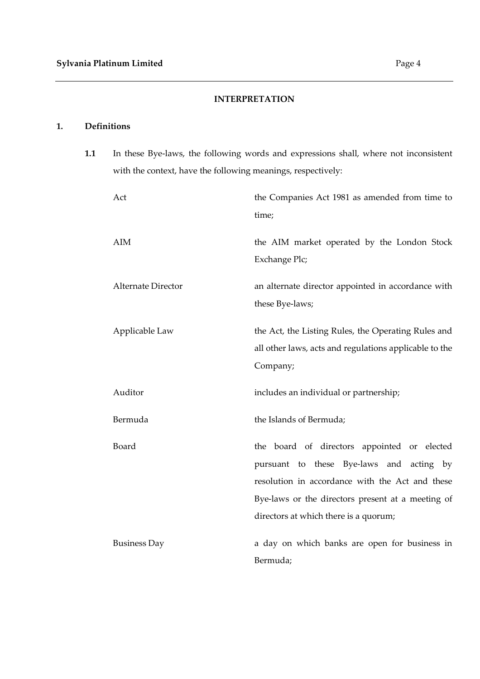# **INTERPRETATION**

# **1. Definitions**

**1.1** In these Bye-laws, the following words and expressions shall, where not inconsistent with the context, have the following meanings, respectively:

| Act                 | the Companies Act 1981 as amended from time to<br>time;                                                                                                                                                                                  |
|---------------------|------------------------------------------------------------------------------------------------------------------------------------------------------------------------------------------------------------------------------------------|
| AIM                 | the AIM market operated by the London Stock<br>Exchange Plc;                                                                                                                                                                             |
| Alternate Director  | an alternate director appointed in accordance with<br>these Bye-laws;                                                                                                                                                                    |
| Applicable Law      | the Act, the Listing Rules, the Operating Rules and<br>all other laws, acts and regulations applicable to the<br>Company;                                                                                                                |
| Auditor             | includes an individual or partnership;                                                                                                                                                                                                   |
| Bermuda             | the Islands of Bermuda;                                                                                                                                                                                                                  |
| Board               | the board of directors appointed or elected<br>pursuant to these Bye-laws and acting by<br>resolution in accordance with the Act and these<br>Bye-laws or the directors present at a meeting of<br>directors at which there is a quorum; |
| <b>Business Day</b> | a day on which banks are open for business in<br>Bermuda;                                                                                                                                                                                |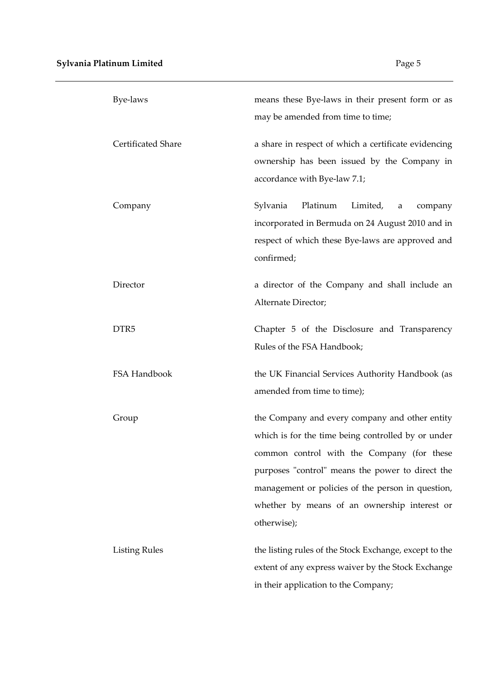| Bye-laws                  | means these Bye-laws in their present form or as<br>may be amended from time to time;                                                                                                                                                                                                                                      |
|---------------------------|----------------------------------------------------------------------------------------------------------------------------------------------------------------------------------------------------------------------------------------------------------------------------------------------------------------------------|
| <b>Certificated Share</b> | a share in respect of which a certificate evidencing<br>ownership has been issued by the Company in<br>accordance with Bye-law 7.1;                                                                                                                                                                                        |
| Company                   | Sylvania<br>Platinum<br>Limited,<br>company<br>a<br>incorporated in Bermuda on 24 August 2010 and in<br>respect of which these Bye-laws are approved and<br>confirmed;                                                                                                                                                     |
| Director                  | a director of the Company and shall include an<br>Alternate Director;                                                                                                                                                                                                                                                      |
| DTR <sub>5</sub>          | Chapter 5 of the Disclosure and Transparency<br>Rules of the FSA Handbook;                                                                                                                                                                                                                                                 |
| FSA Handbook              | the UK Financial Services Authority Handbook (as<br>amended from time to time);                                                                                                                                                                                                                                            |
| Group                     | the Company and every company and other entity<br>which is for the time being controlled by or under<br>common control with the Company (for these<br>purposes "control" means the power to direct the<br>management or policies of the person in question,<br>whether by means of an ownership interest or<br>otherwise); |
| <b>Listing Rules</b>      | the listing rules of the Stock Exchange, except to the<br>extent of any express waiver by the Stock Exchange<br>in their application to the Company;                                                                                                                                                                       |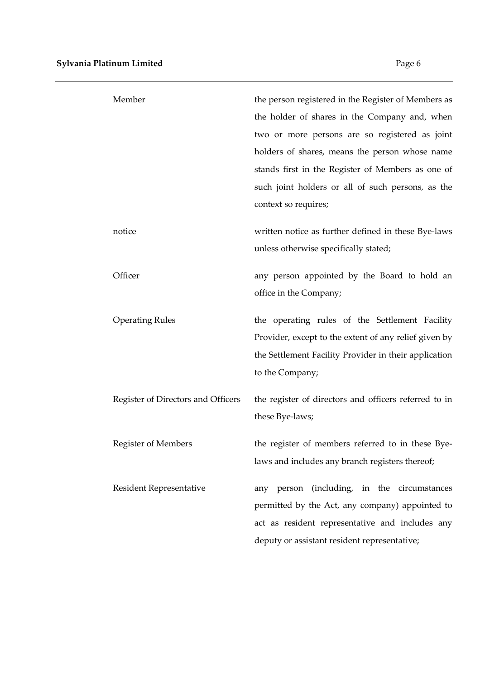| Member                             | the person registered in the Register of Members as<br>the holder of shares in the Company and, when<br>two or more persons are so registered as joint<br>holders of shares, means the person whose name<br>stands first in the Register of Members as one of<br>such joint holders or all of such persons, as the<br>context so requires; |
|------------------------------------|--------------------------------------------------------------------------------------------------------------------------------------------------------------------------------------------------------------------------------------------------------------------------------------------------------------------------------------------|
| notice                             | written notice as further defined in these Bye-laws<br>unless otherwise specifically stated;                                                                                                                                                                                                                                               |
| Officer                            | any person appointed by the Board to hold an<br>office in the Company;                                                                                                                                                                                                                                                                     |
| <b>Operating Rules</b>             | the operating rules of the Settlement Facility<br>Provider, except to the extent of any relief given by<br>the Settlement Facility Provider in their application<br>to the Company;                                                                                                                                                        |
| Register of Directors and Officers | the register of directors and officers referred to in<br>these Bye-laws;                                                                                                                                                                                                                                                                   |
| <b>Register of Members</b>         | the register of members referred to in these Bye-<br>laws and includes any branch registers thereof;                                                                                                                                                                                                                                       |
| Resident Representative            | any person (including, in the circumstances<br>permitted by the Act, any company) appointed to<br>act as resident representative and includes any<br>deputy or assistant resident representative;                                                                                                                                          |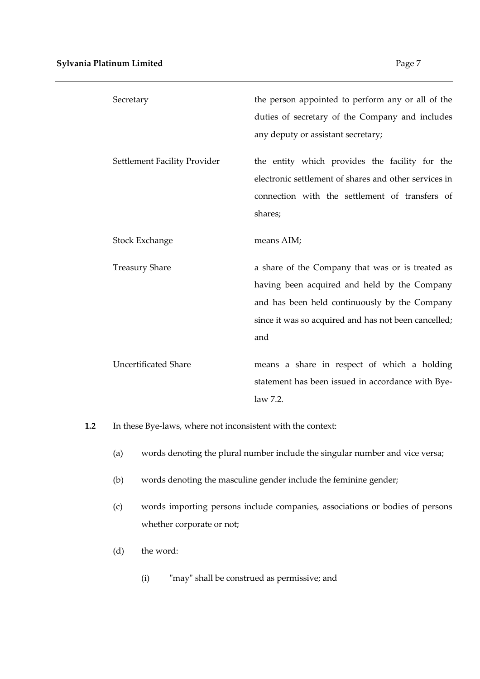| Secretary                    | the person appointed to perform any or all of the     |
|------------------------------|-------------------------------------------------------|
|                              | duties of secretary of the Company and includes       |
|                              | any deputy or assistant secretary;                    |
| Settlement Facility Provider | the entity which provides the facility for the        |
|                              | electronic settlement of shares and other services in |
|                              | connection with the settlement of transfers of        |
|                              | shares;                                               |
| Stock Exchange               | means AIM;                                            |
|                              |                                                       |
| <b>Treasury Share</b>        | a share of the Company that was or is treated as      |
|                              | having been acquired and held by the Company          |
|                              | and has been held continuously by the Company         |
|                              | since it was so acquired and has not been cancelled;  |
|                              | and                                                   |
| <b>Uncertificated Share</b>  | means a share in respect of which a holding           |
|                              | statement has been issued in accordance with Bye-     |
|                              | law 7.2.                                              |

**1.2** In these Bye-laws, where not inconsistent with the context:

- (a) words denoting the plural number include the singular number and vice versa;
- (b) words denoting the masculine gender include the feminine gender;
- (c) words importing persons include companies, associations or bodies of persons whether corporate or not;
- (d) the word:
	- (i) "may" shall be construed as permissive; and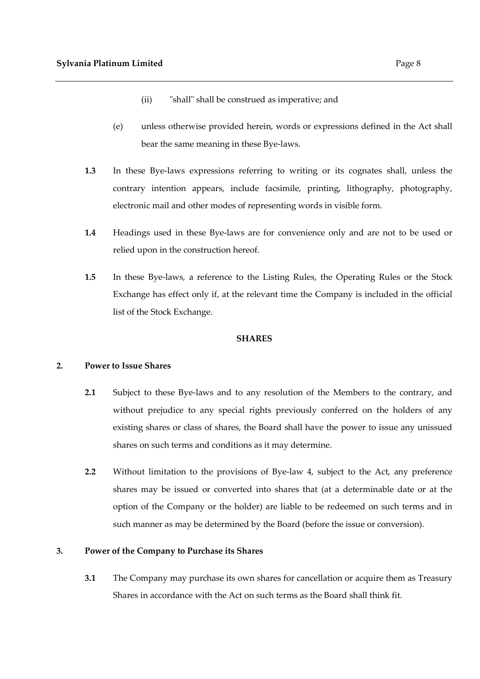- (ii) "shall" shall be construed as imperative; and
- (e) unless otherwise provided herein, words or expressions defined in the Act shall bear the same meaning in these Bye-laws.
- **1.3** In these Bye-laws expressions referring to writing or its cognates shall, unless the contrary intention appears, include facsimile, printing, lithography, photography, electronic mail and other modes of representing words in visible form.
- **1.4** Headings used in these Bye-laws are for convenience only and are not to be used or relied upon in the construction hereof.
- **1.5** In these Bye-laws, a reference to the Listing Rules, the Operating Rules or the Stock Exchange has effect only if, at the relevant time the Company is included in the official list of the Stock Exchange.

#### **SHARES**

# **2. Power to Issue Shares**

- **2.1** Subject to these Bye-laws and to any resolution of the Members to the contrary, and without prejudice to any special rights previously conferred on the holders of any existing shares or class of shares, the Board shall have the power to issue any unissued shares on such terms and conditions as it may determine.
- **2.2** Without limitation to the provisions of Bye-law 4, subject to the Act, any preference shares may be issued or converted into shares that (at a determinable date or at the option of the Company or the holder) are liable to be redeemed on such terms and in such manner as may be determined by the Board (before the issue or conversion).

# **3. Power of the Company to Purchase its Shares**

**3.1** The Company may purchase its own shares for cancellation or acquire them as Treasury Shares in accordance with the Act on such terms as the Board shall think fit.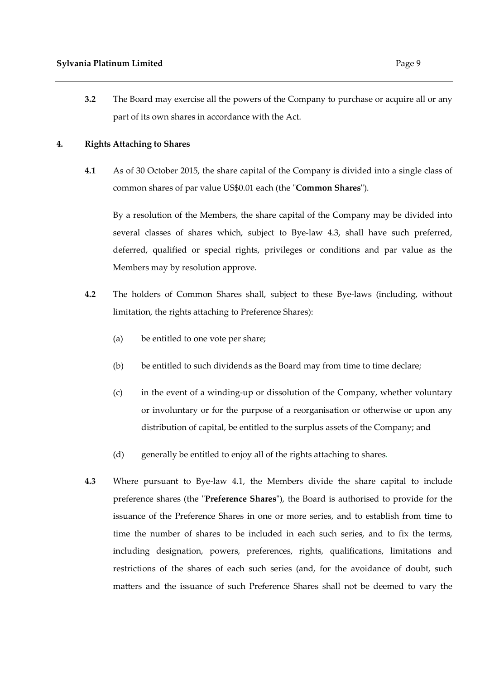**3.2** The Board may exercise all the powers of the Company to purchase or acquire all or any part of its own shares in accordance with the Act.

#### **4. Rights Attaching to Shares**

**4.1** As of 30 October 2015, the share capital of the Company is divided into a single class of common shares of par value US\$0.01 each (the "**Common Shares**").

By a resolution of the Members, the share capital of the Company may be divided into several classes of shares which, subject to Bye-law 4.3, shall have such preferred, deferred, qualified or special rights, privileges or conditions and par value as the Members may by resolution approve.

- **4.2** The holders of Common Shares shall, subject to these Bye-laws (including, without limitation, the rights attaching to Preference Shares):
	- (a) be entitled to one vote per share;
	- (b) be entitled to such dividends as the Board may from time to time declare;
	- (c) in the event of a winding-up or dissolution of the Company, whether voluntary or involuntary or for the purpose of a reorganisation or otherwise or upon any distribution of capital, be entitled to the surplus assets of the Company; and
	- (d) generally be entitled to enjoy all of the rights attaching to shares.
- **4.3** Where pursuant to Bye-law 4.1, the Members divide the share capital to include preference shares (the "**Preference Shares**"), the Board is authorised to provide for the issuance of the Preference Shares in one or more series, and to establish from time to time the number of shares to be included in each such series, and to fix the terms, including designation, powers, preferences, rights, qualifications, limitations and restrictions of the shares of each such series (and, for the avoidance of doubt, such matters and the issuance of such Preference Shares shall not be deemed to vary the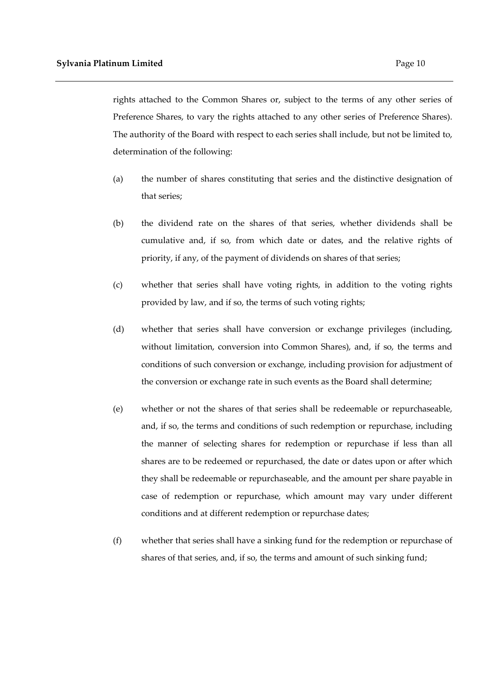rights attached to the Common Shares or, subject to the terms of any other series of Preference Shares, to vary the rights attached to any other series of Preference Shares). The authority of the Board with respect to each series shall include, but not be limited to, determination of the following:

- (a) the number of shares constituting that series and the distinctive designation of that series;
- (b) the dividend rate on the shares of that series, whether dividends shall be cumulative and, if so, from which date or dates, and the relative rights of priority, if any, of the payment of dividends on shares of that series;
- (c) whether that series shall have voting rights, in addition to the voting rights provided by law, and if so, the terms of such voting rights;
- (d) whether that series shall have conversion or exchange privileges (including, without limitation, conversion into Common Shares), and, if so, the terms and conditions of such conversion or exchange, including provision for adjustment of the conversion or exchange rate in such events as the Board shall determine;
- (e) whether or not the shares of that series shall be redeemable or repurchaseable, and, if so, the terms and conditions of such redemption or repurchase, including the manner of selecting shares for redemption or repurchase if less than all shares are to be redeemed or repurchased, the date or dates upon or after which they shall be redeemable or repurchaseable, and the amount per share payable in case of redemption or repurchase, which amount may vary under different conditions and at different redemption or repurchase dates;
- (f) whether that series shall have a sinking fund for the redemption or repurchase of shares of that series, and, if so, the terms and amount of such sinking fund;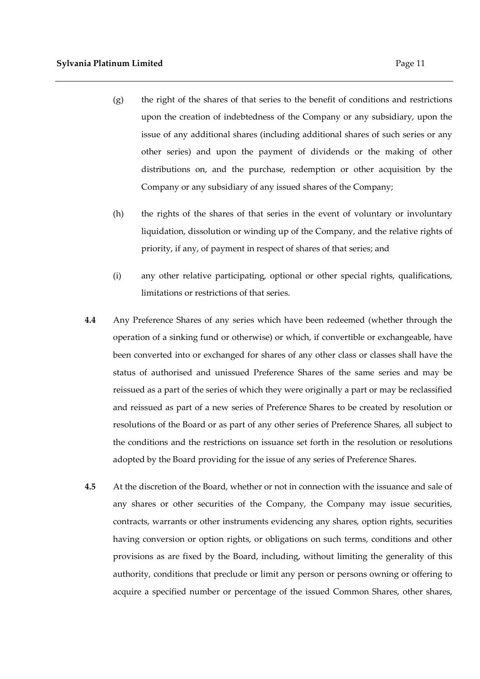- (g) the right of the shares of that series to the benefit of conditions and restrictions upon the creation of indebtedness of the Company or any subsidiary, upon the issue of any additional shares (including additional shares of such series or any other series) and upon the payment of dividends or the making of other distributions on, and the purchase, redemption or other acquisition by the
	- Company or any subsidiary of any issued shares of the Company;
- (h) the rights of the shares of that series in the event of voluntary or involuntary liquidation, dissolution or winding up of the Company, and the relative rights of priority, if any, of payment in respect of shares of that series; and
- (i) any other relative participating, optional or other special rights, qualifications, limitations or restrictions of that series.
- **4.4** Any Preference Shares of any series which have been redeemed (whether through the operation of a sinking fund or otherwise) or which, if convertible or exchangeable, have been converted into or exchanged for shares of any other class or classes shall have the status of authorised and unissued Preference Shares of the same series and may be reissued as a part of the series of which they were originally a part or may be reclassified and reissued as part of a new series of Preference Shares to be created by resolution or resolutions of the Board or as part of any other series of Preference Shares, all subject to the conditions and the restrictions on issuance set forth in the resolution or resolutions adopted by the Board providing for the issue of any series of Preference Shares.
- **4.5** At the discretion of the Board, whether or not in connection with the issuance and sale of any shares or other securities of the Company, the Company may issue securities, contracts, warrants or other instruments evidencing any shares, option rights, securities having conversion or option rights, or obligations on such terms, conditions and other provisions as are fixed by the Board, including, without limiting the generality of this authority, conditions that preclude or limit any person or persons owning or offering to acquire a specified number or percentage of the issued Common Shares, other shares,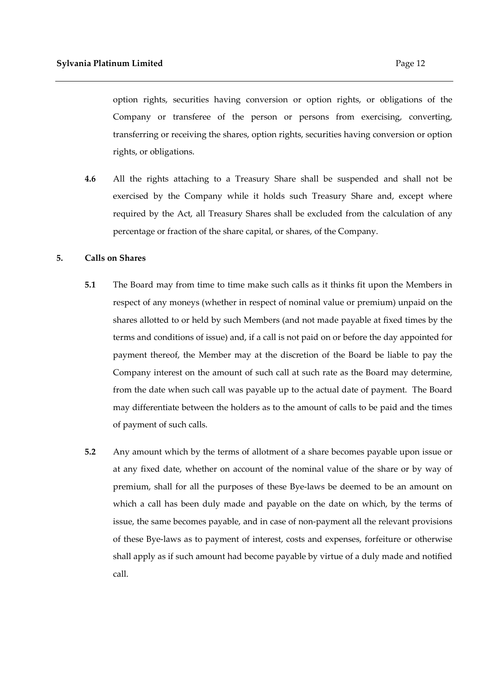option rights, securities having conversion or option rights, or obligations of the Company or transferee of the person or persons from exercising, converting, transferring or receiving the shares, option rights, securities having conversion or option rights, or obligations.

**4.6** All the rights attaching to a Treasury Share shall be suspended and shall not be exercised by the Company while it holds such Treasury Share and, except where required by the Act, all Treasury Shares shall be excluded from the calculation of any percentage or fraction of the share capital, or shares, of the Company.

#### **5. Calls on Shares**

- **5.1** The Board may from time to time make such calls as it thinks fit upon the Members in respect of any moneys (whether in respect of nominal value or premium) unpaid on the shares allotted to or held by such Members (and not made payable at fixed times by the terms and conditions of issue) and, if a call is not paid on or before the day appointed for payment thereof, the Member may at the discretion of the Board be liable to pay the Company interest on the amount of such call at such rate as the Board may determine, from the date when such call was payable up to the actual date of payment. The Board may differentiate between the holders as to the amount of calls to be paid and the times of payment of such calls.
- **5.2** Any amount which by the terms of allotment of a share becomes payable upon issue or at any fixed date, whether on account of the nominal value of the share or by way of premium, shall for all the purposes of these Bye-laws be deemed to be an amount on which a call has been duly made and payable on the date on which, by the terms of issue, the same becomes payable, and in case of non-payment all the relevant provisions of these Bye-laws as to payment of interest, costs and expenses, forfeiture or otherwise shall apply as if such amount had become payable by virtue of a duly made and notified call.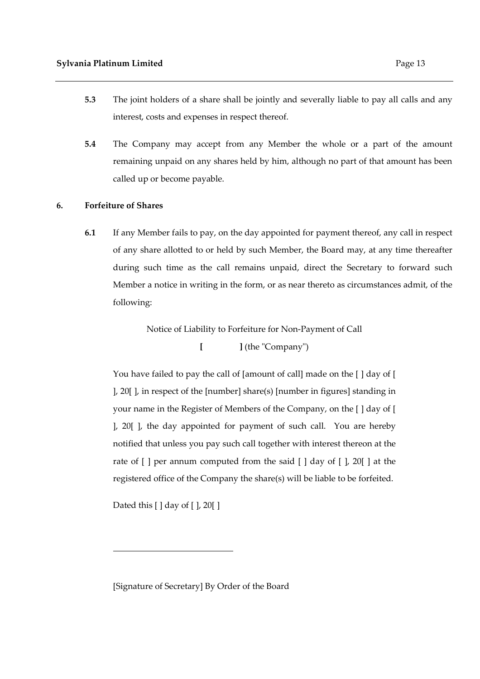- **5.3** The joint holders of a share shall be jointly and severally liable to pay all calls and any interest, costs and expenses in respect thereof.
- **5.4** The Company may accept from any Member the whole or a part of the amount remaining unpaid on any shares held by him, although no part of that amount has been called up or become payable.

# **6. Forfeiture of Shares**

**6.1** If any Member fails to pay, on the day appointed for payment thereof, any call in respect of any share allotted to or held by such Member, the Board may, at any time thereafter during such time as the call remains unpaid, direct the Secretary to forward such Member a notice in writing in the form, or as near thereto as circumstances admit, of the following:

Notice of Liability to Forfeiture for Non-Payment of Call

**[ ]** (the "Company")

You have failed to pay the call of [amount of call] made on the [ ] day of [ ], 20[ ], in respect of the [number] share(s) [number in figures] standing in your name in the Register of Members of the Company, on the [ ] day of [ ], 20[ ], the day appointed for payment of such call. You are hereby notified that unless you pay such call together with interest thereon at the rate of [ ] per annum computed from the said [ ] day of [ ], 20[ ] at the registered office of the Company the share(s) will be liable to be forfeited.

Dated this [ ] day of [ ], 20[ ]

[Signature of Secretary] By Order of the Board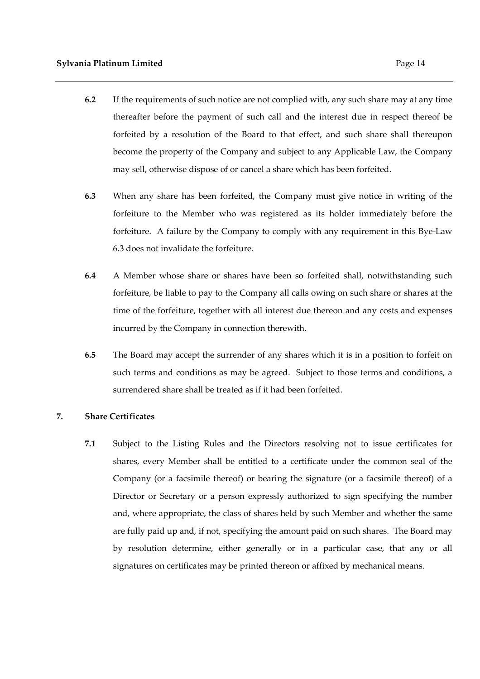- **6.2** If the requirements of such notice are not complied with, any such share may at any time thereafter before the payment of such call and the interest due in respect thereof be forfeited by a resolution of the Board to that effect, and such share shall thereupon become the property of the Company and subject to any Applicable Law, the Company may sell, otherwise dispose of or cancel a share which has been forfeited.
- **6.3** When any share has been forfeited, the Company must give notice in writing of the forfeiture to the Member who was registered as its holder immediately before the forfeiture. A failure by the Company to comply with any requirement in this Bye-Law 6.3 does not invalidate the forfeiture.
- **6.4** A Member whose share or shares have been so forfeited shall, notwithstanding such forfeiture, be liable to pay to the Company all calls owing on such share or shares at the time of the forfeiture, together with all interest due thereon and any costs and expenses incurred by the Company in connection therewith.
- **6.5** The Board may accept the surrender of any shares which it is in a position to forfeit on such terms and conditions as may be agreed. Subject to those terms and conditions, a surrendered share shall be treated as if it had been forfeited.

#### **7. Share Certificates**

**7.1** Subject to the Listing Rules and the Directors resolving not to issue certificates for shares, every Member shall be entitled to a certificate under the common seal of the Company (or a facsimile thereof) or bearing the signature (or a facsimile thereof) of a Director or Secretary or a person expressly authorized to sign specifying the number and, where appropriate, the class of shares held by such Member and whether the same are fully paid up and, if not, specifying the amount paid on such shares. The Board may by resolution determine, either generally or in a particular case, that any or all signatures on certificates may be printed thereon or affixed by mechanical means.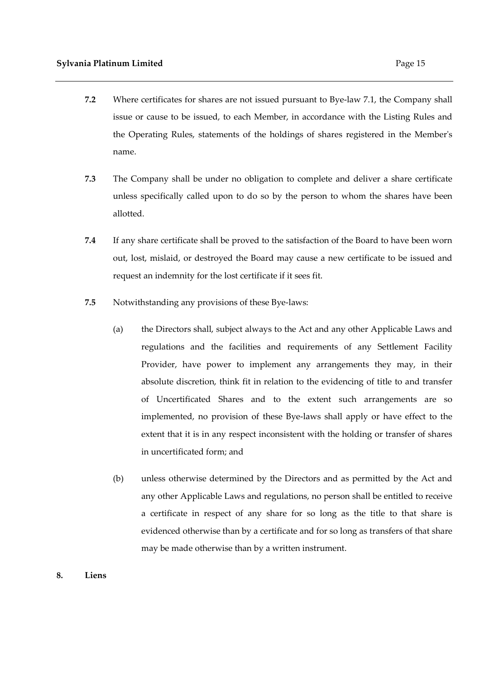- **7.2** Where certificates for shares are not issued pursuant to Bye-law 7.1, the Company shall issue or cause to be issued, to each Member, in accordance with the Listing Rules and the Operating Rules, statements of the holdings of shares registered in the Member's name.
- **7.3** The Company shall be under no obligation to complete and deliver a share certificate unless specifically called upon to do so by the person to whom the shares have been allotted.
- **7.4** If any share certificate shall be proved to the satisfaction of the Board to have been worn out, lost, mislaid, or destroyed the Board may cause a new certificate to be issued and request an indemnity for the lost certificate if it sees fit.
- **7.5** Notwithstanding any provisions of these Bye-laws:
	- (a) the Directors shall, subject always to the Act and any other Applicable Laws and regulations and the facilities and requirements of any Settlement Facility Provider, have power to implement any arrangements they may, in their absolute discretion, think fit in relation to the evidencing of title to and transfer of Uncertificated Shares and to the extent such arrangements are so implemented, no provision of these Bye-laws shall apply or have effect to the extent that it is in any respect inconsistent with the holding or transfer of shares in uncertificated form; and
	- (b) unless otherwise determined by the Directors and as permitted by the Act and any other Applicable Laws and regulations, no person shall be entitled to receive a certificate in respect of any share for so long as the title to that share is evidenced otherwise than by a certificate and for so long as transfers of that share may be made otherwise than by a written instrument.

#### **8. Liens**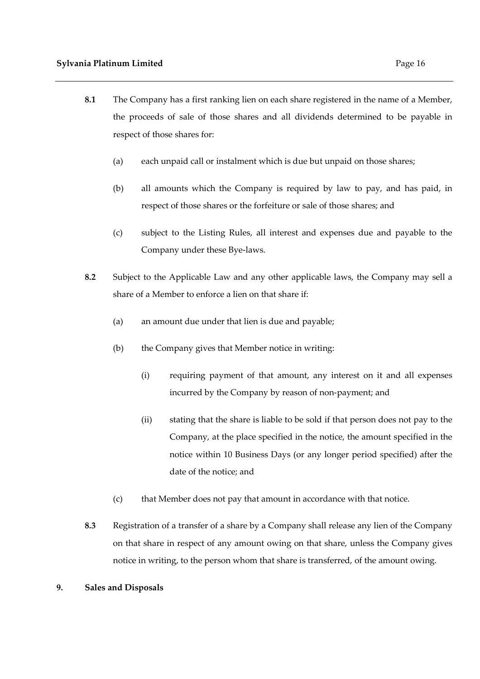- **8.1** The Company has a first ranking lien on each share registered in the name of a Member, the proceeds of sale of those shares and all dividends determined to be payable in respect of those shares for:
	- (a) each unpaid call or instalment which is due but unpaid on those shares;
	- (b) all amounts which the Company is required by law to pay, and has paid, in respect of those shares or the forfeiture or sale of those shares; and
	- (c) subject to the Listing Rules, all interest and expenses due and payable to the Company under these Bye-laws.
- **8.2** Subject to the Applicable Law and any other applicable laws, the Company may sell a share of a Member to enforce a lien on that share if:
	- (a) an amount due under that lien is due and payable;
	- (b) the Company gives that Member notice in writing:
		- (i) requiring payment of that amount, any interest on it and all expenses incurred by the Company by reason of non-payment; and
		- (ii) stating that the share is liable to be sold if that person does not pay to the Company, at the place specified in the notice, the amount specified in the notice within 10 Business Days (or any longer period specified) after the date of the notice; and
	- (c) that Member does not pay that amount in accordance with that notice.
- **8.3** Registration of a transfer of a share by a Company shall release any lien of the Company on that share in respect of any amount owing on that share, unless the Company gives notice in writing, to the person whom that share is transferred, of the amount owing.

# **9. Sales and Disposals**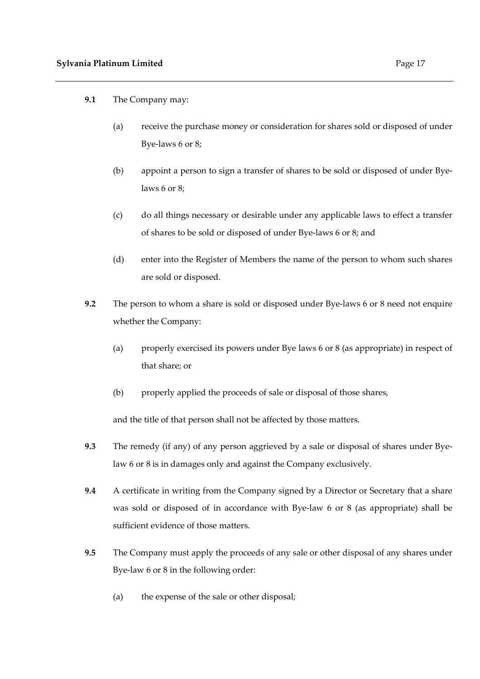- **9.1** The Company may:
	- (a) receive the purchase money or consideration for shares sold or disposed of under Bye-laws 6 or 8;
	- (b) appoint a person to sign a transfer of shares to be sold or disposed of under Byelaws 6 or 8;
	- (c) do all things necessary or desirable under any applicable laws to effect a transfer of shares to be sold or disposed of under Bye-laws 6 or 8; and
	- (d) enter into the Register of Members the name of the person to whom such shares are sold or disposed.
- **9.2** The person to whom a share is sold or disposed under Bye-laws 6 or 8 need not enquire whether the Company:
	- (a) properly exercised its powers under Bye laws 6 or 8 (as appropriate) in respect of that share; or
	- (b) properly applied the proceeds of sale or disposal of those shares,

and the title of that person shall not be affected by those matters.

- **9.3** The remedy (if any) of any person aggrieved by a sale or disposal of shares under Byelaw 6 or 8 is in damages only and against the Company exclusively.
- **9.4** A certificate in writing from the Company signed by a Director or Secretary that a share was sold or disposed of in accordance with Bye-law 6 or 8 (as appropriate) shall be sufficient evidence of those matters.
- **9.5** The Company must apply the proceeds of any sale or other disposal of any shares under Bye-law 6 or 8 in the following order:
	- (a) the expense of the sale or other disposal;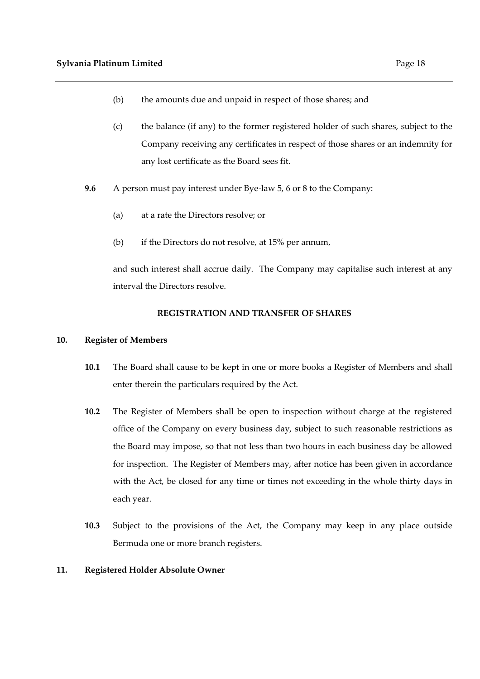- (b) the amounts due and unpaid in respect of those shares; and
- (c) the balance (if any) to the former registered holder of such shares, subject to the Company receiving any certificates in respect of those shares or an indemnity for any lost certificate as the Board sees fit.
- **9.6** A person must pay interest under Bye-law 5, 6 or 8 to the Company:
	- (a) at a rate the Directors resolve; or
	- (b) if the Directors do not resolve, at 15% per annum,

and such interest shall accrue daily. The Company may capitalise such interest at any interval the Directors resolve.

# **REGISTRATION AND TRANSFER OF SHARES**

# **10. Register of Members**

- **10.1** The Board shall cause to be kept in one or more books a Register of Members and shall enter therein the particulars required by the Act.
- **10.2** The Register of Members shall be open to inspection without charge at the registered office of the Company on every business day, subject to such reasonable restrictions as the Board may impose, so that not less than two hours in each business day be allowed for inspection. The Register of Members may, after notice has been given in accordance with the Act, be closed for any time or times not exceeding in the whole thirty days in each year.
- **10.3** Subject to the provisions of the Act, the Company may keep in any place outside Bermuda one or more branch registers.

# **11. Registered Holder Absolute Owner**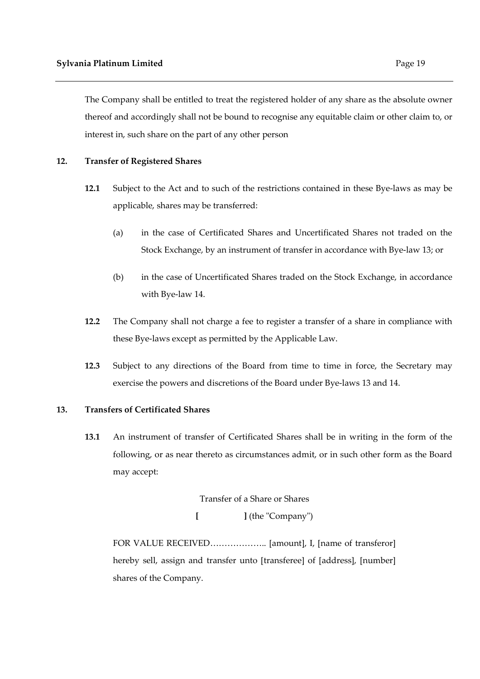The Company shall be entitled to treat the registered holder of any share as the absolute owner thereof and accordingly shall not be bound to recognise any equitable claim or other claim to, or interest in, such share on the part of any other person

#### **12. Transfer of Registered Shares**

- **12.1** Subject to the Act and to such of the restrictions contained in these Bye-laws as may be applicable, shares may be transferred:
	- (a) in the case of Certificated Shares and Uncertificated Shares not traded on the Stock Exchange, by an instrument of transfer in accordance with Bye-law 13; or
	- (b) in the case of Uncertificated Shares traded on the Stock Exchange, in accordance with Bye-law 14.
- **12.2** The Company shall not charge a fee to register a transfer of a share in compliance with these Bye-laws except as permitted by the Applicable Law.
- **12.3** Subject to any directions of the Board from time to time in force, the Secretary may exercise the powers and discretions of the Board under Bye-laws 13 and 14.

#### **13. Transfers of Certificated Shares**

**13.1** An instrument of transfer of Certificated Shares shall be in writing in the form of the following, or as near thereto as circumstances admit, or in such other form as the Board may accept:

Transfer of a Share or Shares

**[ ]** (the "Company")

FOR VALUE RECEIVED……………….. [amount], I, [name of transferor] hereby sell, assign and transfer unto [transferee] of [address], [number] shares of the Company.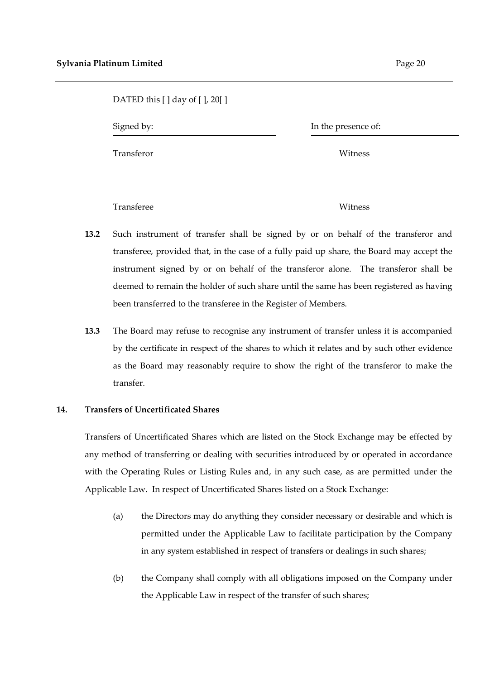| DATED this [ ] day of [ ], 20[ ] |                     |  |
|----------------------------------|---------------------|--|
| Signed by:                       | In the presence of: |  |
| Transferor                       | Witness             |  |
| Transferee                       | Witness             |  |

- **13.2** Such instrument of transfer shall be signed by or on behalf of the transferor and transferee, provided that, in the case of a fully paid up share, the Board may accept the instrument signed by or on behalf of the transferor alone. The transferor shall be deemed to remain the holder of such share until the same has been registered as having been transferred to the transferee in the Register of Members.
- **13.3** The Board may refuse to recognise any instrument of transfer unless it is accompanied by the certificate in respect of the shares to which it relates and by such other evidence as the Board may reasonably require to show the right of the transferor to make the transfer.

# **14. Transfers of Uncertificated Shares**

Transfers of Uncertificated Shares which are listed on the Stock Exchange may be effected by any method of transferring or dealing with securities introduced by or operated in accordance with the Operating Rules or Listing Rules and, in any such case, as are permitted under the Applicable Law. In respect of Uncertificated Shares listed on a Stock Exchange:

- (a) the Directors may do anything they consider necessary or desirable and which is permitted under the Applicable Law to facilitate participation by the Company in any system established in respect of transfers or dealings in such shares;
- (b) the Company shall comply with all obligations imposed on the Company under the Applicable Law in respect of the transfer of such shares;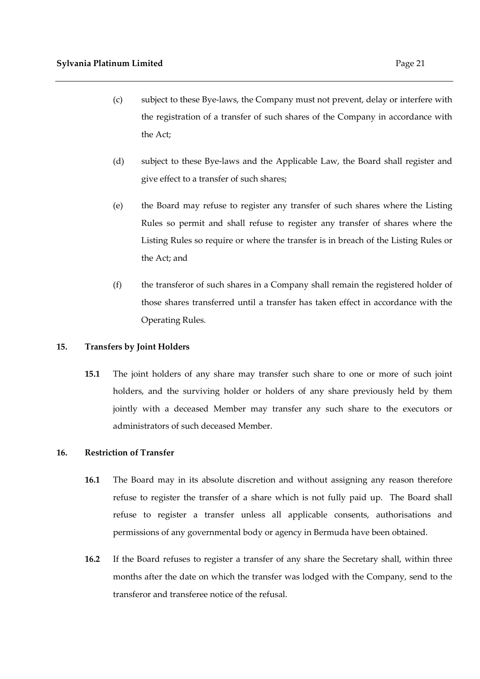- (c) subject to these Bye-laws, the Company must not prevent, delay or interfere with the registration of a transfer of such shares of the Company in accordance with the Act;
- (d) subject to these Bye-laws and the Applicable Law, the Board shall register and give effect to a transfer of such shares;
- (e) the Board may refuse to register any transfer of such shares where the Listing Rules so permit and shall refuse to register any transfer of shares where the Listing Rules so require or where the transfer is in breach of the Listing Rules or the Act; and
- (f) the transferor of such shares in a Company shall remain the registered holder of those shares transferred until a transfer has taken effect in accordance with the Operating Rules.

# **15. Transfers by Joint Holders**

**15.1** The joint holders of any share may transfer such share to one or more of such joint holders, and the surviving holder or holders of any share previously held by them jointly with a deceased Member may transfer any such share to the executors or administrators of such deceased Member.

# **16. Restriction of Transfer**

- **16.1** The Board may in its absolute discretion and without assigning any reason therefore refuse to register the transfer of a share which is not fully paid up. The Board shall refuse to register a transfer unless all applicable consents, authorisations and permissions of any governmental body or agency in Bermuda have been obtained.
- **16.2** If the Board refuses to register a transfer of any share the Secretary shall, within three months after the date on which the transfer was lodged with the Company, send to the transferor and transferee notice of the refusal.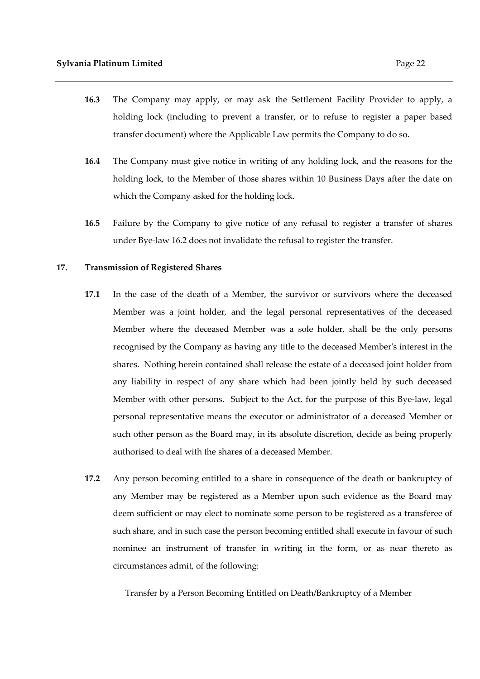- **16.3** The Company may apply, or may ask the Settlement Facility Provider to apply, a holding lock (including to prevent a transfer, or to refuse to register a paper based transfer document) where the Applicable Law permits the Company to do so.
- **16.4** The Company must give notice in writing of any holding lock, and the reasons for the holding lock, to the Member of those shares within 10 Business Days after the date on which the Company asked for the holding lock.
- **16.5** Failure by the Company to give notice of any refusal to register a transfer of shares under Bye-law 16.2 does not invalidate the refusal to register the transfer.

#### **17. Transmission of Registered Shares**

- **17.1** In the case of the death of a Member, the survivor or survivors where the deceased Member was a joint holder, and the legal personal representatives of the deceased Member where the deceased Member was a sole holder, shall be the only persons recognised by the Company as having any title to the deceased Member's interest in the shares. Nothing herein contained shall release the estate of a deceased joint holder from any liability in respect of any share which had been jointly held by such deceased Member with other persons. Subject to the Act, for the purpose of this Bye-law, legal personal representative means the executor or administrator of a deceased Member or such other person as the Board may, in its absolute discretion, decide as being properly authorised to deal with the shares of a deceased Member.
- **17.2** Any person becoming entitled to a share in consequence of the death or bankruptcy of any Member may be registered as a Member upon such evidence as the Board may deem sufficient or may elect to nominate some person to be registered as a transferee of such share, and in such case the person becoming entitled shall execute in favour of such nominee an instrument of transfer in writing in the form, or as near thereto as circumstances admit, of the following:

Transfer by a Person Becoming Entitled on Death/Bankruptcy of a Member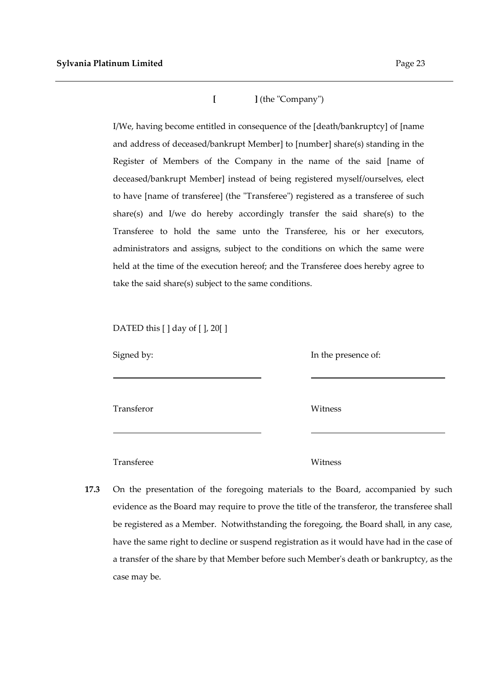**[ ]** (the "Company")

I/We, having become entitled in consequence of the [death/bankruptcy] of [name and address of deceased/bankrupt Member] to [number] share(s) standing in the Register of Members of the Company in the name of the said [name of deceased/bankrupt Member] instead of being registered myself/ourselves, elect to have [name of transferee] (the "Transferee") registered as a transferee of such share(s) and I/we do hereby accordingly transfer the said share(s) to the Transferee to hold the same unto the Transferee, his or her executors, administrators and assigns, subject to the conditions on which the same were held at the time of the execution hereof; and the Transferee does hereby agree to take the said share(s) subject to the same conditions.

DATED this  $[ \ ]$  day of  $[ \ ]$ , 20 $[ \ ]$ 

| Signed by: | In the presence of: |
|------------|---------------------|
| Transferor | Witness             |
|            |                     |

Transferee Witness

**17.3** On the presentation of the foregoing materials to the Board, accompanied by such evidence as the Board may require to prove the title of the transferor, the transferee shall be registered as a Member. Notwithstanding the foregoing, the Board shall, in any case, have the same right to decline or suspend registration as it would have had in the case of a transfer of the share by that Member before such Member's death or bankruptcy, as the case may be.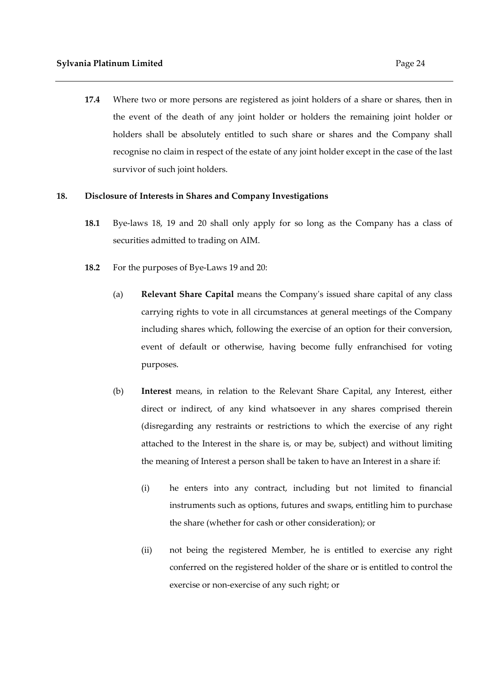**17.4** Where two or more persons are registered as joint holders of a share or shares, then in the event of the death of any joint holder or holders the remaining joint holder or holders shall be absolutely entitled to such share or shares and the Company shall recognise no claim in respect of the estate of any joint holder except in the case of the last survivor of such joint holders.

#### **18. Disclosure of Interests in Shares and Company Investigations**

- **18.1** Bye-laws 18, 19 and 20 shall only apply for so long as the Company has a class of securities admitted to trading on AIM.
- **18.2** For the purposes of Bye-Laws 19 and 20:
	- (a) **Relevant Share Capital** means the Company's issued share capital of any class carrying rights to vote in all circumstances at general meetings of the Company including shares which, following the exercise of an option for their conversion, event of default or otherwise, having become fully enfranchised for voting purposes.
	- (b) **Interest** means, in relation to the Relevant Share Capital, any Interest, either direct or indirect, of any kind whatsoever in any shares comprised therein (disregarding any restraints or restrictions to which the exercise of any right attached to the Interest in the share is, or may be, subject) and without limiting the meaning of Interest a person shall be taken to have an Interest in a share if:
		- (i) he enters into any contract, including but not limited to financial instruments such as options, futures and swaps, entitling him to purchase the share (whether for cash or other consideration); or
		- (ii) not being the registered Member, he is entitled to exercise any right conferred on the registered holder of the share or is entitled to control the exercise or non-exercise of any such right; or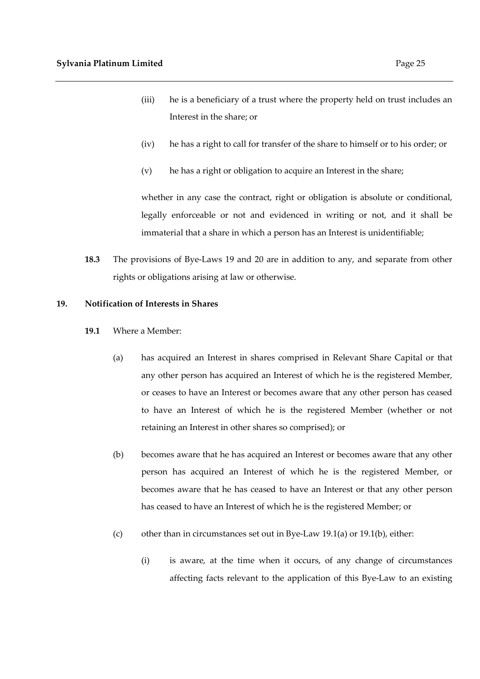- (iii) he is a beneficiary of a trust where the property held on trust includes an Interest in the share; or
- (iv) he has a right to call for transfer of the share to himself or to his order; or
- (v) he has a right or obligation to acquire an Interest in the share;

whether in any case the contract, right or obligation is absolute or conditional, legally enforceable or not and evidenced in writing or not, and it shall be immaterial that a share in which a person has an Interest is unidentifiable;

**18.3** The provisions of Bye-Laws 19 and 20 are in addition to any, and separate from other rights or obligations arising at law or otherwise.

# **19. Notification of Interests in Shares**

- **19.1** Where a Member:
	- (a) has acquired an Interest in shares comprised in Relevant Share Capital or that any other person has acquired an Interest of which he is the registered Member, or ceases to have an Interest or becomes aware that any other person has ceased to have an Interest of which he is the registered Member (whether or not retaining an Interest in other shares so comprised); or
	- (b) becomes aware that he has acquired an Interest or becomes aware that any other person has acquired an Interest of which he is the registered Member, or becomes aware that he has ceased to have an Interest or that any other person has ceased to have an Interest of which he is the registered Member; or
	- (c) other than in circumstances set out in Bye-Law 19.1(a) or 19.1(b), either:
		- (i) is aware, at the time when it occurs, of any change of circumstances affecting facts relevant to the application of this Bye-Law to an existing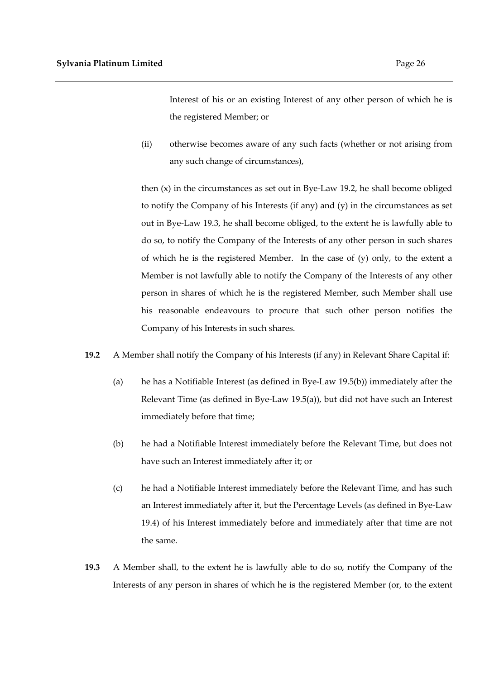Interest of his or an existing Interest of any other person of which he is the registered Member; or

(ii) otherwise becomes aware of any such facts (whether or not arising from any such change of circumstances),

then (x) in the circumstances as set out in Bye-Law 19.2, he shall become obliged to notify the Company of his Interests (if any) and (y) in the circumstances as set out in Bye-Law 19.3, he shall become obliged, to the extent he is lawfully able to do so, to notify the Company of the Interests of any other person in such shares of which he is the registered Member. In the case of (y) only, to the extent a Member is not lawfully able to notify the Company of the Interests of any other person in shares of which he is the registered Member, such Member shall use his reasonable endeavours to procure that such other person notifies the Company of his Interests in such shares.

- **19.2** A Member shall notify the Company of his Interests (if any) in Relevant Share Capital if:
	- (a) he has a Notifiable Interest (as defined in Bye-Law 19.5(b)) immediately after the Relevant Time (as defined in Bye-Law 19.5(a)), but did not have such an Interest immediately before that time;
	- (b) he had a Notifiable Interest immediately before the Relevant Time, but does not have such an Interest immediately after it; or
	- (c) he had a Notifiable Interest immediately before the Relevant Time, and has such an Interest immediately after it, but the Percentage Levels (as defined in Bye-Law 19.4) of his Interest immediately before and immediately after that time are not the same.
- **19.3** A Member shall, to the extent he is lawfully able to do so, notify the Company of the Interests of any person in shares of which he is the registered Member (or, to the extent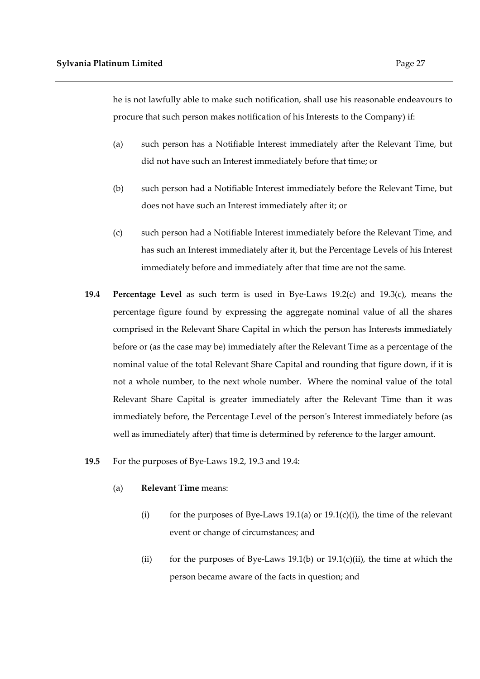he is not lawfully able to make such notification, shall use his reasonable endeavours to procure that such person makes notification of his Interests to the Company) if:

- (a) such person has a Notifiable Interest immediately after the Relevant Time, but did not have such an Interest immediately before that time; or
- (b) such person had a Notifiable Interest immediately before the Relevant Time, but does not have such an Interest immediately after it; or
- (c) such person had a Notifiable Interest immediately before the Relevant Time, and has such an Interest immediately after it, but the Percentage Levels of his Interest immediately before and immediately after that time are not the same.
- **19.4 Percentage Level** as such term is used in Bye-Laws 19.2(c) and 19.3(c), means the percentage figure found by expressing the aggregate nominal value of all the shares comprised in the Relevant Share Capital in which the person has Interests immediately before or (as the case may be) immediately after the Relevant Time as a percentage of the nominal value of the total Relevant Share Capital and rounding that figure down, if it is not a whole number, to the next whole number. Where the nominal value of the total Relevant Share Capital is greater immediately after the Relevant Time than it was immediately before, the Percentage Level of the person's Interest immediately before (as well as immediately after) that time is determined by reference to the larger amount.
- **19.5** For the purposes of Bye-Laws 19.2, 19.3 and 19.4:
	- (a) **Relevant Time** means:
		- (i) for the purposes of Bye-Laws 19.1(a) or  $19.1(c)(i)$ , the time of the relevant event or change of circumstances; and
		- (ii) for the purposes of Bye-Laws 19.1(b) or  $19.1(c)$ (ii), the time at which the person became aware of the facts in question; and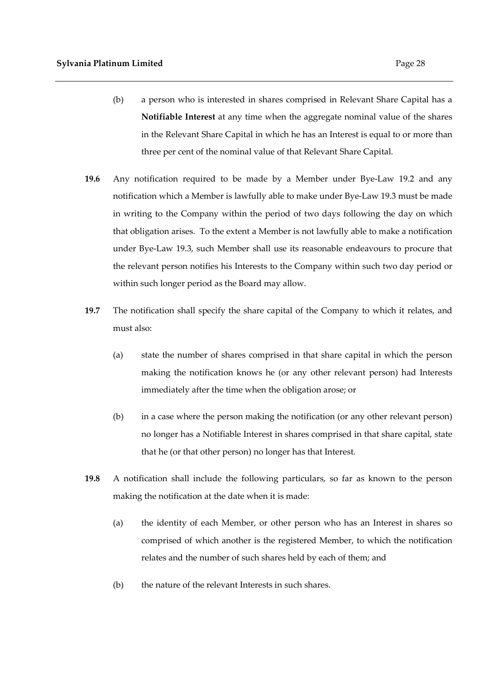- (b) a person who is interested in shares comprised in Relevant Share Capital has a **Notifiable Interest** at any time when the aggregate nominal value of the shares in the Relevant Share Capital in which he has an Interest is equal to or more than three per cent of the nominal value of that Relevant Share Capital.
- **19.6** Any notification required to be made by a Member under Bye-Law 19.2 and any notification which a Member is lawfully able to make under Bye-Law 19.3 must be made in writing to the Company within the period of two days following the day on which that obligation arises. To the extent a Member is not lawfully able to make a notification under Bye-Law 19.3, such Member shall use its reasonable endeavours to procure that the relevant person notifies his Interests to the Company within such two day period or within such longer period as the Board may allow.
- **19.7** The notification shall specify the share capital of the Company to which it relates, and must also:
	- (a) state the number of shares comprised in that share capital in which the person making the notification knows he (or any other relevant person) had Interests immediately after the time when the obligation arose; or
	- (b) in a case where the person making the notification (or any other relevant person) no longer has a Notifiable Interest in shares comprised in that share capital, state that he (or that other person) no longer has that Interest.
- **19.8** A notification shall include the following particulars, so far as known to the person making the notification at the date when it is made:
	- (a) the identity of each Member, or other person who has an Interest in shares so comprised of which another is the registered Member, to which the notification relates and the number of such shares held by each of them; and
	- (b) the nature of the relevant Interests in such shares.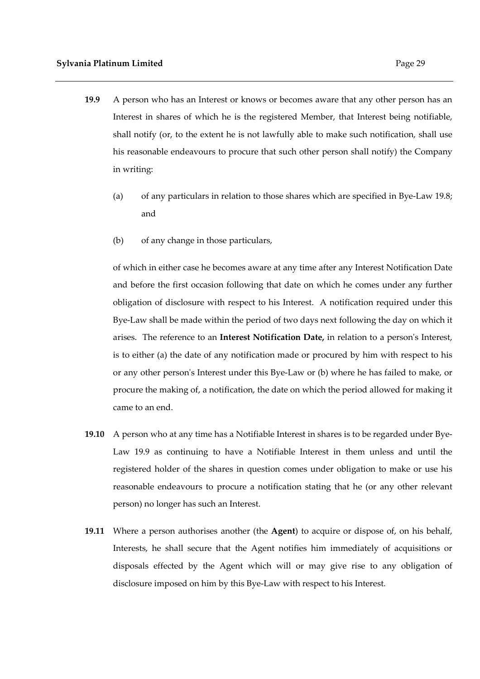- **19.9** A person who has an Interest or knows or becomes aware that any other person has an Interest in shares of which he is the registered Member, that Interest being notifiable, shall notify (or, to the extent he is not lawfully able to make such notification, shall use his reasonable endeavours to procure that such other person shall notify) the Company
	- in writing:
	- (a) of any particulars in relation to those shares which are specified in Bye-Law 19.8; and
	- (b) of any change in those particulars,

of which in either case he becomes aware at any time after any Interest Notification Date and before the first occasion following that date on which he comes under any further obligation of disclosure with respect to his Interest. A notification required under this Bye-Law shall be made within the period of two days next following the day on which it arises. The reference to an **Interest Notification Date,** in relation to a person's Interest, is to either (a) the date of any notification made or procured by him with respect to his or any other person's Interest under this Bye-Law or (b) where he has failed to make, or procure the making of, a notification, the date on which the period allowed for making it came to an end.

- **19.10** A person who at any time has a Notifiable Interest in shares is to be regarded under Bye-Law 19.9 as continuing to have a Notifiable Interest in them unless and until the registered holder of the shares in question comes under obligation to make or use his reasonable endeavours to procure a notification stating that he (or any other relevant person) no longer has such an Interest.
- **19.11** Where a person authorises another (the **Agent**) to acquire or dispose of, on his behalf, Interests, he shall secure that the Agent notifies him immediately of acquisitions or disposals effected by the Agent which will or may give rise to any obligation of disclosure imposed on him by this Bye-Law with respect to his Interest.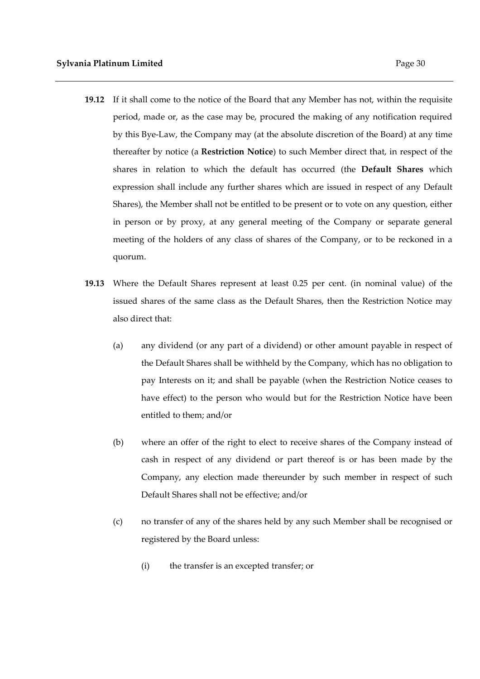- **19.12** If it shall come to the notice of the Board that any Member has not, within the requisite period, made or, as the case may be, procured the making of any notification required by this Bye-Law, the Company may (at the absolute discretion of the Board) at any time thereafter by notice (a **Restriction Notice**) to such Member direct that, in respect of the shares in relation to which the default has occurred (the **Default Shares** which expression shall include any further shares which are issued in respect of any Default Shares), the Member shall not be entitled to be present or to vote on any question, either in person or by proxy, at any general meeting of the Company or separate general meeting of the holders of any class of shares of the Company, or to be reckoned in a quorum.
- **19.13** Where the Default Shares represent at least 0.25 per cent. (in nominal value) of the issued shares of the same class as the Default Shares, then the Restriction Notice may also direct that:
	- (a) any dividend (or any part of a dividend) or other amount payable in respect of the Default Shares shall be withheld by the Company, which has no obligation to pay Interests on it; and shall be payable (when the Restriction Notice ceases to have effect) to the person who would but for the Restriction Notice have been entitled to them; and/or
	- (b) where an offer of the right to elect to receive shares of the Company instead of cash in respect of any dividend or part thereof is or has been made by the Company, any election made thereunder by such member in respect of such Default Shares shall not be effective; and/or
	- (c) no transfer of any of the shares held by any such Member shall be recognised or registered by the Board unless:
		- (i) the transfer is an excepted transfer; or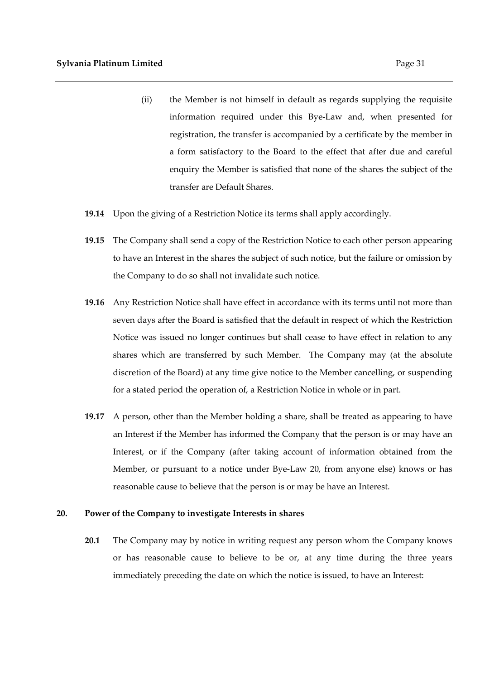- (ii) the Member is not himself in default as regards supplying the requisite information required under this Bye-Law and, when presented for registration, the transfer is accompanied by a certificate by the member in a form satisfactory to the Board to the effect that after due and careful enquiry the Member is satisfied that none of the shares the subject of the transfer are Default Shares.
- **19.14** Upon the giving of a Restriction Notice its terms shall apply accordingly.
- **19.15** The Company shall send a copy of the Restriction Notice to each other person appearing to have an Interest in the shares the subject of such notice, but the failure or omission by the Company to do so shall not invalidate such notice.
- **19.16** Any Restriction Notice shall have effect in accordance with its terms until not more than seven days after the Board is satisfied that the default in respect of which the Restriction Notice was issued no longer continues but shall cease to have effect in relation to any shares which are transferred by such Member. The Company may (at the absolute discretion of the Board) at any time give notice to the Member cancelling, or suspending for a stated period the operation of, a Restriction Notice in whole or in part.
- **19.17** A person, other than the Member holding a share, shall be treated as appearing to have an Interest if the Member has informed the Company that the person is or may have an Interest, or if the Company (after taking account of information obtained from the Member, or pursuant to a notice under Bye-Law 20, from anyone else) knows or has reasonable cause to believe that the person is or may be have an Interest.

#### **20. Power of the Company to investigate Interests in shares**

**20.1** The Company may by notice in writing request any person whom the Company knows or has reasonable cause to believe to be or, at any time during the three years immediately preceding the date on which the notice is issued, to have an Interest: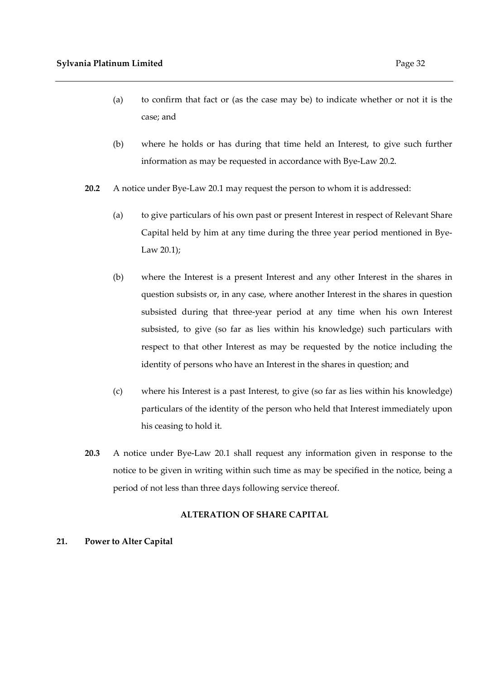- (a) to confirm that fact or (as the case may be) to indicate whether or not it is the case; and
- (b) where he holds or has during that time held an Interest, to give such further information as may be requested in accordance with Bye-Law 20.2.
- **20.2** A notice under Bye-Law 20.1 may request the person to whom it is addressed:
	- (a) to give particulars of his own past or present Interest in respect of Relevant Share Capital held by him at any time during the three year period mentioned in Bye-Law 20.1);
	- (b) where the Interest is a present Interest and any other Interest in the shares in question subsists or, in any case, where another Interest in the shares in question subsisted during that three-year period at any time when his own Interest subsisted, to give (so far as lies within his knowledge) such particulars with respect to that other Interest as may be requested by the notice including the identity of persons who have an Interest in the shares in question; and
	- (c) where his Interest is a past Interest, to give (so far as lies within his knowledge) particulars of the identity of the person who held that Interest immediately upon his ceasing to hold it.
- **20.3** A notice under Bye-Law 20.1 shall request any information given in response to the notice to be given in writing within such time as may be specified in the notice, being a period of not less than three days following service thereof.

# **ALTERATION OF SHARE CAPITAL**

# **21. Power to Alter Capital**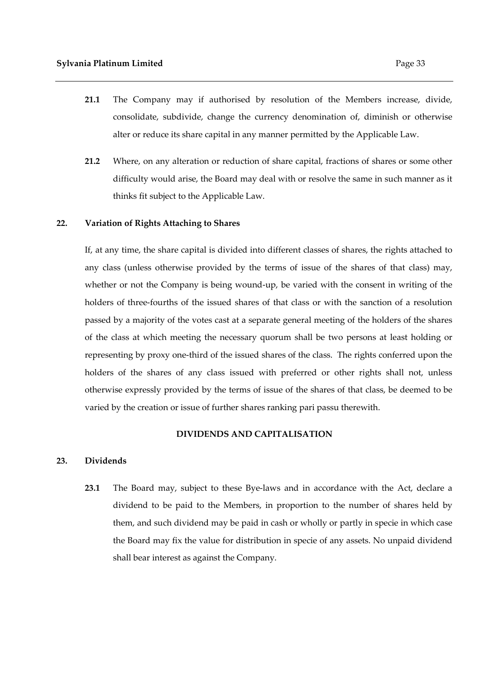- **21.1** The Company may if authorised by resolution of the Members increase, divide, consolidate, subdivide, change the currency denomination of, diminish or otherwise alter or reduce its share capital in any manner permitted by the Applicable Law.
- **21.2** Where, on any alteration or reduction of share capital, fractions of shares or some other difficulty would arise, the Board may deal with or resolve the same in such manner as it thinks fit subject to the Applicable Law.

#### **22. Variation of Rights Attaching to Shares**

If, at any time, the share capital is divided into different classes of shares, the rights attached to any class (unless otherwise provided by the terms of issue of the shares of that class) may, whether or not the Company is being wound-up, be varied with the consent in writing of the holders of three-fourths of the issued shares of that class or with the sanction of a resolution passed by a majority of the votes cast at a separate general meeting of the holders of the shares of the class at which meeting the necessary quorum shall be two persons at least holding or representing by proxy one-third of the issued shares of the class. The rights conferred upon the holders of the shares of any class issued with preferred or other rights shall not, unless otherwise expressly provided by the terms of issue of the shares of that class, be deemed to be varied by the creation or issue of further shares ranking pari passu therewith.

#### **DIVIDENDS AND CAPITALISATION**

#### **23. Dividends**

**23.1** The Board may, subject to these Bye-laws and in accordance with the Act, declare a dividend to be paid to the Members, in proportion to the number of shares held by them, and such dividend may be paid in cash or wholly or partly in specie in which case the Board may fix the value for distribution in specie of any assets. No unpaid dividend shall bear interest as against the Company.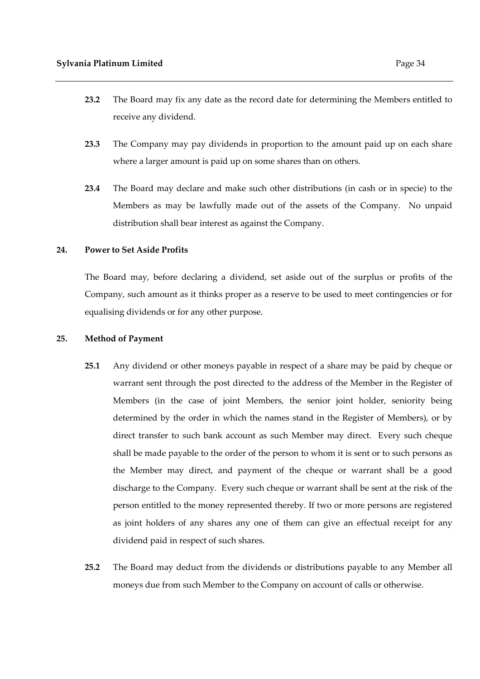- **23.2** The Board may fix any date as the record date for determining the Members entitled to receive any dividend.
- **23.3** The Company may pay dividends in proportion to the amount paid up on each share where a larger amount is paid up on some shares than on others.
- **23.4** The Board may declare and make such other distributions (in cash or in specie) to the Members as may be lawfully made out of the assets of the Company. No unpaid distribution shall bear interest as against the Company.

#### **24. Power to Set Aside Profits**

The Board may, before declaring a dividend, set aside out of the surplus or profits of the Company, such amount as it thinks proper as a reserve to be used to meet contingencies or for equalising dividends or for any other purpose.

#### **25. Method of Payment**

- **25.1** Any dividend or other moneys payable in respect of a share may be paid by cheque or warrant sent through the post directed to the address of the Member in the Register of Members (in the case of joint Members, the senior joint holder, seniority being determined by the order in which the names stand in the Register of Members), or by direct transfer to such bank account as such Member may direct. Every such cheque shall be made payable to the order of the person to whom it is sent or to such persons as the Member may direct, and payment of the cheque or warrant shall be a good discharge to the Company. Every such cheque or warrant shall be sent at the risk of the person entitled to the money represented thereby. If two or more persons are registered as joint holders of any shares any one of them can give an effectual receipt for any dividend paid in respect of such shares.
- **25.2** The Board may deduct from the dividends or distributions payable to any Member all moneys due from such Member to the Company on account of calls or otherwise.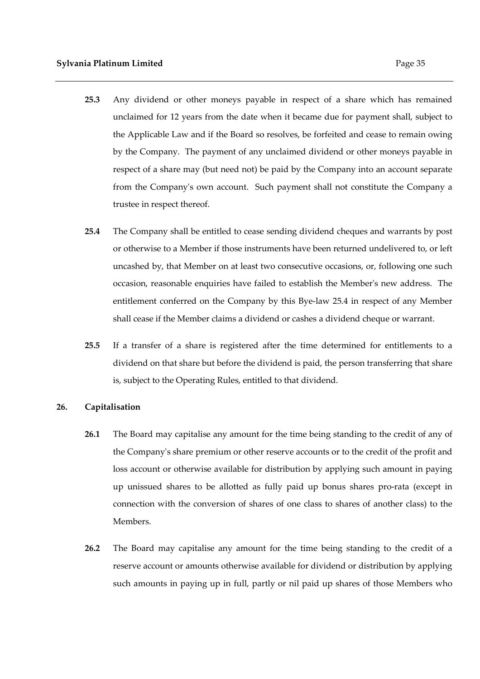- **25.3** Any dividend or other moneys payable in respect of a share which has remained unclaimed for 12 years from the date when it became due for payment shall, subject to the Applicable Law and if the Board so resolves, be forfeited and cease to remain owing by the Company. The payment of any unclaimed dividend or other moneys payable in respect of a share may (but need not) be paid by the Company into an account separate from the Company's own account. Such payment shall not constitute the Company a trustee in respect thereof.
- **25.4** The Company shall be entitled to cease sending dividend cheques and warrants by post or otherwise to a Member if those instruments have been returned undelivered to, or left uncashed by, that Member on at least two consecutive occasions, or, following one such occasion, reasonable enquiries have failed to establish the Member's new address. The entitlement conferred on the Company by this Bye-law 25.4 in respect of any Member shall cease if the Member claims a dividend or cashes a dividend cheque or warrant.
- **25.5** If a transfer of a share is registered after the time determined for entitlements to a dividend on that share but before the dividend is paid, the person transferring that share is, subject to the Operating Rules, entitled to that dividend.

#### **26. Capitalisation**

- **26.1** The Board may capitalise any amount for the time being standing to the credit of any of the Company's share premium or other reserve accounts or to the credit of the profit and loss account or otherwise available for distribution by applying such amount in paying up unissued shares to be allotted as fully paid up bonus shares pro-rata (except in connection with the conversion of shares of one class to shares of another class) to the Members.
- **26.2** The Board may capitalise any amount for the time being standing to the credit of a reserve account or amounts otherwise available for dividend or distribution by applying such amounts in paying up in full, partly or nil paid up shares of those Members who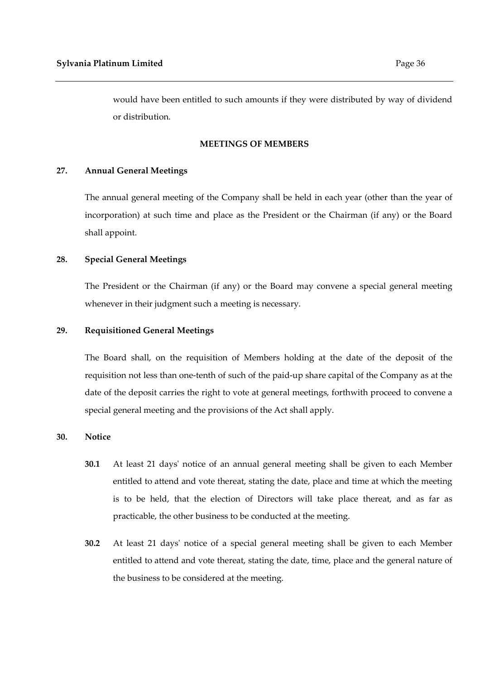would have been entitled to such amounts if they were distributed by way of dividend or distribution.

## **MEETINGS OF MEMBERS**

## **27. Annual General Meetings**

The annual general meeting of the Company shall be held in each year (other than the year of incorporation) at such time and place as the President or the Chairman (if any) or the Board shall appoint.

# **28. Special General Meetings**

The President or the Chairman (if any) or the Board may convene a special general meeting whenever in their judgment such a meeting is necessary.

# **29. Requisitioned General Meetings**

The Board shall, on the requisition of Members holding at the date of the deposit of the requisition not less than one-tenth of such of the paid-up share capital of the Company as at the date of the deposit carries the right to vote at general meetings, forthwith proceed to convene a special general meeting and the provisions of the Act shall apply.

## **30. Notice**

- **30.1** At least 21 days' notice of an annual general meeting shall be given to each Member entitled to attend and vote thereat, stating the date, place and time at which the meeting is to be held, that the election of Directors will take place thereat, and as far as practicable, the other business to be conducted at the meeting.
- **30.2** At least 21 days' notice of a special general meeting shall be given to each Member entitled to attend and vote thereat, stating the date, time, place and the general nature of the business to be considered at the meeting.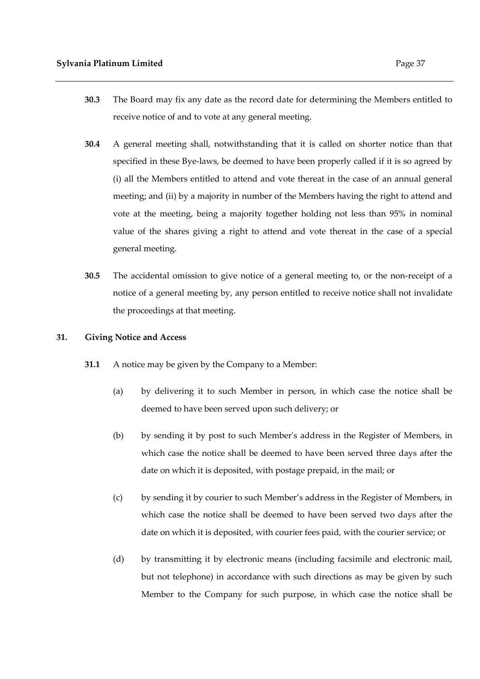- **30.3** The Board may fix any date as the record date for determining the Members entitled to receive notice of and to vote at any general meeting.
- **30.4** A general meeting shall, notwithstanding that it is called on shorter notice than that specified in these Bye-laws, be deemed to have been properly called if it is so agreed by (i) all the Members entitled to attend and vote thereat in the case of an annual general meeting; and (ii) by a majority in number of the Members having the right to attend and vote at the meeting, being a majority together holding not less than 95% in nominal value of the shares giving a right to attend and vote thereat in the case of a special general meeting.
- **30.5** The accidental omission to give notice of a general meeting to, or the non-receipt of a notice of a general meeting by, any person entitled to receive notice shall not invalidate the proceedings at that meeting.

#### **31. Giving Notice and Access**

- **31.1** A notice may be given by the Company to a Member:
	- (a) by delivering it to such Member in person, in which case the notice shall be deemed to have been served upon such delivery; or
	- (b) by sending it by post to such Member's address in the Register of Members, in which case the notice shall be deemed to have been served three days after the date on which it is deposited, with postage prepaid, in the mail; or
	- (c) by sending it by courier to such Member's address in the Register of Members, in which case the notice shall be deemed to have been served two days after the date on which it is deposited, with courier fees paid, with the courier service; or
	- (d) by transmitting it by electronic means (including facsimile and electronic mail, but not telephone) in accordance with such directions as may be given by such Member to the Company for such purpose, in which case the notice shall be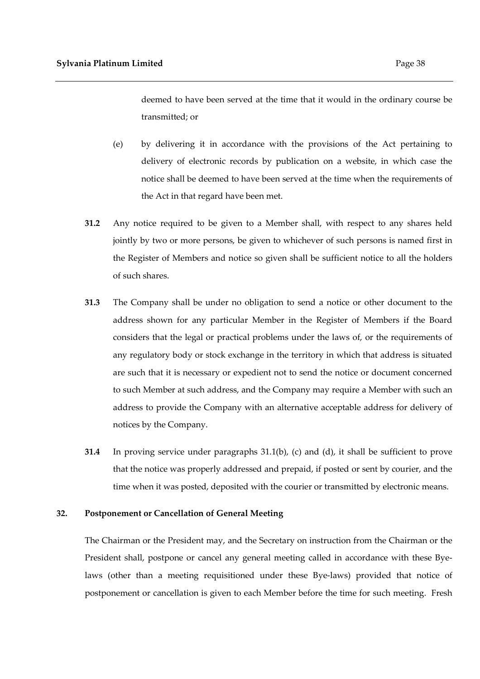deemed to have been served at the time that it would in the ordinary course be transmitted; or

- (e) by delivering it in accordance with the provisions of the Act pertaining to delivery of electronic records by publication on a website, in which case the notice shall be deemed to have been served at the time when the requirements of the Act in that regard have been met.
- **31.2** Any notice required to be given to a Member shall, with respect to any shares held jointly by two or more persons, be given to whichever of such persons is named first in the Register of Members and notice so given shall be sufficient notice to all the holders of such shares.
- **31.3** The Company shall be under no obligation to send a notice or other document to the address shown for any particular Member in the Register of Members if the Board considers that the legal or practical problems under the laws of, or the requirements of any regulatory body or stock exchange in the territory in which that address is situated are such that it is necessary or expedient not to send the notice or document concerned to such Member at such address, and the Company may require a Member with such an address to provide the Company with an alternative acceptable address for delivery of notices by the Company.
- **31.4** In proving service under paragraphs 31.1(b), (c) and (d), it shall be sufficient to prove that the notice was properly addressed and prepaid, if posted or sent by courier, and the time when it was posted, deposited with the courier or transmitted by electronic means.

#### **32. Postponement or Cancellation of General Meeting**

The Chairman or the President may, and the Secretary on instruction from the Chairman or the President shall, postpone or cancel any general meeting called in accordance with these Byelaws (other than a meeting requisitioned under these Bye-laws) provided that notice of postponement or cancellation is given to each Member before the time for such meeting. Fresh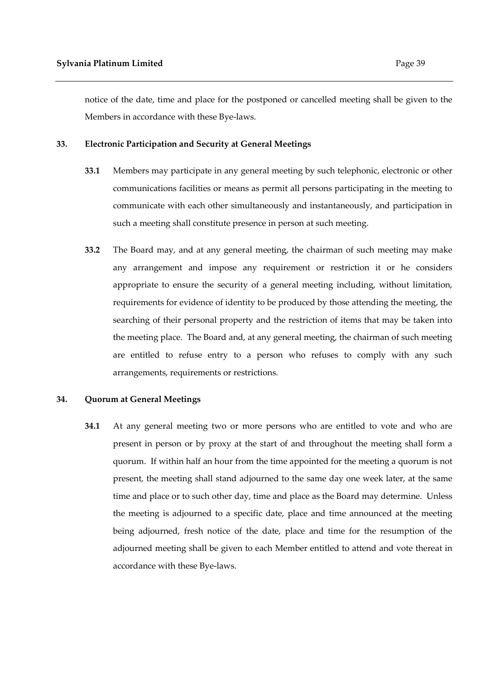notice of the date, time and place for the postponed or cancelled meeting shall be given to the Members in accordance with these Bye-laws.

#### **33. Electronic Participation and Security at General Meetings**

- **33.1** Members may participate in any general meeting by such telephonic, electronic or other communications facilities or means as permit all persons participating in the meeting to communicate with each other simultaneously and instantaneously, and participation in such a meeting shall constitute presence in person at such meeting.
- **33.2** The Board may, and at any general meeting, the chairman of such meeting may make any arrangement and impose any requirement or restriction it or he considers appropriate to ensure the security of a general meeting including, without limitation, requirements for evidence of identity to be produced by those attending the meeting, the searching of their personal property and the restriction of items that may be taken into the meeting place. The Board and, at any general meeting, the chairman of such meeting are entitled to refuse entry to a person who refuses to comply with any such arrangements, requirements or restrictions.

#### **34. Quorum at General Meetings**

**34.1** At any general meeting two or more persons who are entitled to vote and who are present in person or by proxy at the start of and throughout the meeting shall form a quorum. If within half an hour from the time appointed for the meeting a quorum is not present, the meeting shall stand adjourned to the same day one week later, at the same time and place or to such other day, time and place as the Board may determine. Unless the meeting is adjourned to a specific date, place and time announced at the meeting being adjourned, fresh notice of the date, place and time for the resumption of the adjourned meeting shall be given to each Member entitled to attend and vote thereat in accordance with these Bye-laws.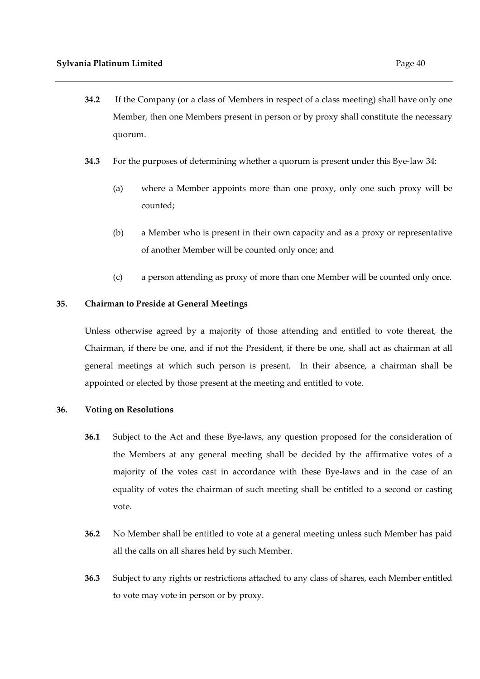- **34.2** If the Company (or a class of Members in respect of a class meeting) shall have only one Member, then one Members present in person or by proxy shall constitute the necessary quorum.
- **34.3** For the purposes of determining whether a quorum is present under this Bye-law 34:
	- (a) where a Member appoints more than one proxy, only one such proxy will be counted;
	- (b) a Member who is present in their own capacity and as a proxy or representative of another Member will be counted only once; and
	- (c) a person attending as proxy of more than one Member will be counted only once.

# **35. Chairman to Preside at General Meetings**

Unless otherwise agreed by a majority of those attending and entitled to vote thereat, the Chairman, if there be one, and if not the President, if there be one, shall act as chairman at all general meetings at which such person is present. In their absence, a chairman shall be appointed or elected by those present at the meeting and entitled to vote.

# **36. Voting on Resolutions**

- **36.1** Subject to the Act and these Bye-laws, any question proposed for the consideration of the Members at any general meeting shall be decided by the affirmative votes of a majority of the votes cast in accordance with these Bye-laws and in the case of an equality of votes the chairman of such meeting shall be entitled to a second or casting vote.
- **36.2** No Member shall be entitled to vote at a general meeting unless such Member has paid all the calls on all shares held by such Member.
- **36.3** Subject to any rights or restrictions attached to any class of shares, each Member entitled to vote may vote in person or by proxy.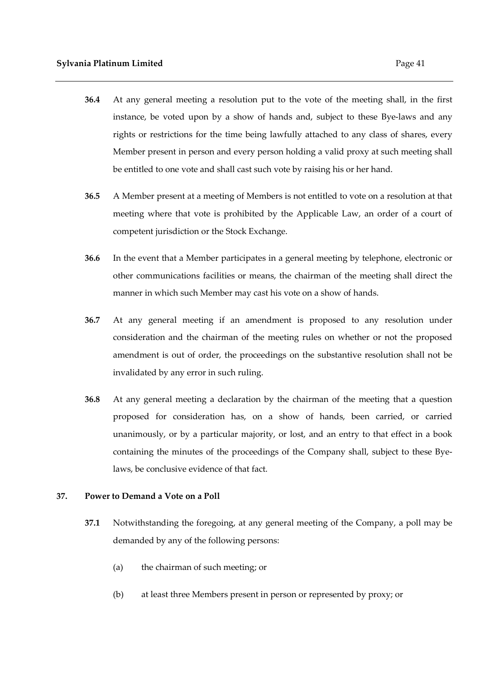- **36.4** At any general meeting a resolution put to the vote of the meeting shall, in the first instance, be voted upon by a show of hands and, subject to these Bye-laws and any rights or restrictions for the time being lawfully attached to any class of shares, every Member present in person and every person holding a valid proxy at such meeting shall be entitled to one vote and shall cast such vote by raising his or her hand.
- **36.5** A Member present at a meeting of Members is not entitled to vote on a resolution at that meeting where that vote is prohibited by the Applicable Law, an order of a court of competent jurisdiction or the Stock Exchange.
- **36.6** In the event that a Member participates in a general meeting by telephone, electronic or other communications facilities or means, the chairman of the meeting shall direct the manner in which such Member may cast his vote on a show of hands.
- **36.7** At any general meeting if an amendment is proposed to any resolution under consideration and the chairman of the meeting rules on whether or not the proposed amendment is out of order, the proceedings on the substantive resolution shall not be invalidated by any error in such ruling.
- **36.8** At any general meeting a declaration by the chairman of the meeting that a question proposed for consideration has, on a show of hands, been carried, or carried unanimously, or by a particular majority, or lost, and an entry to that effect in a book containing the minutes of the proceedings of the Company shall, subject to these Byelaws, be conclusive evidence of that fact.

#### **37. Power to Demand a Vote on a Poll**

- **37.1** Notwithstanding the foregoing, at any general meeting of the Company, a poll may be demanded by any of the following persons:
	- (a) the chairman of such meeting; or
	- (b) at least three Members present in person or represented by proxy; or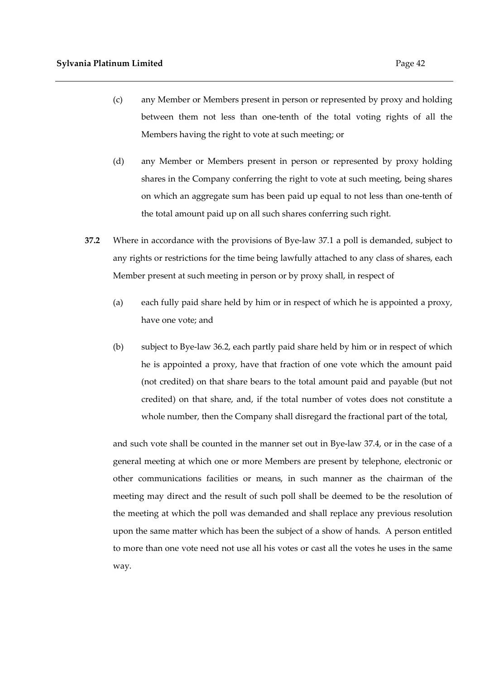- (c) any Member or Members present in person or represented by proxy and holding between them not less than one-tenth of the total voting rights of all the Members having the right to vote at such meeting; or
- (d) any Member or Members present in person or represented by proxy holding shares in the Company conferring the right to vote at such meeting, being shares on which an aggregate sum has been paid up equal to not less than one-tenth of the total amount paid up on all such shares conferring such right.
- **37.2** Where in accordance with the provisions of Bye-law 37.1 a poll is demanded, subject to any rights or restrictions for the time being lawfully attached to any class of shares, each Member present at such meeting in person or by proxy shall, in respect of
	- (a) each fully paid share held by him or in respect of which he is appointed a proxy, have one vote; and
	- (b) subject to Bye-law 36.2, each partly paid share held by him or in respect of which he is appointed a proxy, have that fraction of one vote which the amount paid (not credited) on that share bears to the total amount paid and payable (but not credited) on that share, and, if the total number of votes does not constitute a whole number, then the Company shall disregard the fractional part of the total,

and such vote shall be counted in the manner set out in Bye-law 37.4, or in the case of a general meeting at which one or more Members are present by telephone, electronic or other communications facilities or means, in such manner as the chairman of the meeting may direct and the result of such poll shall be deemed to be the resolution of the meeting at which the poll was demanded and shall replace any previous resolution upon the same matter which has been the subject of a show of hands. A person entitled to more than one vote need not use all his votes or cast all the votes he uses in the same way.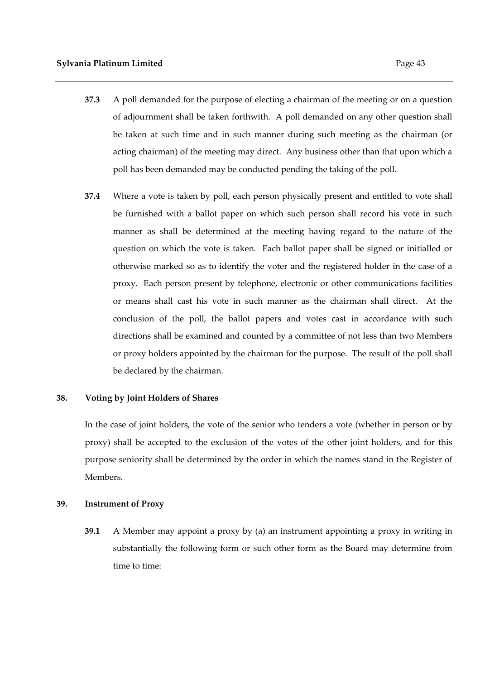- **37.3** A poll demanded for the purpose of electing a chairman of the meeting or on a question of adjournment shall be taken forthwith. A poll demanded on any other question shall be taken at such time and in such manner during such meeting as the chairman (or acting chairman) of the meeting may direct. Any business other than that upon which a poll has been demanded may be conducted pending the taking of the poll.
- **37.4** Where a vote is taken by poll, each person physically present and entitled to vote shall be furnished with a ballot paper on which such person shall record his vote in such manner as shall be determined at the meeting having regard to the nature of the question on which the vote is taken. Each ballot paper shall be signed or initialled or otherwise marked so as to identify the voter and the registered holder in the case of a proxy. Each person present by telephone, electronic or other communications facilities or means shall cast his vote in such manner as the chairman shall direct. At the conclusion of the poll, the ballot papers and votes cast in accordance with such directions shall be examined and counted by a committee of not less than two Members or proxy holders appointed by the chairman for the purpose. The result of the poll shall be declared by the chairman.

## **38. Voting by Joint Holders of Shares**

In the case of joint holders, the vote of the senior who tenders a vote (whether in person or by proxy) shall be accepted to the exclusion of the votes of the other joint holders, and for this purpose seniority shall be determined by the order in which the names stand in the Register of Members.

# **39. Instrument of Proxy**

**39.1** A Member may appoint a proxy by (a) an instrument appointing a proxy in writing in substantially the following form or such other form as the Board may determine from time to time: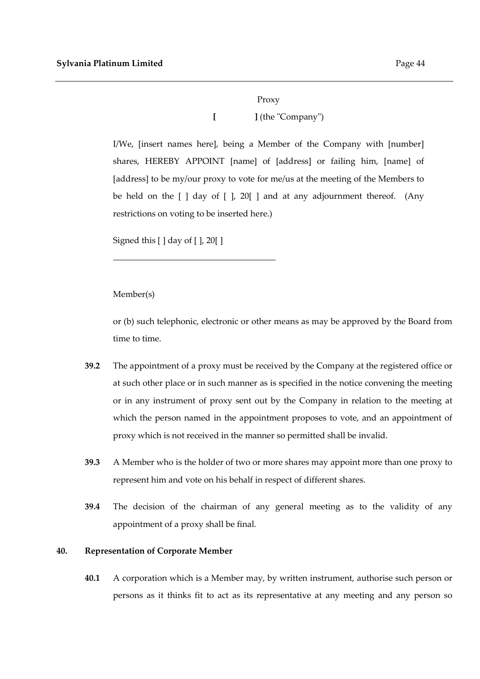# Proxy **[ ]** (the "Company")

I/We, [insert names here], being a Member of the Company with [number] shares, HEREBY APPOINT [name] of [address] or failing him, [name] of [address] to be my/our proxy to vote for me/us at the meeting of the Members to be held on the  $\lceil \cdot \rceil$  day of  $\lceil \cdot \rceil$ , 20  $\lceil \cdot \rceil$  and at any adjournment thereof. (Any restrictions on voting to be inserted here.)

Signed this [ ] day of [ ], 20[ ]

Member(s)

or (b) such telephonic, electronic or other means as may be approved by the Board from time to time.

- **39.2** The appointment of a proxy must be received by the Company at the registered office or at such other place or in such manner as is specified in the notice convening the meeting or in any instrument of proxy sent out by the Company in relation to the meeting at which the person named in the appointment proposes to vote, and an appointment of proxy which is not received in the manner so permitted shall be invalid.
- **39.3** A Member who is the holder of two or more shares may appoint more than one proxy to represent him and vote on his behalf in respect of different shares.
- **39.4** The decision of the chairman of any general meeting as to the validity of any appointment of a proxy shall be final.

# **40. Representation of Corporate Member**

**40.1** A corporation which is a Member may, by written instrument, authorise such person or persons as it thinks fit to act as its representative at any meeting and any person so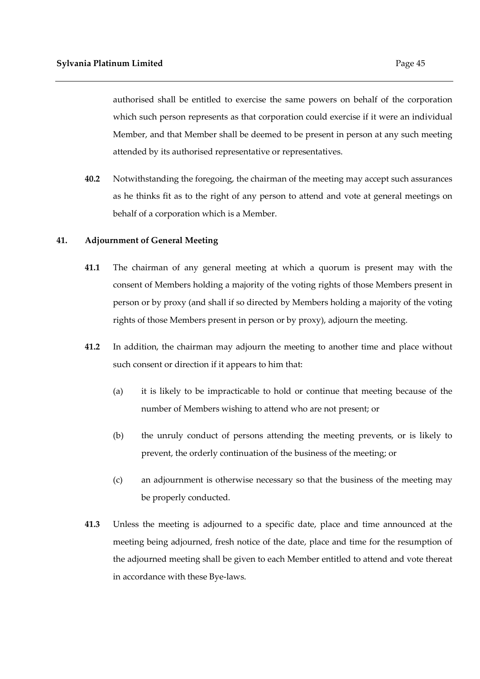authorised shall be entitled to exercise the same powers on behalf of the corporation which such person represents as that corporation could exercise if it were an individual Member, and that Member shall be deemed to be present in person at any such meeting attended by its authorised representative or representatives.

**40.2** Notwithstanding the foregoing, the chairman of the meeting may accept such assurances as he thinks fit as to the right of any person to attend and vote at general meetings on behalf of a corporation which is a Member.

#### **41. Adjournment of General Meeting**

- **41.1** The chairman of any general meeting at which a quorum is present may with the consent of Members holding a majority of the voting rights of those Members present in person or by proxy (and shall if so directed by Members holding a majority of the voting rights of those Members present in person or by proxy), adjourn the meeting.
- **41.2** In addition, the chairman may adjourn the meeting to another time and place without such consent or direction if it appears to him that:
	- (a) it is likely to be impracticable to hold or continue that meeting because of the number of Members wishing to attend who are not present; or
	- (b) the unruly conduct of persons attending the meeting prevents, or is likely to prevent, the orderly continuation of the business of the meeting; or
	- (c) an adjournment is otherwise necessary so that the business of the meeting may be properly conducted.
- **41.3** Unless the meeting is adjourned to a specific date, place and time announced at the meeting being adjourned, fresh notice of the date, place and time for the resumption of the adjourned meeting shall be given to each Member entitled to attend and vote thereat in accordance with these Bye-laws.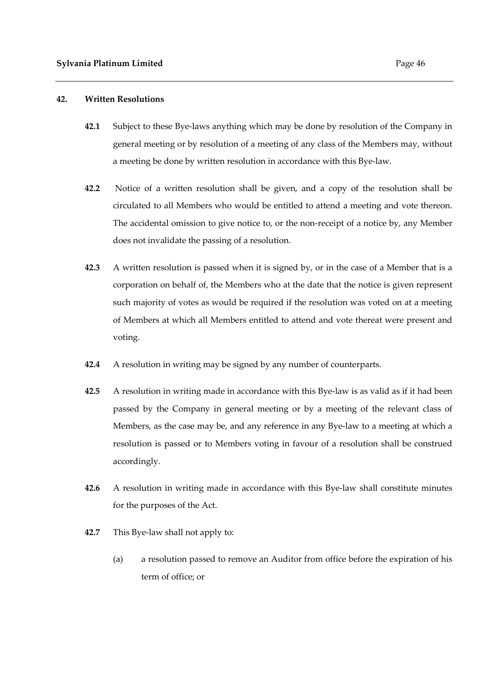## **42. Written Resolutions**

- **42.1** Subject to these Bye-laws anything which may be done by resolution of the Company in general meeting or by resolution of a meeting of any class of the Members may, without a meeting be done by written resolution in accordance with this Bye-law.
- **42.2** Notice of a written resolution shall be given, and a copy of the resolution shall be circulated to all Members who would be entitled to attend a meeting and vote thereon. The accidental omission to give notice to, or the non-receipt of a notice by, any Member does not invalidate the passing of a resolution.
- **42.3** A written resolution is passed when it is signed by, or in the case of a Member that is a corporation on behalf of, the Members who at the date that the notice is given represent such majority of votes as would be required if the resolution was voted on at a meeting of Members at which all Members entitled to attend and vote thereat were present and voting.
- **42.4** A resolution in writing may be signed by any number of counterparts.
- **42.5** A resolution in writing made in accordance with this Bye-law is as valid as if it had been passed by the Company in general meeting or by a meeting of the relevant class of Members, as the case may be, and any reference in any Bye-law to a meeting at which a resolution is passed or to Members voting in favour of a resolution shall be construed accordingly.
- **42.6** A resolution in writing made in accordance with this Bye-law shall constitute minutes for the purposes of the Act.
- **42.7** This Bye-law shall not apply to:
	- (a) a resolution passed to remove an Auditor from office before the expiration of his term of office; or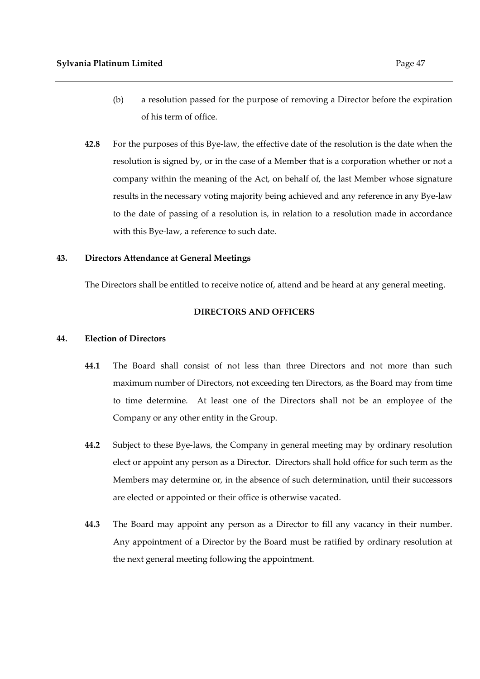- (b) a resolution passed for the purpose of removing a Director before the expiration of his term of office.
- **42.8** For the purposes of this Bye-law, the effective date of the resolution is the date when the resolution is signed by, or in the case of a Member that is a corporation whether or not a company within the meaning of the Act, on behalf of, the last Member whose signature results in the necessary voting majority being achieved and any reference in any Bye-law to the date of passing of a resolution is, in relation to a resolution made in accordance with this Bye-law, a reference to such date.

# **43. Directors Attendance at General Meetings**

The Directors shall be entitled to receive notice of, attend and be heard at any general meeting.

# **DIRECTORS AND OFFICERS**

## **44. Election of Directors**

- **44.1** The Board shall consist of not less than three Directors and not more than such maximum number of Directors, not exceeding ten Directors, as the Board may from time to time determine. At least one of the Directors shall not be an employee of the Company or any other entity in the Group.
- **44.2** Subject to these Bye-laws, the Company in general meeting may by ordinary resolution elect or appoint any person as a Director. Directors shall hold office for such term as the Members may determine or, in the absence of such determination, until their successors are elected or appointed or their office is otherwise vacated.
- **44.3** The Board may appoint any person as a Director to fill any vacancy in their number. Any appointment of a Director by the Board must be ratified by ordinary resolution at the next general meeting following the appointment.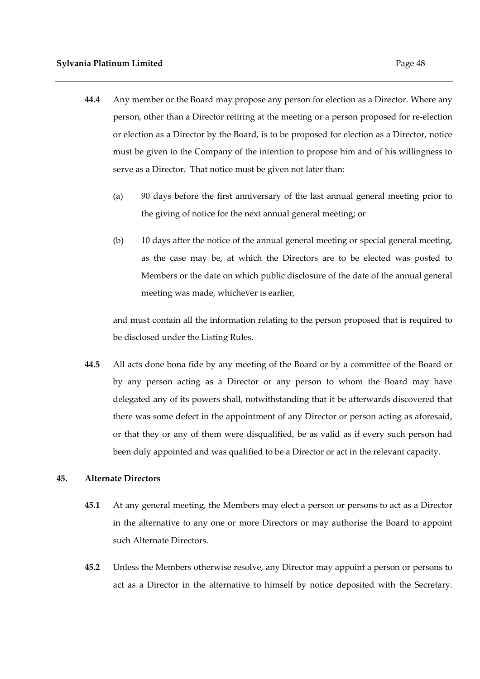- **44.4** Any member or the Board may propose any person for election as a Director. Where any person, other than a Director retiring at the meeting or a person proposed for re-election or election as a Director by the Board, is to be proposed for election as a Director, notice must be given to the Company of the intention to propose him and of his willingness to serve as a Director. That notice must be given not later than:
	- (a) 90 days before the first anniversary of the last annual general meeting prior to the giving of notice for the next annual general meeting; or
	- (b) 10 days after the notice of the annual general meeting or special general meeting, as the case may be, at which the Directors are to be elected was posted to Members or the date on which public disclosure of the date of the annual general meeting was made, whichever is earlier,

and must contain all the information relating to the person proposed that is required to be disclosed under the Listing Rules.

**44.5** All acts done bona fide by any meeting of the Board or by a committee of the Board or by any person acting as a Director or any person to whom the Board may have delegated any of its powers shall, notwithstanding that it be afterwards discovered that there was some defect in the appointment of any Director or person acting as aforesaid, or that they or any of them were disqualified, be as valid as if every such person had been duly appointed and was qualified to be a Director or act in the relevant capacity.

# **45. Alternate Directors**

- **45.1** At any general meeting, the Members may elect a person or persons to act as a Director in the alternative to any one or more Directors or may authorise the Board to appoint such Alternate Directors.
- **45.2** Unless the Members otherwise resolve, any Director may appoint a person or persons to act as a Director in the alternative to himself by notice deposited with the Secretary.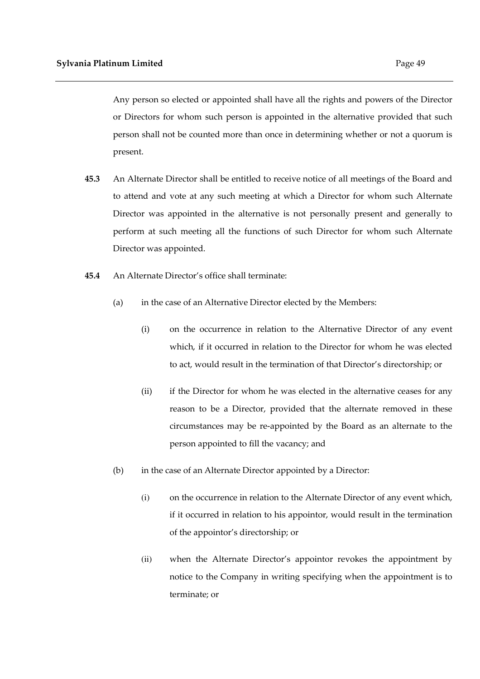Any person so elected or appointed shall have all the rights and powers of the Director or Directors for whom such person is appointed in the alternative provided that such person shall not be counted more than once in determining whether or not a quorum is present.

- **45.3** An Alternate Director shall be entitled to receive notice of all meetings of the Board and to attend and vote at any such meeting at which a Director for whom such Alternate Director was appointed in the alternative is not personally present and generally to perform at such meeting all the functions of such Director for whom such Alternate Director was appointed.
- **45.4** An Alternate Director's office shall terminate:
	- (a) in the case of an Alternative Director elected by the Members:
		- (i) on the occurrence in relation to the Alternative Director of any event which, if it occurred in relation to the Director for whom he was elected to act, would result in the termination of that Director's directorship; or
		- (ii) if the Director for whom he was elected in the alternative ceases for any reason to be a Director, provided that the alternate removed in these circumstances may be re-appointed by the Board as an alternate to the person appointed to fill the vacancy; and
	- (b) in the case of an Alternate Director appointed by a Director:
		- (i) on the occurrence in relation to the Alternate Director of any event which, if it occurred in relation to his appointor, would result in the termination of the appointor's directorship; or
		- (ii) when the Alternate Director's appointor revokes the appointment by notice to the Company in writing specifying when the appointment is to terminate; or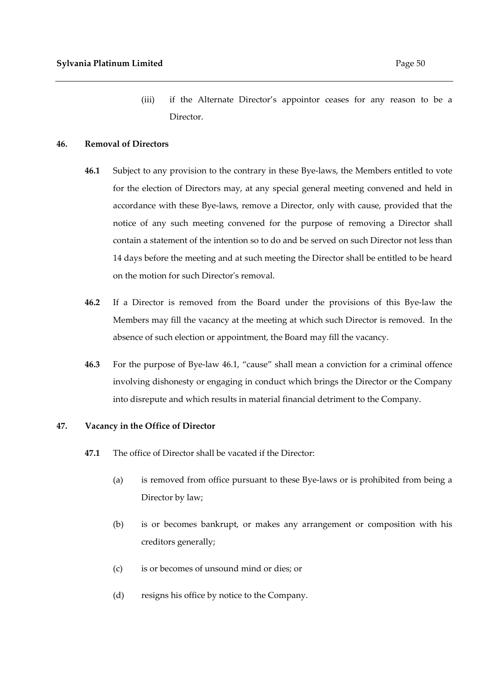(iii) if the Alternate Director's appointor ceases for any reason to be a Director.

## **46. Removal of Directors**

- **46.1** Subject to any provision to the contrary in these Bye-laws, the Members entitled to vote for the election of Directors may, at any special general meeting convened and held in accordance with these Bye-laws, remove a Director, only with cause, provided that the notice of any such meeting convened for the purpose of removing a Director shall contain a statement of the intention so to do and be served on such Director not less than 14 days before the meeting and at such meeting the Director shall be entitled to be heard on the motion for such Director's removal.
- **46.2** If a Director is removed from the Board under the provisions of this Bye-law the Members may fill the vacancy at the meeting at which such Director is removed. In the absence of such election or appointment, the Board may fill the vacancy.
- **46.3** For the purpose of Bye-law 46.1, "cause" shall mean a conviction for a criminal offence involving dishonesty or engaging in conduct which brings the Director or the Company into disrepute and which results in material financial detriment to the Company.

#### **47. Vacancy in the Office of Director**

- **47.1** The office of Director shall be vacated if the Director:
	- (a) is removed from office pursuant to these Bye-laws or is prohibited from being a Director by law;
	- (b) is or becomes bankrupt, or makes any arrangement or composition with his creditors generally;
	- (c) is or becomes of unsound mind or dies; or
	- (d) resigns his office by notice to the Company.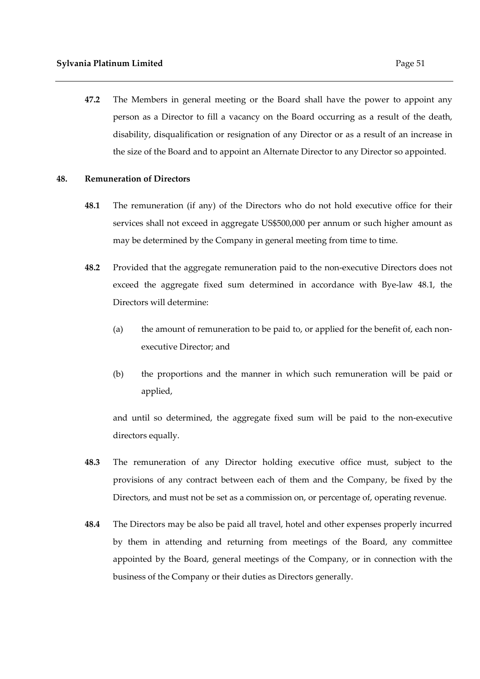**47.2** The Members in general meeting or the Board shall have the power to appoint any person as a Director to fill a vacancy on the Board occurring as a result of the death, disability, disqualification or resignation of any Director or as a result of an increase in the size of the Board and to appoint an Alternate Director to any Director so appointed.

#### **48. Remuneration of Directors**

- **48.1** The remuneration (if any) of the Directors who do not hold executive office for their services shall not exceed in aggregate US\$500,000 per annum or such higher amount as may be determined by the Company in general meeting from time to time.
- **48.2** Provided that the aggregate remuneration paid to the non-executive Directors does not exceed the aggregate fixed sum determined in accordance with Bye-law 48.1, the Directors will determine:
	- (a) the amount of remuneration to be paid to, or applied for the benefit of, each nonexecutive Director; and
	- (b) the proportions and the manner in which such remuneration will be paid or applied,

and until so determined, the aggregate fixed sum will be paid to the non-executive directors equally.

- **48.3** The remuneration of any Director holding executive office must, subject to the provisions of any contract between each of them and the Company, be fixed by the Directors, and must not be set as a commission on, or percentage of, operating revenue.
- **48.4** The Directors may be also be paid all travel, hotel and other expenses properly incurred by them in attending and returning from meetings of the Board, any committee appointed by the Board, general meetings of the Company, or in connection with the business of the Company or their duties as Directors generally.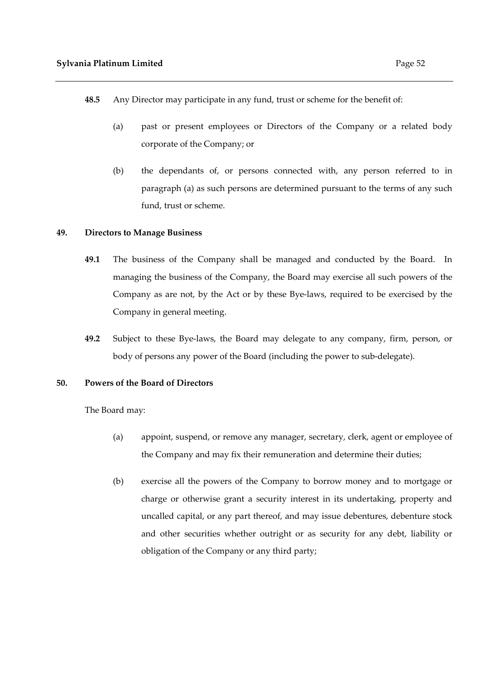- **48.5** Any Director may participate in any fund, trust or scheme for the benefit of:
	- (a) past or present employees or Directors of the Company or a related body corporate of the Company; or
	- (b) the dependants of, or persons connected with, any person referred to in paragraph (a) as such persons are determined pursuant to the terms of any such fund, trust or scheme.

# **49. Directors to Manage Business**

- **49.1** The business of the Company shall be managed and conducted by the Board. In managing the business of the Company, the Board may exercise all such powers of the Company as are not, by the Act or by these Bye-laws, required to be exercised by the Company in general meeting.
- **49.2** Subject to these Bye-laws, the Board may delegate to any company, firm, person, or body of persons any power of the Board (including the power to sub-delegate).

#### **50. Powers of the Board of Directors**

The Board may:

- (a) appoint, suspend, or remove any manager, secretary, clerk, agent or employee of the Company and may fix their remuneration and determine their duties;
- (b) exercise all the powers of the Company to borrow money and to mortgage or charge or otherwise grant a security interest in its undertaking, property and uncalled capital, or any part thereof, and may issue debentures, debenture stock and other securities whether outright or as security for any debt, liability or obligation of the Company or any third party;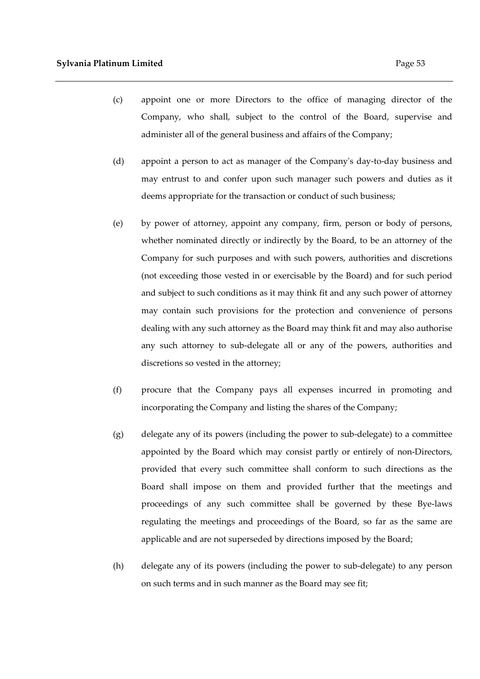- (c) appoint one or more Directors to the office of managing director of the Company, who shall, subject to the control of the Board, supervise and administer all of the general business and affairs of the Company;
- (d) appoint a person to act as manager of the Company's day-to-day business and may entrust to and confer upon such manager such powers and duties as it deems appropriate for the transaction or conduct of such business;
- (e) by power of attorney, appoint any company, firm, person or body of persons, whether nominated directly or indirectly by the Board, to be an attorney of the Company for such purposes and with such powers, authorities and discretions (not exceeding those vested in or exercisable by the Board) and for such period and subject to such conditions as it may think fit and any such power of attorney may contain such provisions for the protection and convenience of persons dealing with any such attorney as the Board may think fit and may also authorise any such attorney to sub-delegate all or any of the powers, authorities and discretions so vested in the attorney;
- (f) procure that the Company pays all expenses incurred in promoting and incorporating the Company and listing the shares of the Company;
- (g) delegate any of its powers (including the power to sub-delegate) to a committee appointed by the Board which may consist partly or entirely of non-Directors, provided that every such committee shall conform to such directions as the Board shall impose on them and provided further that the meetings and proceedings of any such committee shall be governed by these Bye-laws regulating the meetings and proceedings of the Board, so far as the same are applicable and are not superseded by directions imposed by the Board;
- (h) delegate any of its powers (including the power to sub-delegate) to any person on such terms and in such manner as the Board may see fit;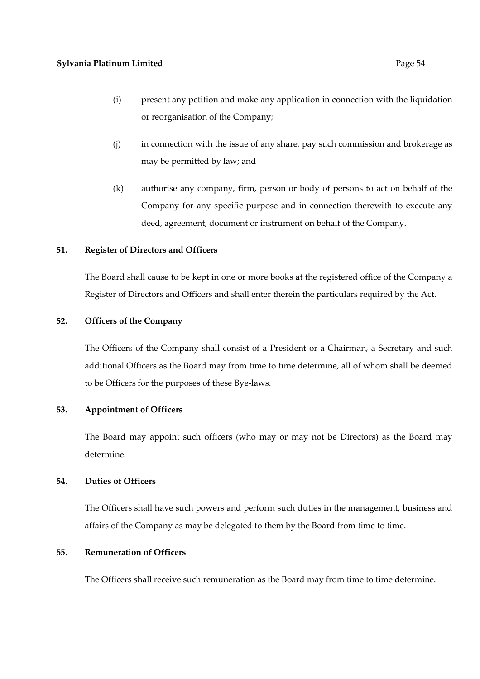- (i) present any petition and make any application in connection with the liquidation or reorganisation of the Company;
- (j) in connection with the issue of any share, pay such commission and brokerage as may be permitted by law; and
- (k) authorise any company, firm, person or body of persons to act on behalf of the Company for any specific purpose and in connection therewith to execute any deed, agreement, document or instrument on behalf of the Company.

# **51. Register of Directors and Officers**

The Board shall cause to be kept in one or more books at the registered office of the Company a Register of Directors and Officers and shall enter therein the particulars required by the Act.

# **52. Officers of the Company**

The Officers of the Company shall consist of a President or a Chairman, a Secretary and such additional Officers as the Board may from time to time determine, all of whom shall be deemed to be Officers for the purposes of these Bye-laws.

# **53. Appointment of Officers**

The Board may appoint such officers (who may or may not be Directors) as the Board may determine.

# **54. Duties of Officers**

The Officers shall have such powers and perform such duties in the management, business and affairs of the Company as may be delegated to them by the Board from time to time.

# **55. Remuneration of Officers**

The Officers shall receive such remuneration as the Board may from time to time determine.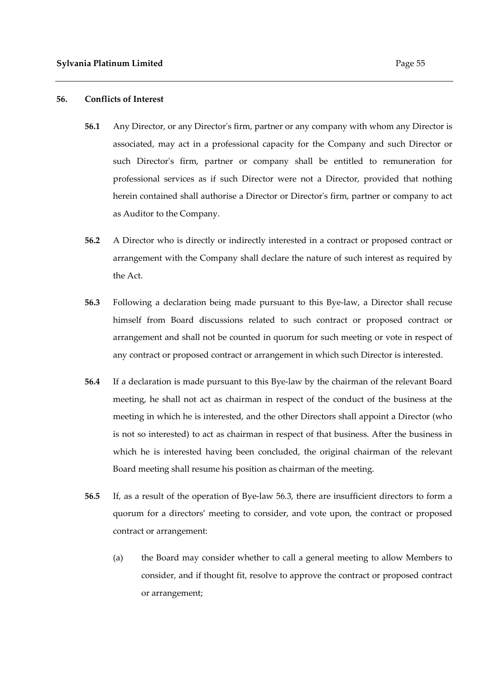#### **56. Conflicts of Interest**

- **56.1** Any Director, or any Director's firm, partner or any company with whom any Director is associated, may act in a professional capacity for the Company and such Director or such Director's firm, partner or company shall be entitled to remuneration for professional services as if such Director were not a Director, provided that nothing herein contained shall authorise a Director or Director's firm, partner or company to act as Auditor to the Company.
- **56.2** A Director who is directly or indirectly interested in a contract or proposed contract or arrangement with the Company shall declare the nature of such interest as required by the Act.
- **56.3** Following a declaration being made pursuant to this Bye-law, a Director shall recuse himself from Board discussions related to such contract or proposed contract or arrangement and shall not be counted in quorum for such meeting or vote in respect of any contract or proposed contract or arrangement in which such Director is interested.
- **56.4** If a declaration is made pursuant to this Bye-law by the chairman of the relevant Board meeting, he shall not act as chairman in respect of the conduct of the business at the meeting in which he is interested, and the other Directors shall appoint a Director (who is not so interested) to act as chairman in respect of that business. After the business in which he is interested having been concluded, the original chairman of the relevant Board meeting shall resume his position as chairman of the meeting.
- **56.5** If, as a result of the operation of Bye-law 56.3, there are insufficient directors to form a quorum for a directors' meeting to consider, and vote upon, the contract or proposed contract or arrangement:
	- (a) the Board may consider whether to call a general meeting to allow Members to consider, and if thought fit, resolve to approve the contract or proposed contract or arrangement;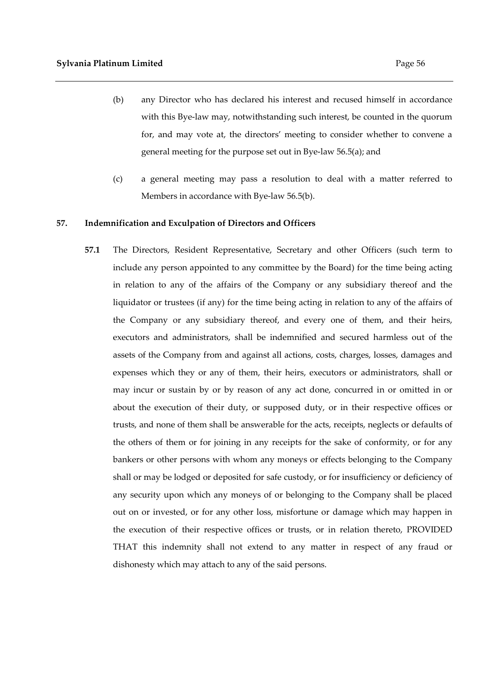- (b) any Director who has declared his interest and recused himself in accordance with this Bye-law may, notwithstanding such interest, be counted in the quorum for, and may vote at, the directors' meeting to consider whether to convene a general meeting for the purpose set out in Bye-law 56.5(a); and
- (c) a general meeting may pass a resolution to deal with a matter referred to Members in accordance with Bye-law 56.5(b).

#### **57. Indemnification and Exculpation of Directors and Officers**

**57.1** The Directors, Resident Representative, Secretary and other Officers (such term to include any person appointed to any committee by the Board) for the time being acting in relation to any of the affairs of the Company or any subsidiary thereof and the liquidator or trustees (if any) for the time being acting in relation to any of the affairs of the Company or any subsidiary thereof, and every one of them, and their heirs, executors and administrators, shall be indemnified and secured harmless out of the assets of the Company from and against all actions, costs, charges, losses, damages and expenses which they or any of them, their heirs, executors or administrators, shall or may incur or sustain by or by reason of any act done, concurred in or omitted in or about the execution of their duty, or supposed duty, or in their respective offices or trusts, and none of them shall be answerable for the acts, receipts, neglects or defaults of the others of them or for joining in any receipts for the sake of conformity, or for any bankers or other persons with whom any moneys or effects belonging to the Company shall or may be lodged or deposited for safe custody, or for insufficiency or deficiency of any security upon which any moneys of or belonging to the Company shall be placed out on or invested, or for any other loss, misfortune or damage which may happen in the execution of their respective offices or trusts, or in relation thereto, PROVIDED THAT this indemnity shall not extend to any matter in respect of any fraud or dishonesty which may attach to any of the said persons.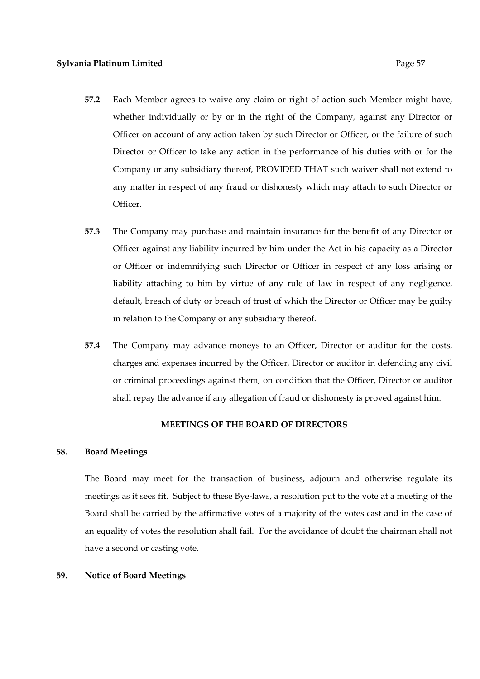- **57.2** Each Member agrees to waive any claim or right of action such Member might have, whether individually or by or in the right of the Company, against any Director or Officer on account of any action taken by such Director or Officer, or the failure of such Director or Officer to take any action in the performance of his duties with or for the Company or any subsidiary thereof, PROVIDED THAT such waiver shall not extend to any matter in respect of any fraud or dishonesty which may attach to such Director or Officer.
- **57.3** The Company may purchase and maintain insurance for the benefit of any Director or Officer against any liability incurred by him under the Act in his capacity as a Director or Officer or indemnifying such Director or Officer in respect of any loss arising or liability attaching to him by virtue of any rule of law in respect of any negligence, default, breach of duty or breach of trust of which the Director or Officer may be guilty in relation to the Company or any subsidiary thereof.
- **57.4** The Company may advance moneys to an Officer, Director or auditor for the costs, charges and expenses incurred by the Officer, Director or auditor in defending any civil or criminal proceedings against them, on condition that the Officer, Director or auditor shall repay the advance if any allegation of fraud or dishonesty is proved against him.

# **MEETINGS OF THE BOARD OF DIRECTORS**

#### **58. Board Meetings**

The Board may meet for the transaction of business, adjourn and otherwise regulate its meetings as it sees fit. Subject to these Bye-laws, a resolution put to the vote at a meeting of the Board shall be carried by the affirmative votes of a majority of the votes cast and in the case of an equality of votes the resolution shall fail. For the avoidance of doubt the chairman shall not have a second or casting vote.

## **59. Notice of Board Meetings**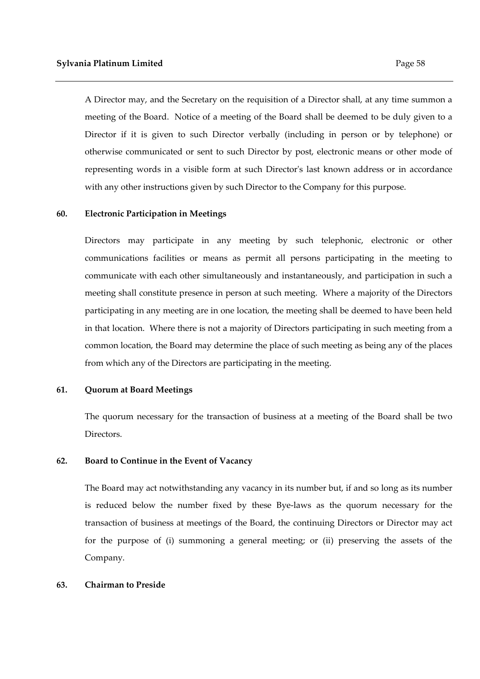A Director may, and the Secretary on the requisition of a Director shall, at any time summon a meeting of the Board. Notice of a meeting of the Board shall be deemed to be duly given to a Director if it is given to such Director verbally (including in person or by telephone) or otherwise communicated or sent to such Director by post, electronic means or other mode of representing words in a visible form at such Director's last known address or in accordance with any other instructions given by such Director to the Company for this purpose.

## **60. Electronic Participation in Meetings**

Directors may participate in any meeting by such telephonic, electronic or other communications facilities or means as permit all persons participating in the meeting to communicate with each other simultaneously and instantaneously, and participation in such a meeting shall constitute presence in person at such meeting. Where a majority of the Directors participating in any meeting are in one location, the meeting shall be deemed to have been held in that location. Where there is not a majority of Directors participating in such meeting from a common location, the Board may determine the place of such meeting as being any of the places from which any of the Directors are participating in the meeting.

#### **61. Quorum at Board Meetings**

The quorum necessary for the transaction of business at a meeting of the Board shall be two Directors.

# **62. Board to Continue in the Event of Vacancy**

The Board may act notwithstanding any vacancy in its number but, if and so long as its number is reduced below the number fixed by these Bye-laws as the quorum necessary for the transaction of business at meetings of the Board, the continuing Directors or Director may act for the purpose of (i) summoning a general meeting; or (ii) preserving the assets of the Company.

#### **63. Chairman to Preside**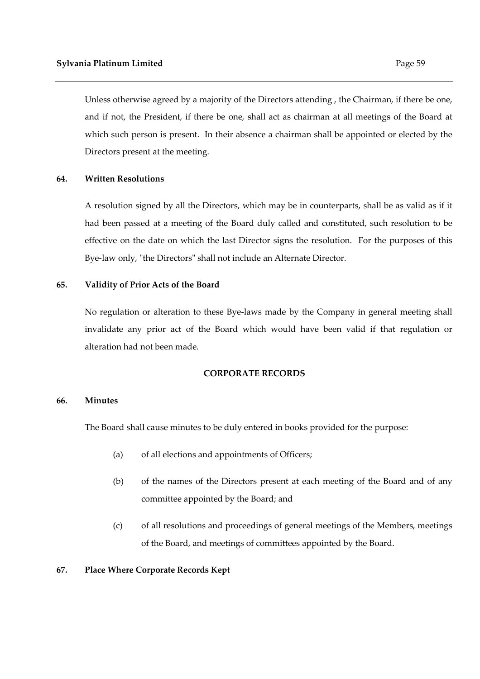which such person is present. In their absence a chairman shall be appointed or elected by the Directors present at the meeting.

# **64. Written Resolutions**

A resolution signed by all the Directors, which may be in counterparts, shall be as valid as if it had been passed at a meeting of the Board duly called and constituted, such resolution to be effective on the date on which the last Director signs the resolution. For the purposes of this Bye-law only, "the Directors" shall not include an Alternate Director.

# **65. Validity of Prior Acts of the Board**

No regulation or alteration to these Bye-laws made by the Company in general meeting shall invalidate any prior act of the Board which would have been valid if that regulation or alteration had not been made.

#### **CORPORATE RECORDS**

#### **66. Minutes**

The Board shall cause minutes to be duly entered in books provided for the purpose:

- (a) of all elections and appointments of Officers;
- (b) of the names of the Directors present at each meeting of the Board and of any committee appointed by the Board; and
- (c) of all resolutions and proceedings of general meetings of the Members, meetings of the Board, and meetings of committees appointed by the Board.

# **67. Place Where Corporate Records Kept**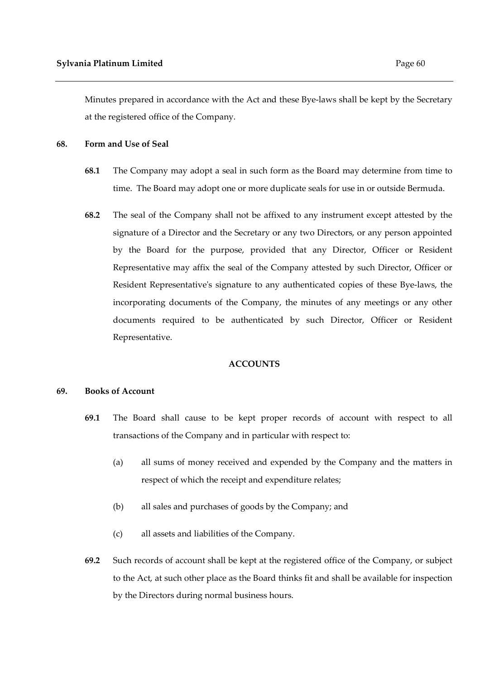Minutes prepared in accordance with the Act and these Bye-laws shall be kept by the Secretary at the registered office of the Company.

#### **68. Form and Use of Seal**

- **68.1** The Company may adopt a seal in such form as the Board may determine from time to time. The Board may adopt one or more duplicate seals for use in or outside Bermuda.
- **68.2** The seal of the Company shall not be affixed to any instrument except attested by the signature of a Director and the Secretary or any two Directors, or any person appointed by the Board for the purpose, provided that any Director, Officer or Resident Representative may affix the seal of the Company attested by such Director, Officer or Resident Representative's signature to any authenticated copies of these Bye-laws, the incorporating documents of the Company, the minutes of any meetings or any other documents required to be authenticated by such Director, Officer or Resident Representative.

#### **ACCOUNTS**

#### **69. Books of Account**

- **69.1** The Board shall cause to be kept proper records of account with respect to all transactions of the Company and in particular with respect to:
	- (a) all sums of money received and expended by the Company and the matters in respect of which the receipt and expenditure relates;
	- (b) all sales and purchases of goods by the Company; and
	- (c) all assets and liabilities of the Company.
- **69.2** Such records of account shall be kept at the registered office of the Company, or subject to the Act, at such other place as the Board thinks fit and shall be available for inspection by the Directors during normal business hours.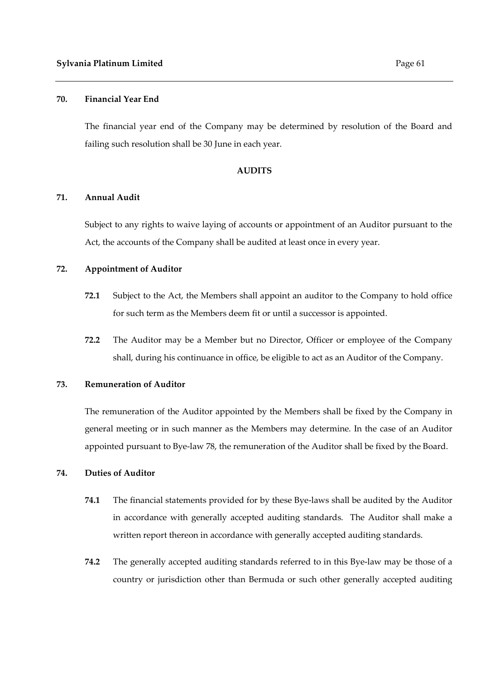The financial year end of the Company may be determined by resolution of the Board and failing such resolution shall be 30 June in each year.

#### **AUDITS**

#### **71. Annual Audit**

Subject to any rights to waive laying of accounts or appointment of an Auditor pursuant to the Act, the accounts of the Company shall be audited at least once in every year.

# **72. Appointment of Auditor**

- **72.1** Subject to the Act, the Members shall appoint an auditor to the Company to hold office for such term as the Members deem fit or until a successor is appointed.
- **72.2** The Auditor may be a Member but no Director, Officer or employee of the Company shall, during his continuance in office, be eligible to act as an Auditor of the Company.

# **73. Remuneration of Auditor**

The remuneration of the Auditor appointed by the Members shall be fixed by the Company in general meeting or in such manner as the Members may determine. In the case of an Auditor appointed pursuant to Bye-law 78, the remuneration of the Auditor shall be fixed by the Board.

# **74. Duties of Auditor**

- **74.1** The financial statements provided for by these Bye-laws shall be audited by the Auditor in accordance with generally accepted auditing standards. The Auditor shall make a written report thereon in accordance with generally accepted auditing standards.
- **74.2** The generally accepted auditing standards referred to in this Bye-law may be those of a country or jurisdiction other than Bermuda or such other generally accepted auditing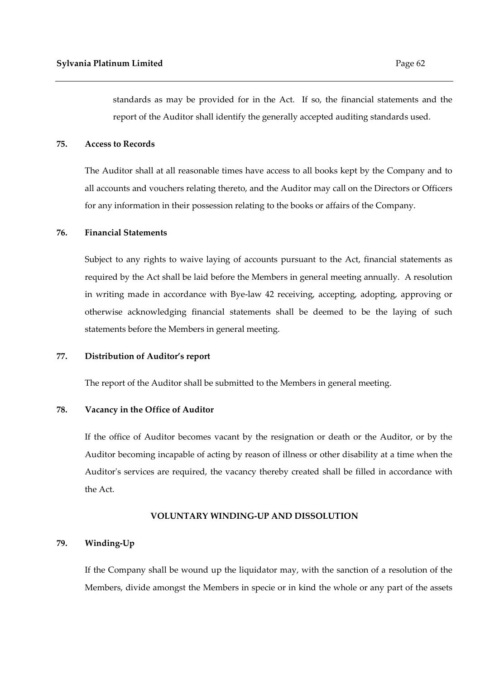standards as may be provided for in the Act. If so, the financial statements and the report of the Auditor shall identify the generally accepted auditing standards used.

## **75. Access to Records**

 The Auditor shall at all reasonable times have access to all books kept by the Company and to all accounts and vouchers relating thereto, and the Auditor may call on the Directors or Officers for any information in their possession relating to the books or affairs of the Company.

# **76. Financial Statements**

Subject to any rights to waive laying of accounts pursuant to the Act, financial statements as required by the Act shall be laid before the Members in general meeting annually. A resolution in writing made in accordance with Bye-law 42 receiving, accepting, adopting, approving or otherwise acknowledging financial statements shall be deemed to be the laying of such statements before the Members in general meeting.

#### **77. Distribution of Auditor's report**

The report of the Auditor shall be submitted to the Members in general meeting.

## **78. Vacancy in the Office of Auditor**

If the office of Auditor becomes vacant by the resignation or death or the Auditor, or by the Auditor becoming incapable of acting by reason of illness or other disability at a time when the Auditor's services are required, the vacancy thereby created shall be filled in accordance with the Act.

#### **VOLUNTARY WINDING-UP AND DISSOLUTION**

## **79. Winding-Up**

If the Company shall be wound up the liquidator may, with the sanction of a resolution of the Members, divide amongst the Members in specie or in kind the whole or any part of the assets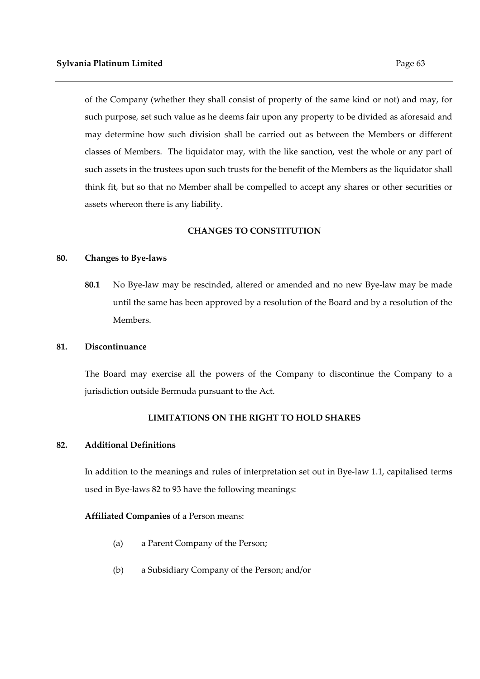of the Company (whether they shall consist of property of the same kind or not) and may, for such purpose, set such value as he deems fair upon any property to be divided as aforesaid and may determine how such division shall be carried out as between the Members or different classes of Members. The liquidator may, with the like sanction, vest the whole or any part of such assets in the trustees upon such trusts for the benefit of the Members as the liquidator shall think fit, but so that no Member shall be compelled to accept any shares or other securities or assets whereon there is any liability.

## **CHANGES TO CONSTITUTION**

#### **80. Changes to Bye-laws**

**80.1** No Bye-law may be rescinded, altered or amended and no new Bye-law may be made until the same has been approved by a resolution of the Board and by a resolution of the Members.

#### **81. Discontinuance**

The Board may exercise all the powers of the Company to discontinue the Company to a jurisdiction outside Bermuda pursuant to the Act.

## **LIMITATIONS ON THE RIGHT TO HOLD SHARES**

## **82. Additional Definitions**

In addition to the meanings and rules of interpretation set out in Bye-law 1.1, capitalised terms used in Bye-laws 82 to 93 have the following meanings:

## **Affiliated Companies** of a Person means:

- (a) a Parent Company of the Person;
- (b) a Subsidiary Company of the Person; and/or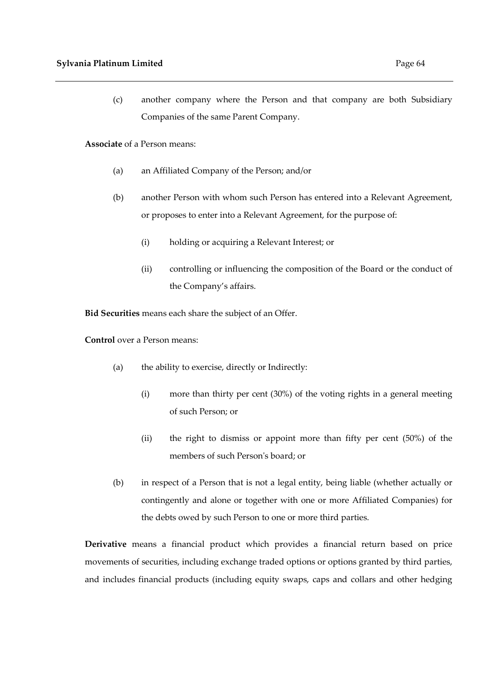(c) another company where the Person and that company are both Subsidiary Companies of the same Parent Company.

**Associate** of a Person means:

- (a) an Affiliated Company of the Person; and/or
- (b) another Person with whom such Person has entered into a Relevant Agreement, or proposes to enter into a Relevant Agreement, for the purpose of:
	- (i) holding or acquiring a Relevant Interest; or
	- (ii) controlling or influencing the composition of the Board or the conduct of the Company's affairs.

**Bid Securities** means each share the subject of an Offer.

**Control** over a Person means:

- (a) the ability to exercise, directly or Indirectly:
	- (i) more than thirty per cent (30%) of the voting rights in a general meeting of such Person; or
	- (ii) the right to dismiss or appoint more than fifty per cent (50%) of the members of such Person's board; or
- (b) in respect of a Person that is not a legal entity, being liable (whether actually or contingently and alone or together with one or more Affiliated Companies) for the debts owed by such Person to one or more third parties.

**Derivative** means a financial product which provides a financial return based on price movements of securities, including exchange traded options or options granted by third parties, and includes financial products (including equity swaps, caps and collars and other hedging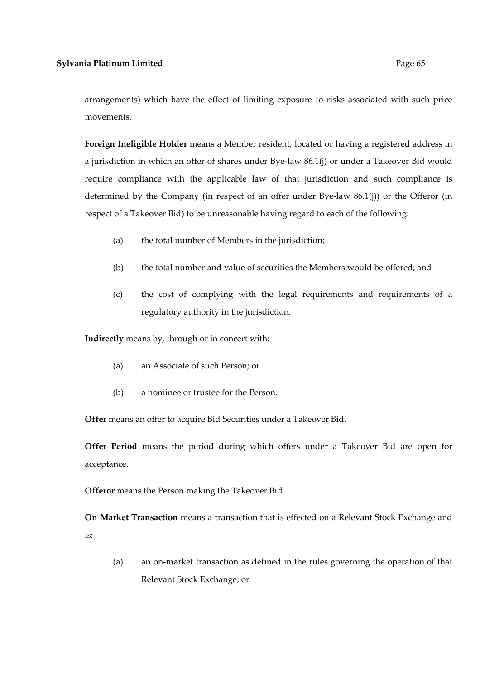arrangements) which have the effect of limiting exposure to risks associated with such price movements.

**Foreign Ineligible Holder** means a Member resident, located or having a registered address in a jurisdiction in which an offer of shares under Bye-law 86.1(j) or under a Takeover Bid would require compliance with the applicable law of that jurisdiction and such compliance is determined by the Company (in respect of an offer under Bye-law 86.1(j)) or the Offeror (in respect of a Takeover Bid) to be unreasonable having regard to each of the following:

- (a) the total number of Members in the jurisdiction;
- (b) the total number and value of securities the Members would be offered; and
- (c) the cost of complying with the legal requirements and requirements of a regulatory authority in the jurisdiction.

**Indirectly** means by, through or in concert with:

- (a) an Associate of such Person; or
- (b) a nominee or trustee for the Person.

**Offer** means an offer to acquire Bid Securities under a Takeover Bid.

**Offer Period** means the period during which offers under a Takeover Bid are open for acceptance.

**Offeror** means the Person making the Takeover Bid.

**On Market Transaction** means a transaction that is effected on a Relevant Stock Exchange and is:

(a) an on-market transaction as defined in the rules governing the operation of that Relevant Stock Exchange; or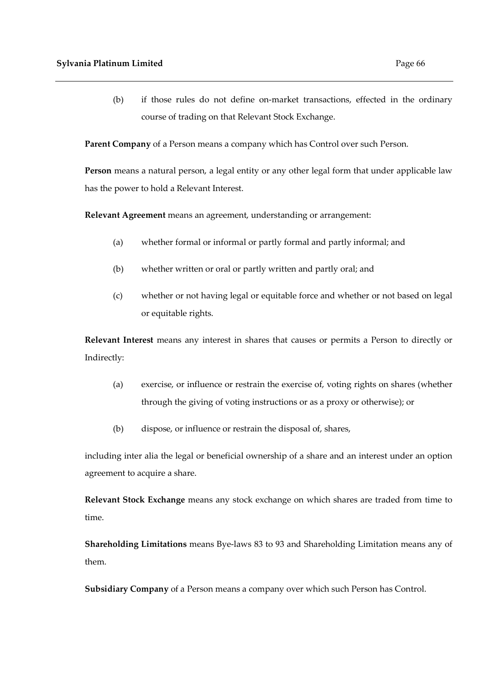(b) if those rules do not define on-market transactions, effected in the ordinary course of trading on that Relevant Stock Exchange.

**Parent Company** of a Person means a company which has Control over such Person.

**Person** means a natural person, a legal entity or any other legal form that under applicable law has the power to hold a Relevant Interest.

**Relevant Agreement** means an agreement, understanding or arrangement:

- (a) whether formal or informal or partly formal and partly informal; and
- (b) whether written or oral or partly written and partly oral; and
- (c) whether or not having legal or equitable force and whether or not based on legal or equitable rights.

**Relevant Interest** means any interest in shares that causes or permits a Person to directly or Indirectly:

- (a) exercise, or influence or restrain the exercise of, voting rights on shares (whether through the giving of voting instructions or as a proxy or otherwise); or
- (b) dispose, or influence or restrain the disposal of, shares,

including inter alia the legal or beneficial ownership of a share and an interest under an option agreement to acquire a share.

**Relevant Stock Exchange** means any stock exchange on which shares are traded from time to time.

**Shareholding Limitations** means Bye-laws 83 to 93 and Shareholding Limitation means any of them.

**Subsidiary Company** of a Person means a company over which such Person has Control.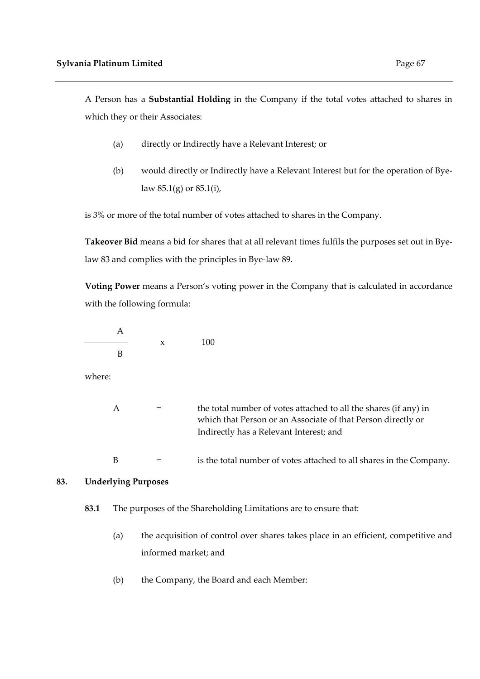A Person has a **Substantial Holding** in the Company if the total votes attached to shares in which they or their Associates:

- (a) directly or Indirectly have a Relevant Interest; or
- (b) would directly or Indirectly have a Relevant Interest but for the operation of Byelaw 85.1(g) or 85.1(i),

is 3% or more of the total number of votes attached to shares in the Company.

**Takeover Bid** means a bid for shares that at all relevant times fulfils the purposes set out in Byelaw 83 and complies with the principles in Bye-law 89.

**Voting Power** means a Person's voting power in the Company that is calculated in accordance with the following formula:

$$
\frac{A}{B} \qquad x \qquad 100
$$

where:

| A | the total number of votes attached to all the shares (if any) in<br>which that Person or an Associate of that Person directly or<br>Indirectly has a Relevant Interest; and |
|---|-----------------------------------------------------------------------------------------------------------------------------------------------------------------------------|
| B | is the total number of votes attached to all shares in the Company.                                                                                                         |

# **83. Underlying Purposes**

- **83.1** The purposes of the Shareholding Limitations are to ensure that:
	- (a) the acquisition of control over shares takes place in an efficient, competitive and informed market; and
	- (b) the Company, the Board and each Member: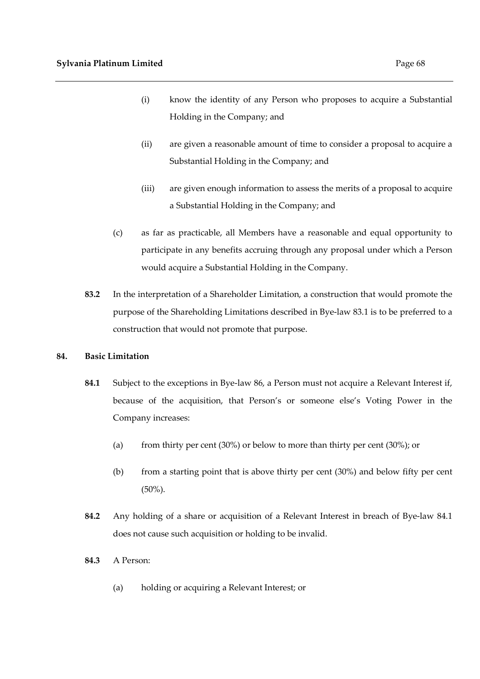- (i) know the identity of any Person who proposes to acquire a Substantial Holding in the Company; and
- (ii) are given a reasonable amount of time to consider a proposal to acquire a Substantial Holding in the Company; and
- (iii) are given enough information to assess the merits of a proposal to acquire a Substantial Holding in the Company; and
- (c) as far as practicable, all Members have a reasonable and equal opportunity to participate in any benefits accruing through any proposal under which a Person would acquire a Substantial Holding in the Company.
- **83.2** In the interpretation of a Shareholder Limitation, a construction that would promote the purpose of the Shareholding Limitations described in Bye-law 83.1 is to be preferred to a construction that would not promote that purpose.

# **84. Basic Limitation**

- **84.1** Subject to the exceptions in Bye-law 86, a Person must not acquire a Relevant Interest if, because of the acquisition, that Person's or someone else's Voting Power in the Company increases:
	- (a) from thirty per cent (30%) or below to more than thirty per cent (30%); or
	- (b) from a starting point that is above thirty per cent (30%) and below fifty per cent (50%).
- **84.2** Any holding of a share or acquisition of a Relevant Interest in breach of Bye-law 84.1 does not cause such acquisition or holding to be invalid.
- **84.3** A Person:
	- (a) holding or acquiring a Relevant Interest; or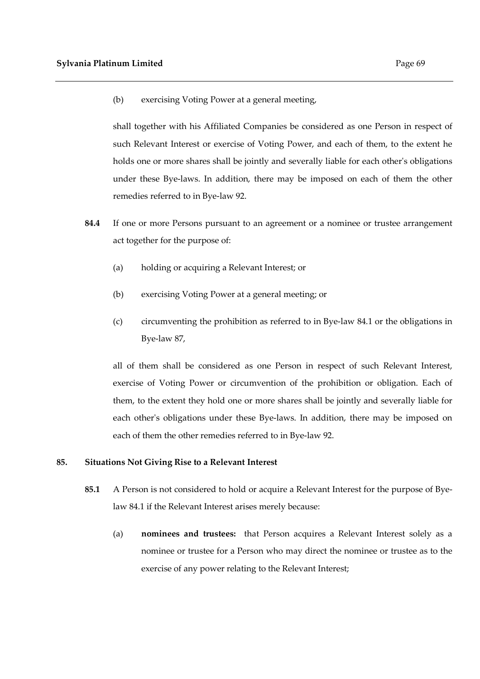(b) exercising Voting Power at a general meeting,

shall together with his Affiliated Companies be considered as one Person in respect of such Relevant Interest or exercise of Voting Power, and each of them, to the extent he holds one or more shares shall be jointly and severally liable for each other's obligations under these Bye-laws. In addition, there may be imposed on each of them the other remedies referred to in Bye-law 92.

- **84.4** If one or more Persons pursuant to an agreement or a nominee or trustee arrangement act together for the purpose of:
	- (a) holding or acquiring a Relevant Interest; or
	- (b) exercising Voting Power at a general meeting; or
	- (c) circumventing the prohibition as referred to in Bye-law 84.1 or the obligations in Bye-law 87,

all of them shall be considered as one Person in respect of such Relevant Interest, exercise of Voting Power or circumvention of the prohibition or obligation. Each of them, to the extent they hold one or more shares shall be jointly and severally liable for each other's obligations under these Bye-laws. In addition, there may be imposed on each of them the other remedies referred to in Bye-law 92.

#### **85. Situations Not Giving Rise to a Relevant Interest**

- **85.1** A Person is not considered to hold or acquire a Relevant Interest for the purpose of Byelaw 84.1 if the Relevant Interest arises merely because:
	- (a) **nominees and trustees:** that Person acquires a Relevant Interest solely as a nominee or trustee for a Person who may direct the nominee or trustee as to the exercise of any power relating to the Relevant Interest;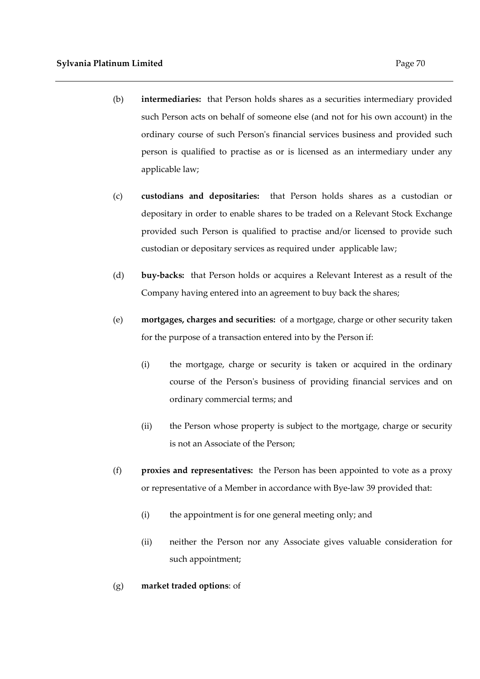- (b) **intermediaries:** that Person holds shares as a securities intermediary provided such Person acts on behalf of someone else (and not for his own account) in the ordinary course of such Person's financial services business and provided such person is qualified to practise as or is licensed as an intermediary under any applicable law;
- (c) **custodians and depositaries:** that Person holds shares as a custodian or depositary in order to enable shares to be traded on a Relevant Stock Exchange provided such Person is qualified to practise and/or licensed to provide such custodian or depositary services as required under applicable law;
- (d) **buy-backs:** that Person holds or acquires a Relevant Interest as a result of the Company having entered into an agreement to buy back the shares;
- (e) **mortgages, charges and securities:** of a mortgage, charge or other security taken for the purpose of a transaction entered into by the Person if:
	- (i) the mortgage, charge or security is taken or acquired in the ordinary course of the Person's business of providing financial services and on ordinary commercial terms; and
	- (ii) the Person whose property is subject to the mortgage, charge or security is not an Associate of the Person;
- (f) **proxies and representatives:** the Person has been appointed to vote as a proxy or representative of a Member in accordance with Bye-law 39 provided that:
	- (i) the appointment is for one general meeting only; and
	- (ii) neither the Person nor any Associate gives valuable consideration for such appointment;
- (g) **market traded options**: of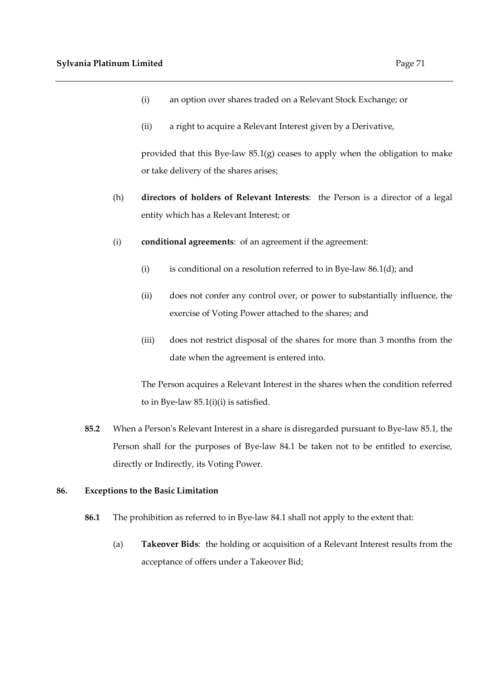- (i) an option over shares traded on a Relevant Stock Exchange; or
- (ii) a right to acquire a Relevant Interest given by a Derivative,

provided that this Bye-law 85.1(g) ceases to apply when the obligation to make or take delivery of the shares arises;

- (h) **directors of holders of Relevant Interests**: the Person is a director of a legal entity which has a Relevant Interest; or
- (i) **conditional agreements**: of an agreement if the agreement:
	- (i) is conditional on a resolution referred to in Bye-law  $86.1(d)$ ; and
	- (ii) does not confer any control over, or power to substantially influence, the exercise of Voting Power attached to the shares; and
	- (iii) does not restrict disposal of the shares for more than 3 months from the date when the agreement is entered into.

The Person acquires a Relevant Interest in the shares when the condition referred to in Bye-law 85.1(i)(i) is satisfied.

**85.2** When a Person's Relevant Interest in a share is disregarded pursuant to Bye-law 85.1, the Person shall for the purposes of Bye-law 84.1 be taken not to be entitled to exercise, directly or Indirectly, its Voting Power.

## **86. Exceptions to the Basic Limitation**

- **86.1** The prohibition as referred to in Bye-law 84.1 shall not apply to the extent that:
	- (a) **Takeover Bids**: the holding or acquisition of a Relevant Interest results from the acceptance of offers under a Takeover Bid;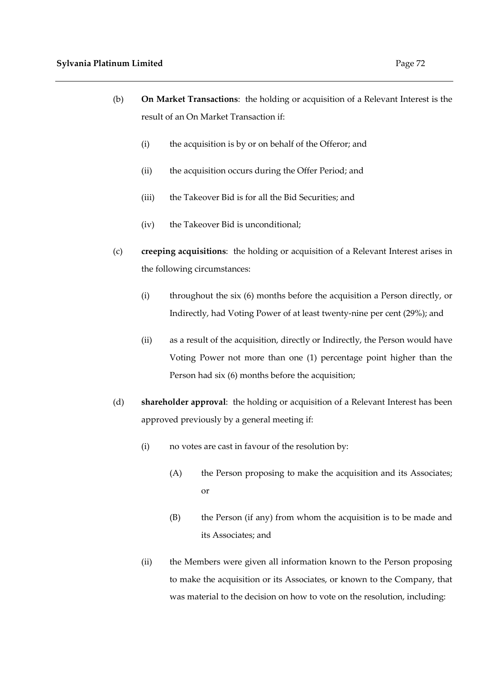- (b) **On Market Transactions**: the holding or acquisition of a Relevant Interest is the result of an On Market Transaction if:
	- (i) the acquisition is by or on behalf of the Offeror; and
	- (ii) the acquisition occurs during the Offer Period; and
	- (iii) the Takeover Bid is for all the Bid Securities; and
	- (iv) the Takeover Bid is unconditional;
- (c) **creeping acquisitions**: the holding or acquisition of a Relevant Interest arises in the following circumstances:
	- (i) throughout the six (6) months before the acquisition a Person directly, or Indirectly, had Voting Power of at least twenty-nine per cent (29%); and
	- (ii) as a result of the acquisition, directly or Indirectly, the Person would have Voting Power not more than one (1) percentage point higher than the Person had six (6) months before the acquisition;
- (d) **shareholder approval**: the holding or acquisition of a Relevant Interest has been approved previously by a general meeting if:
	- (i) no votes are cast in favour of the resolution by:
		- (A) the Person proposing to make the acquisition and its Associates; or
		- (B) the Person (if any) from whom the acquisition is to be made and its Associates; and
	- (ii) the Members were given all information known to the Person proposing to make the acquisition or its Associates, or known to the Company, that was material to the decision on how to vote on the resolution, including: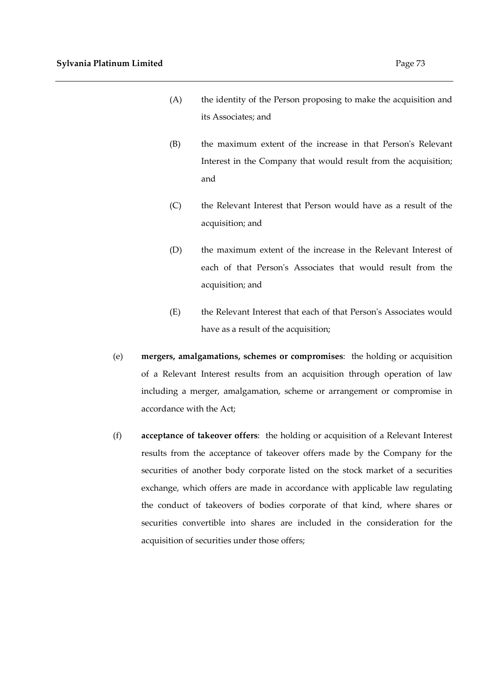- (A) the identity of the Person proposing to make the acquisition and its Associates; and
- (B) the maximum extent of the increase in that Person's Relevant Interest in the Company that would result from the acquisition; and
- (C) the Relevant Interest that Person would have as a result of the acquisition; and
- (D) the maximum extent of the increase in the Relevant Interest of each of that Person's Associates that would result from the acquisition; and
- (E) the Relevant Interest that each of that Person's Associates would have as a result of the acquisition;
- (e) **mergers, amalgamations, schemes or compromises**: the holding or acquisition of a Relevant Interest results from an acquisition through operation of law including a merger, amalgamation, scheme or arrangement or compromise in accordance with the Act;
- (f) **acceptance of takeover offers**: the holding or acquisition of a Relevant Interest results from the acceptance of takeover offers made by the Company for the securities of another body corporate listed on the stock market of a securities exchange, which offers are made in accordance with applicable law regulating the conduct of takeovers of bodies corporate of that kind, where shares or securities convertible into shares are included in the consideration for the acquisition of securities under those offers;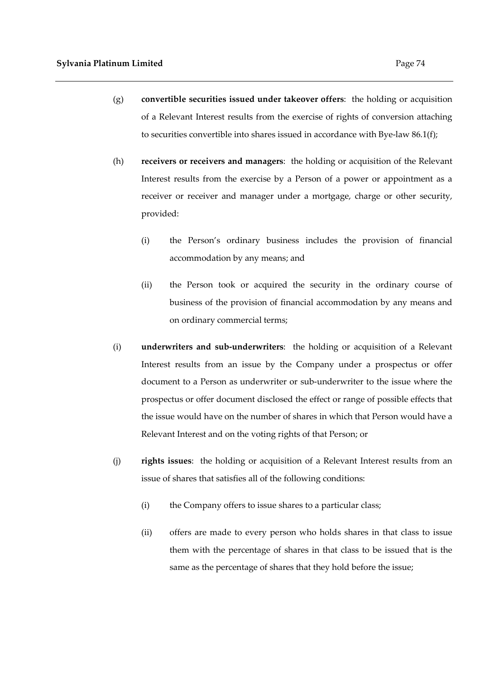- (g) **convertible securities issued under takeover offers**: the holding or acquisition of a Relevant Interest results from the exercise of rights of conversion attaching to securities convertible into shares issued in accordance with Bye-law 86.1(f);
- (h) **receivers or receivers and managers**: the holding or acquisition of the Relevant Interest results from the exercise by a Person of a power or appointment as a receiver or receiver and manager under a mortgage, charge or other security, provided:
	- (i) the Person's ordinary business includes the provision of financial accommodation by any means; and
	- (ii) the Person took or acquired the security in the ordinary course of business of the provision of financial accommodation by any means and on ordinary commercial terms;
- (i) **underwriters and sub-underwriters**: the holding or acquisition of a Relevant Interest results from an issue by the Company under a prospectus or offer document to a Person as underwriter or sub-underwriter to the issue where the prospectus or offer document disclosed the effect or range of possible effects that the issue would have on the number of shares in which that Person would have a Relevant Interest and on the voting rights of that Person; or
- (j) **rights issues**: the holding or acquisition of a Relevant Interest results from an issue of shares that satisfies all of the following conditions:
	- (i) the Company offers to issue shares to a particular class;
	- (ii) offers are made to every person who holds shares in that class to issue them with the percentage of shares in that class to be issued that is the same as the percentage of shares that they hold before the issue;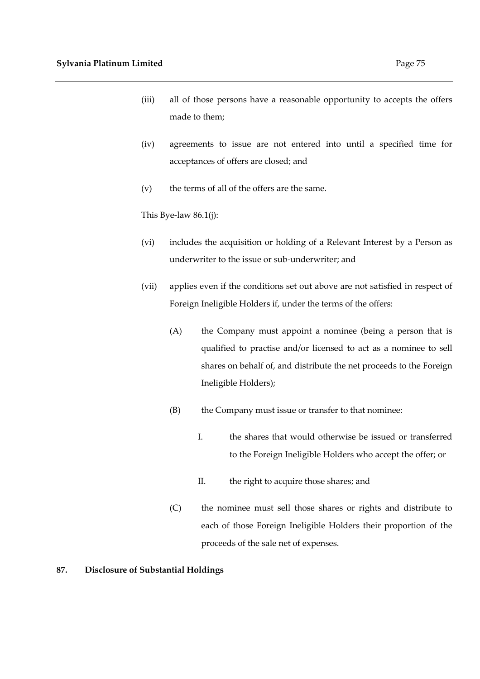- (iii) all of those persons have a reasonable opportunity to accepts the offers made to them;
- (iv) agreements to issue are not entered into until a specified time for acceptances of offers are closed; and
- (v) the terms of all of the offers are the same.

This Bye-law 86.1(j):

- (vi) includes the acquisition or holding of a Relevant Interest by a Person as underwriter to the issue or sub-underwriter; and
- (vii) applies even if the conditions set out above are not satisfied in respect of Foreign Ineligible Holders if, under the terms of the offers:
	- (A) the Company must appoint a nominee (being a person that is qualified to practise and/or licensed to act as a nominee to sell shares on behalf of, and distribute the net proceeds to the Foreign Ineligible Holders);
	- (B) the Company must issue or transfer to that nominee:
		- I. the shares that would otherwise be issued or transferred to the Foreign Ineligible Holders who accept the offer; or
		- II. the right to acquire those shares; and
	- (C) the nominee must sell those shares or rights and distribute to each of those Foreign Ineligible Holders their proportion of the proceeds of the sale net of expenses.

## **87. Disclosure of Substantial Holdings**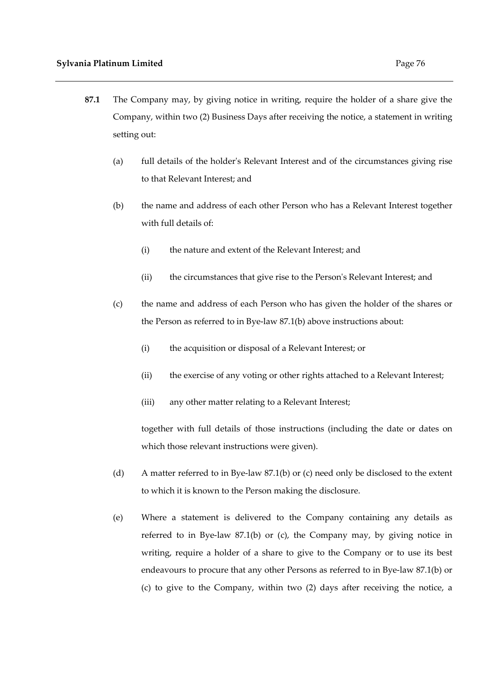- **87.1** The Company may, by giving notice in writing, require the holder of a share give the Company, within two (2) Business Days after receiving the notice, a statement in writing setting out:
	- (a) full details of the holder's Relevant Interest and of the circumstances giving rise to that Relevant Interest; and
	- (b) the name and address of each other Person who has a Relevant Interest together with full details of:
		- (i) the nature and extent of the Relevant Interest; and
		- (ii) the circumstances that give rise to the Person's Relevant Interest; and
	- (c) the name and address of each Person who has given the holder of the shares or the Person as referred to in Bye-law 87.1(b) above instructions about:
		- (i) the acquisition or disposal of a Relevant Interest; or
		- (ii) the exercise of any voting or other rights attached to a Relevant Interest;
		- (iii) any other matter relating to a Relevant Interest;

together with full details of those instructions (including the date or dates on which those relevant instructions were given).

- (d) A matter referred to in Bye-law 87.1(b) or (c) need only be disclosed to the extent to which it is known to the Person making the disclosure.
- (e) Where a statement is delivered to the Company containing any details as referred to in Bye-law 87.1(b) or (c), the Company may, by giving notice in writing, require a holder of a share to give to the Company or to use its best endeavours to procure that any other Persons as referred to in Bye-law 87.1(b) or (c) to give to the Company, within two (2) days after receiving the notice, a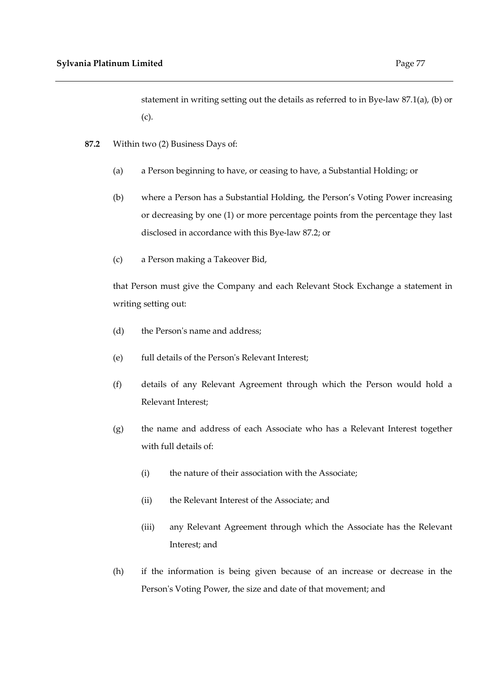statement in writing setting out the details as referred to in Bye-law 87.1(a), (b) or (c).

- **87.2** Within two (2) Business Days of:
	- (a) a Person beginning to have, or ceasing to have, a Substantial Holding; or
	- (b) where a Person has a Substantial Holding, the Person's Voting Power increasing or decreasing by one (1) or more percentage points from the percentage they last disclosed in accordance with this Bye-law 87.2; or
	- (c) a Person making a Takeover Bid,

that Person must give the Company and each Relevant Stock Exchange a statement in writing setting out:

- (d) the Person's name and address;
- (e) full details of the Person's Relevant Interest;
- (f) details of any Relevant Agreement through which the Person would hold a Relevant Interest;
- (g) the name and address of each Associate who has a Relevant Interest together with full details of:
	- (i) the nature of their association with the Associate;
	- (ii) the Relevant Interest of the Associate; and
	- (iii) any Relevant Agreement through which the Associate has the Relevant Interest; and
- (h) if the information is being given because of an increase or decrease in the Person's Voting Power, the size and date of that movement; and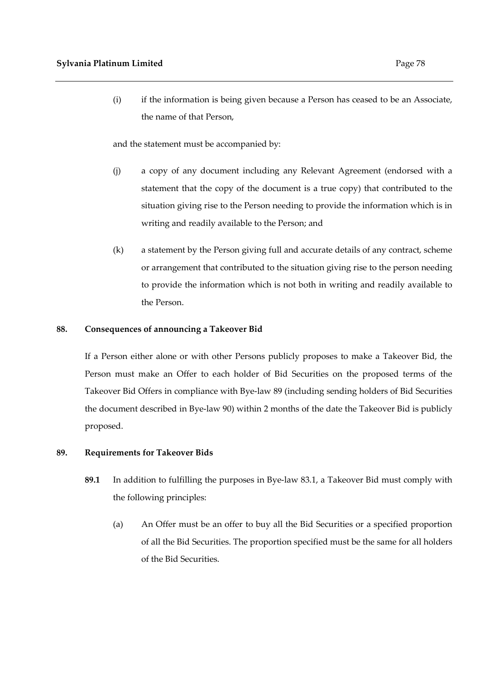(i) if the information is being given because a Person has ceased to be an Associate, the name of that Person,

and the statement must be accompanied by:

- (j) a copy of any document including any Relevant Agreement (endorsed with a statement that the copy of the document is a true copy) that contributed to the situation giving rise to the Person needing to provide the information which is in writing and readily available to the Person; and
- (k) a statement by the Person giving full and accurate details of any contract, scheme or arrangement that contributed to the situation giving rise to the person needing to provide the information which is not both in writing and readily available to the Person.

### **88. Consequences of announcing a Takeover Bid**

If a Person either alone or with other Persons publicly proposes to make a Takeover Bid, the Person must make an Offer to each holder of Bid Securities on the proposed terms of the Takeover Bid Offers in compliance with Bye-law 89 (including sending holders of Bid Securities the document described in Bye-law 90) within 2 months of the date the Takeover Bid is publicly proposed.

#### **89. Requirements for Takeover Bids**

- **89.1** In addition to fulfilling the purposes in Bye-law 83.1, a Takeover Bid must comply with the following principles:
	- (a) An Offer must be an offer to buy all the Bid Securities or a specified proportion of all the Bid Securities. The proportion specified must be the same for all holders of the Bid Securities.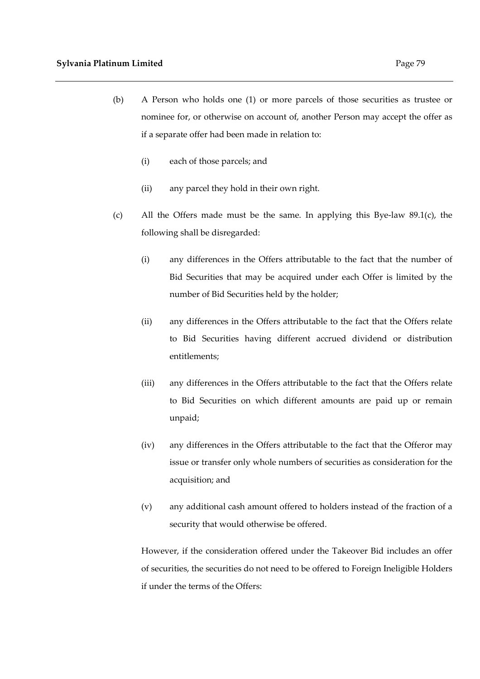- (b) A Person who holds one (1) or more parcels of those securities as trustee or nominee for, or otherwise on account of, another Person may accept the offer as if a separate offer had been made in relation to:
	- (i) each of those parcels; and
	- (ii) any parcel they hold in their own right.
- (c) All the Offers made must be the same. In applying this Bye-law 89.1(c), the following shall be disregarded:
	- (i) any differences in the Offers attributable to the fact that the number of Bid Securities that may be acquired under each Offer is limited by the number of Bid Securities held by the holder;
	- (ii) any differences in the Offers attributable to the fact that the Offers relate to Bid Securities having different accrued dividend or distribution entitlements;
	- (iii) any differences in the Offers attributable to the fact that the Offers relate to Bid Securities on which different amounts are paid up or remain unpaid;
	- (iv) any differences in the Offers attributable to the fact that the Offeror may issue or transfer only whole numbers of securities as consideration for the acquisition; and
	- (v) any additional cash amount offered to holders instead of the fraction of a security that would otherwise be offered.

However, if the consideration offered under the Takeover Bid includes an offer of securities, the securities do not need to be offered to Foreign Ineligible Holders if under the terms of the Offers: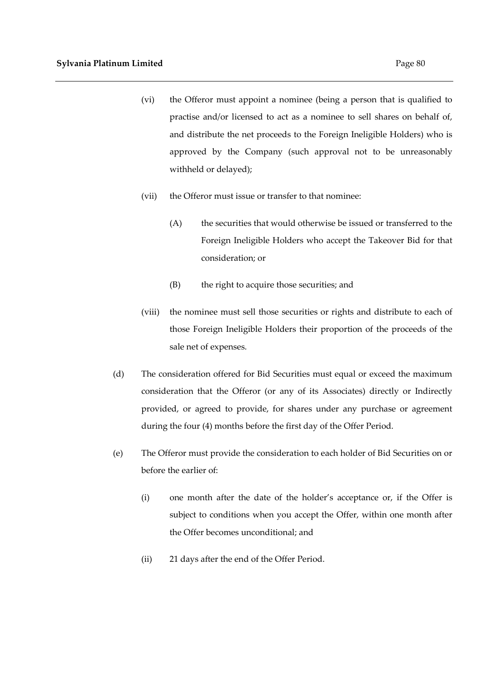- (vi) the Offeror must appoint a nominee (being a person that is qualified to practise and/or licensed to act as a nominee to sell shares on behalf of, and distribute the net proceeds to the Foreign Ineligible Holders) who is approved by the Company (such approval not to be unreasonably withheld or delayed);
- (vii) the Offeror must issue or transfer to that nominee:
	- (A) the securities that would otherwise be issued or transferred to the Foreign Ineligible Holders who accept the Takeover Bid for that consideration; or
	- (B) the right to acquire those securities; and
- (viii) the nominee must sell those securities or rights and distribute to each of those Foreign Ineligible Holders their proportion of the proceeds of the sale net of expenses.
- (d) The consideration offered for Bid Securities must equal or exceed the maximum consideration that the Offeror (or any of its Associates) directly or Indirectly provided, or agreed to provide, for shares under any purchase or agreement during the four (4) months before the first day of the Offer Period.
- (e) The Offeror must provide the consideration to each holder of Bid Securities on or before the earlier of:
	- (i) one month after the date of the holder's acceptance or, if the Offer is subject to conditions when you accept the Offer, within one month after the Offer becomes unconditional; and
	- (ii) 21 days after the end of the Offer Period.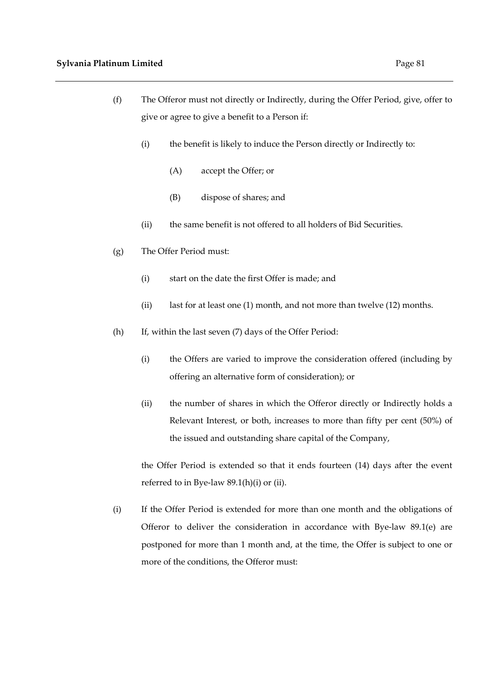- (f) The Offeror must not directly or Indirectly, during the Offer Period, give, offer to give or agree to give a benefit to a Person if:
	- (i) the benefit is likely to induce the Person directly or Indirectly to:
		- (A) accept the Offer; or
		- (B) dispose of shares; and
	- (ii) the same benefit is not offered to all holders of Bid Securities.
- (g) The Offer Period must:
	- (i) start on the date the first Offer is made; and
	- (ii) last for at least one (1) month, and not more than twelve (12) months.
- (h) If, within the last seven (7) days of the Offer Period:
	- (i) the Offers are varied to improve the consideration offered (including by offering an alternative form of consideration); or
	- (ii) the number of shares in which the Offeror directly or Indirectly holds a Relevant Interest, or both, increases to more than fifty per cent (50%) of the issued and outstanding share capital of the Company,

the Offer Period is extended so that it ends fourteen (14) days after the event referred to in Bye-law 89.1(h)(i) or (ii).

(i) If the Offer Period is extended for more than one month and the obligations of Offeror to deliver the consideration in accordance with Bye-law 89.1(e) are postponed for more than 1 month and, at the time, the Offer is subject to one or more of the conditions, the Offeror must: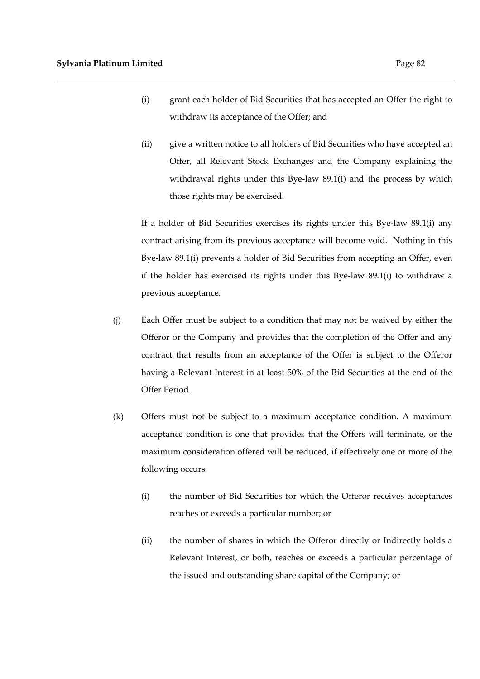- (i) grant each holder of Bid Securities that has accepted an Offer the right to withdraw its acceptance of the Offer; and
- (ii) give a written notice to all holders of Bid Securities who have accepted an Offer, all Relevant Stock Exchanges and the Company explaining the withdrawal rights under this Bye-law 89.1(i) and the process by which those rights may be exercised.

If a holder of Bid Securities exercises its rights under this Bye-law 89.1(i) any contract arising from its previous acceptance will become void. Nothing in this Bye-law 89.1(i) prevents a holder of Bid Securities from accepting an Offer, even if the holder has exercised its rights under this Bye-law 89.1(i) to withdraw a previous acceptance.

- (j) Each Offer must be subject to a condition that may not be waived by either the Offeror or the Company and provides that the completion of the Offer and any contract that results from an acceptance of the Offer is subject to the Offeror having a Relevant Interest in at least 50% of the Bid Securities at the end of the Offer Period.
- (k) Offers must not be subject to a maximum acceptance condition. A maximum acceptance condition is one that provides that the Offers will terminate, or the maximum consideration offered will be reduced, if effectively one or more of the following occurs:
	- (i) the number of Bid Securities for which the Offeror receives acceptances reaches or exceeds a particular number; or
	- (ii) the number of shares in which the Offeror directly or Indirectly holds a Relevant Interest, or both, reaches or exceeds a particular percentage of the issued and outstanding share capital of the Company; or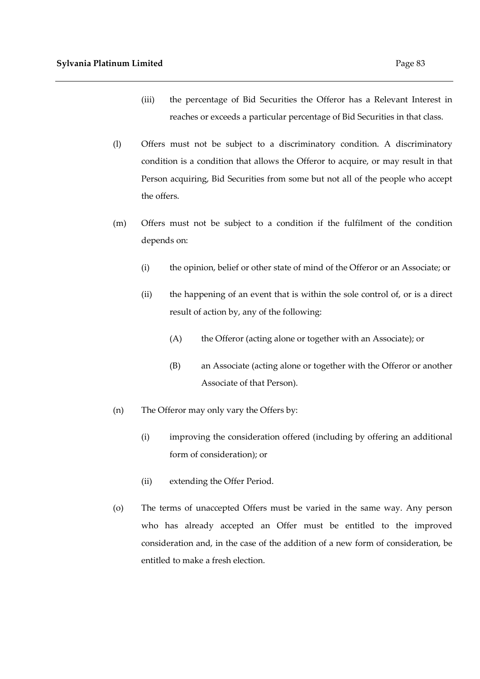- (iii) the percentage of Bid Securities the Offeror has a Relevant Interest in reaches or exceeds a particular percentage of Bid Securities in that class.
- (l) Offers must not be subject to a discriminatory condition. A discriminatory condition is a condition that allows the Offeror to acquire, or may result in that Person acquiring, Bid Securities from some but not all of the people who accept the offers.
- (m) Offers must not be subject to a condition if the fulfilment of the condition depends on:
	- (i) the opinion, belief or other state of mind of the Offeror or an Associate; or
	- (ii) the happening of an event that is within the sole control of, or is a direct result of action by, any of the following:
		- (A) the Offeror (acting alone or together with an Associate); or
		- (B) an Associate (acting alone or together with the Offeror or another Associate of that Person).
- (n) The Offeror may only vary the Offers by:
	- (i) improving the consideration offered (including by offering an additional form of consideration); or
	- (ii) extending the Offer Period.
- (o) The terms of unaccepted Offers must be varied in the same way. Any person who has already accepted an Offer must be entitled to the improved consideration and, in the case of the addition of a new form of consideration, be entitled to make a fresh election.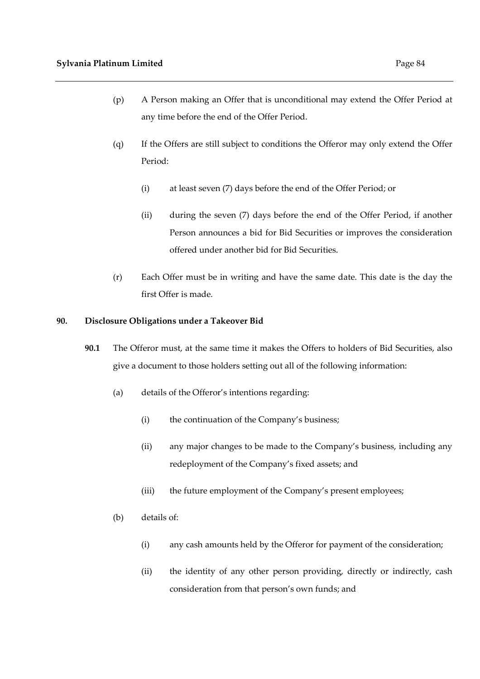- (p) A Person making an Offer that is unconditional may extend the Offer Period at any time before the end of the Offer Period.
- (q) If the Offers are still subject to conditions the Offeror may only extend the Offer Period:
	- (i) at least seven (7) days before the end of the Offer Period; or
	- (ii) during the seven (7) days before the end of the Offer Period, if another Person announces a bid for Bid Securities or improves the consideration offered under another bid for Bid Securities.
- (r) Each Offer must be in writing and have the same date. This date is the day the first Offer is made.

## **90. Disclosure Obligations under a Takeover Bid**

- **90.1** The Offeror must, at the same time it makes the Offers to holders of Bid Securities, also give a document to those holders setting out all of the following information:
	- (a) details of the Offeror's intentions regarding:
		- (i) the continuation of the Company's business;
		- (ii) any major changes to be made to the Company's business, including any redeployment of the Company's fixed assets; and
		- (iii) the future employment of the Company's present employees;
	- (b) details of:
		- (i) any cash amounts held by the Offeror for payment of the consideration;
		- (ii) the identity of any other person providing, directly or indirectly, cash consideration from that person's own funds; and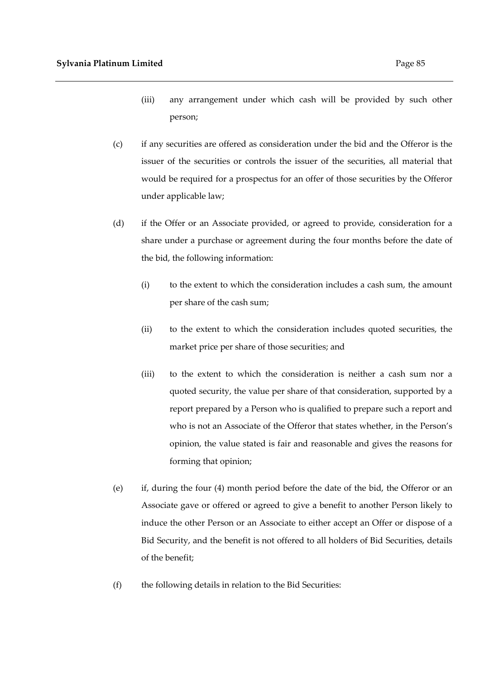- (iii) any arrangement under which cash will be provided by such other person;
- (c) if any securities are offered as consideration under the bid and the Offeror is the issuer of the securities or controls the issuer of the securities, all material that would be required for a prospectus for an offer of those securities by the Offeror under applicable law;
- (d) if the Offer or an Associate provided, or agreed to provide, consideration for a share under a purchase or agreement during the four months before the date of the bid, the following information:
	- (i) to the extent to which the consideration includes a cash sum, the amount per share of the cash sum;
	- (ii) to the extent to which the consideration includes quoted securities, the market price per share of those securities; and
	- (iii) to the extent to which the consideration is neither a cash sum nor a quoted security, the value per share of that consideration, supported by a report prepared by a Person who is qualified to prepare such a report and who is not an Associate of the Offeror that states whether, in the Person's opinion, the value stated is fair and reasonable and gives the reasons for forming that opinion;
- (e) if, during the four (4) month period before the date of the bid, the Offeror or an Associate gave or offered or agreed to give a benefit to another Person likely to induce the other Person or an Associate to either accept an Offer or dispose of a Bid Security, and the benefit is not offered to all holders of Bid Securities, details of the benefit;
- (f) the following details in relation to the Bid Securities: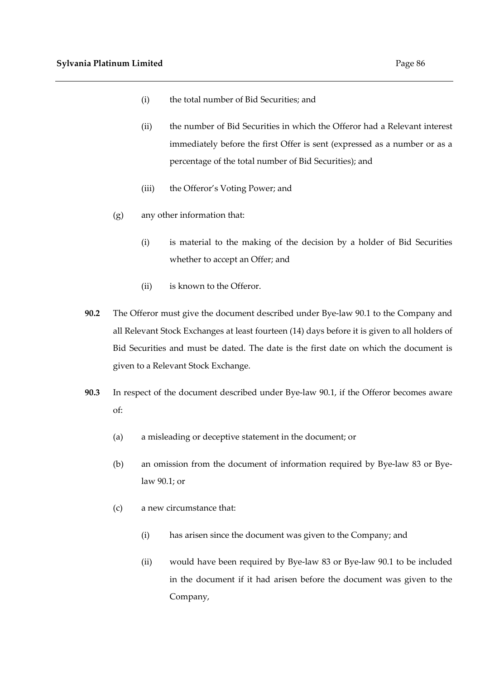- (i) the total number of Bid Securities; and
- (ii) the number of Bid Securities in which the Offeror had a Relevant interest immediately before the first Offer is sent (expressed as a number or as a percentage of the total number of Bid Securities); and
- (iii) the Offeror's Voting Power; and
- (g) any other information that:
	- (i) is material to the making of the decision by a holder of Bid Securities whether to accept an Offer; and
	- (ii) is known to the Offeror.
- **90.2** The Offeror must give the document described under Bye-law 90.1 to the Company and all Relevant Stock Exchanges at least fourteen (14) days before it is given to all holders of Bid Securities and must be dated. The date is the first date on which the document is given to a Relevant Stock Exchange.
- **90.3** In respect of the document described under Bye-law 90.1, if the Offeror becomes aware of:
	- (a) a misleading or deceptive statement in the document; or
	- (b) an omission from the document of information required by Bye-law 83 or Byelaw 90.1; or
	- (c) a new circumstance that:
		- (i) has arisen since the document was given to the Company; and
		- (ii) would have been required by Bye-law 83 or Bye-law 90.1 to be included in the document if it had arisen before the document was given to the Company,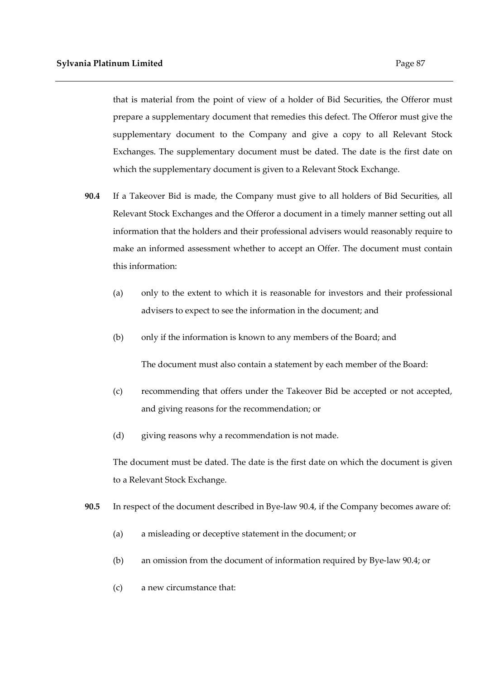that is material from the point of view of a holder of Bid Securities, the Offeror must prepare a supplementary document that remedies this defect. The Offeror must give the supplementary document to the Company and give a copy to all Relevant Stock Exchanges. The supplementary document must be dated. The date is the first date on which the supplementary document is given to a Relevant Stock Exchange.

- **90.4** If a Takeover Bid is made, the Company must give to all holders of Bid Securities, all Relevant Stock Exchanges and the Offeror a document in a timely manner setting out all information that the holders and their professional advisers would reasonably require to make an informed assessment whether to accept an Offer. The document must contain this information:
	- (a) only to the extent to which it is reasonable for investors and their professional advisers to expect to see the information in the document; and
	- (b) only if the information is known to any members of the Board; and

The document must also contain a statement by each member of the Board:

- (c) recommending that offers under the Takeover Bid be accepted or not accepted, and giving reasons for the recommendation; or
- (d) giving reasons why a recommendation is not made.

The document must be dated. The date is the first date on which the document is given to a Relevant Stock Exchange.

- **90.5** In respect of the document described in Bye-law 90.4, if the Company becomes aware of:
	- (a) a misleading or deceptive statement in the document; or
	- (b) an omission from the document of information required by Bye-law 90.4; or
	- (c) a new circumstance that: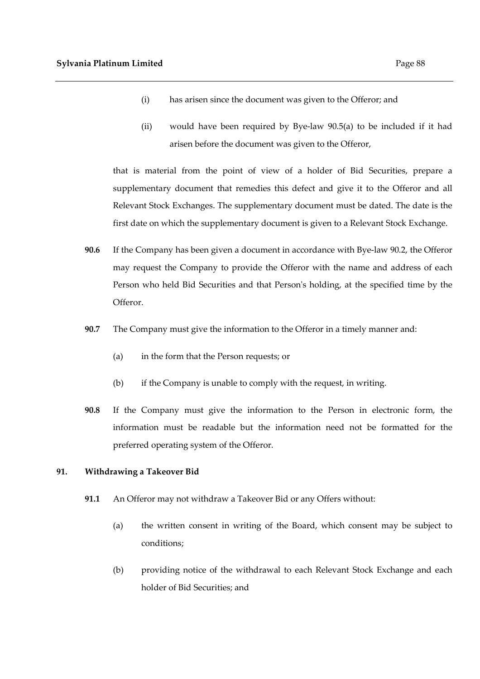- (i) has arisen since the document was given to the Offeror; and
- (ii) would have been required by Bye-law 90.5(a) to be included if it had arisen before the document was given to the Offeror,

that is material from the point of view of a holder of Bid Securities, prepare a supplementary document that remedies this defect and give it to the Offeror and all Relevant Stock Exchanges. The supplementary document must be dated. The date is the first date on which the supplementary document is given to a Relevant Stock Exchange.

- **90.6** If the Company has been given a document in accordance with Bye-law 90.2, the Offeror may request the Company to provide the Offeror with the name and address of each Person who held Bid Securities and that Person's holding, at the specified time by the Offeror.
- **90.7** The Company must give the information to the Offeror in a timely manner and:
	- (a) in the form that the Person requests; or
	- (b) if the Company is unable to comply with the request, in writing.
- **90.8** If the Company must give the information to the Person in electronic form, the information must be readable but the information need not be formatted for the preferred operating system of the Offeror.

## **91. Withdrawing a Takeover Bid**

- **91.1** An Offeror may not withdraw a Takeover Bid or any Offers without:
	- (a) the written consent in writing of the Board, which consent may be subject to conditions;
	- (b) providing notice of the withdrawal to each Relevant Stock Exchange and each holder of Bid Securities; and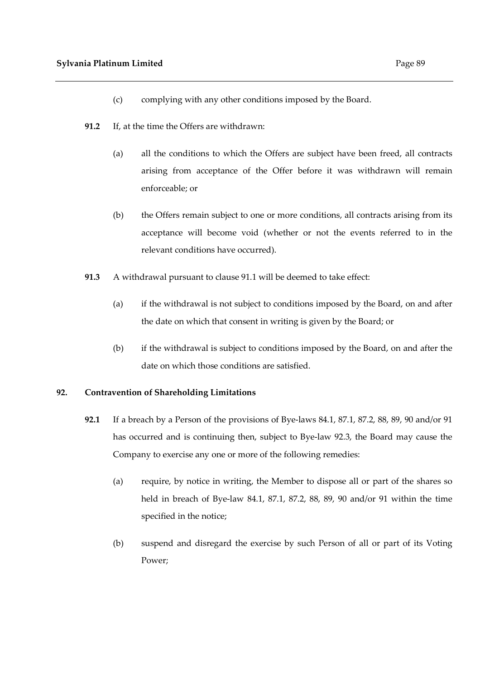- (c) complying with any other conditions imposed by the Board.
- **91.2** If, at the time the Offers are withdrawn:
	- (a) all the conditions to which the Offers are subject have been freed, all contracts arising from acceptance of the Offer before it was withdrawn will remain enforceable; or
	- (b) the Offers remain subject to one or more conditions, all contracts arising from its acceptance will become void (whether or not the events referred to in the relevant conditions have occurred).
- **91.3** A withdrawal pursuant to clause 91.1 will be deemed to take effect:
	- (a) if the withdrawal is not subject to conditions imposed by the Board, on and after the date on which that consent in writing is given by the Board; or
	- (b) if the withdrawal is subject to conditions imposed by the Board, on and after the date on which those conditions are satisfied.

# **92. Contravention of Shareholding Limitations**

- **92.1** If a breach by a Person of the provisions of Bye-laws 84.1, 87.1, 87.2, 88, 89, 90 and/or 91 has occurred and is continuing then, subject to Bye-law 92.3, the Board may cause the Company to exercise any one or more of the following remedies:
	- (a) require, by notice in writing, the Member to dispose all or part of the shares so held in breach of Bye-law 84.1, 87.1, 87.2, 88, 89, 90 and/or 91 within the time specified in the notice;
	- (b) suspend and disregard the exercise by such Person of all or part of its Voting Power;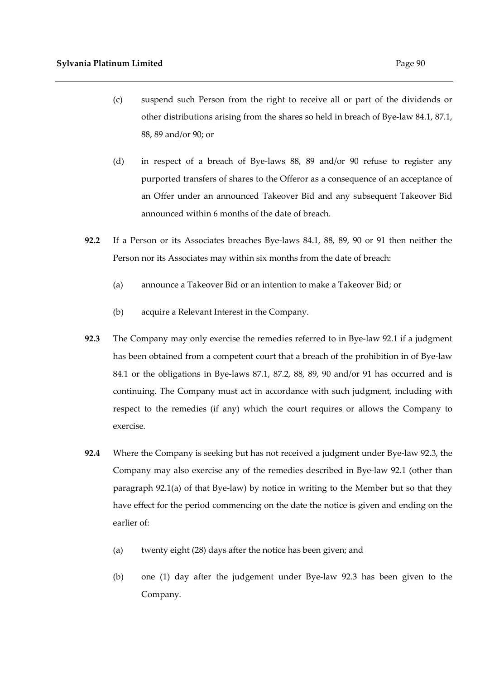- (c) suspend such Person from the right to receive all or part of the dividends or other distributions arising from the shares so held in breach of Bye-law 84.1, 87.1, 88, 89 and/or 90; or
- (d) in respect of a breach of Bye-laws 88, 89 and/or 90 refuse to register any purported transfers of shares to the Offeror as a consequence of an acceptance of an Offer under an announced Takeover Bid and any subsequent Takeover Bid announced within 6 months of the date of breach.
- **92.2** If a Person or its Associates breaches Bye-laws 84.1, 88, 89, 90 or 91 then neither the Person nor its Associates may within six months from the date of breach:
	- (a) announce a Takeover Bid or an intention to make a Takeover Bid; or
	- (b) acquire a Relevant Interest in the Company.
- **92.3** The Company may only exercise the remedies referred to in Bye-law 92.1 if a judgment has been obtained from a competent court that a breach of the prohibition in of Bye-law 84.1 or the obligations in Bye-laws 87.1, 87.2, 88, 89, 90 and/or 91 has occurred and is continuing. The Company must act in accordance with such judgment, including with respect to the remedies (if any) which the court requires or allows the Company to exercise.
- **92.4** Where the Company is seeking but has not received a judgment under Bye-law 92.3, the Company may also exercise any of the remedies described in Bye-law 92.1 (other than paragraph 92.1(a) of that Bye-law) by notice in writing to the Member but so that they have effect for the period commencing on the date the notice is given and ending on the earlier of:
	- (a) twenty eight (28) days after the notice has been given; and
	- (b) one (1) day after the judgement under Bye-law 92.3 has been given to the Company.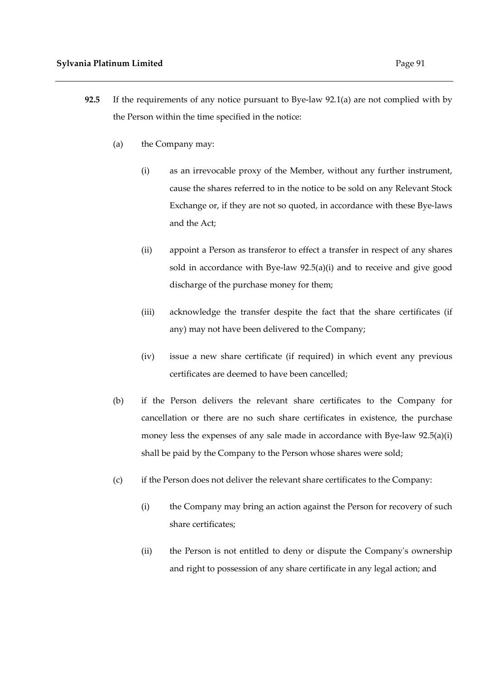- **92.5** If the requirements of any notice pursuant to Bye-law 92.1(a) are not complied with by the Person within the time specified in the notice:
	- (a) the Company may:
		- (i) as an irrevocable proxy of the Member, without any further instrument, cause the shares referred to in the notice to be sold on any Relevant Stock Exchange or, if they are not so quoted, in accordance with these Bye-laws and the Act;
		- (ii) appoint a Person as transferor to effect a transfer in respect of any shares sold in accordance with Bye-law 92.5(a)(i) and to receive and give good discharge of the purchase money for them;
		- (iii) acknowledge the transfer despite the fact that the share certificates (if any) may not have been delivered to the Company;
		- (iv) issue a new share certificate (if required) in which event any previous certificates are deemed to have been cancelled;
	- (b) if the Person delivers the relevant share certificates to the Company for cancellation or there are no such share certificates in existence, the purchase money less the expenses of any sale made in accordance with Bye-law 92.5(a)(i) shall be paid by the Company to the Person whose shares were sold;
	- (c) if the Person does not deliver the relevant share certificates to the Company:
		- (i) the Company may bring an action against the Person for recovery of such share certificates;
		- (ii) the Person is not entitled to deny or dispute the Company's ownership and right to possession of any share certificate in any legal action; and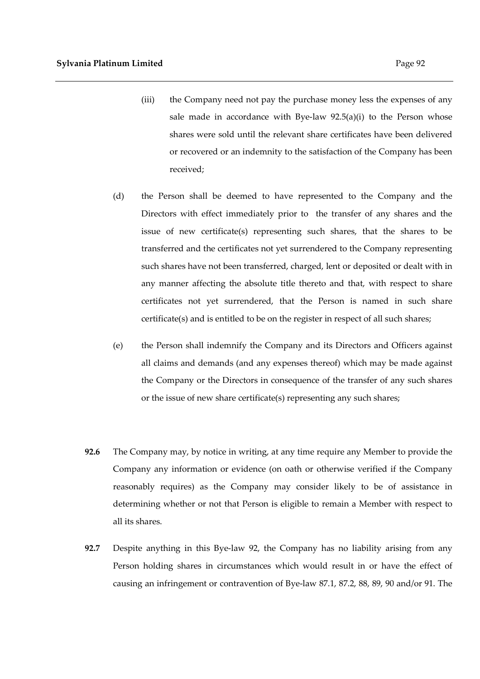- (iii) the Company need not pay the purchase money less the expenses of any sale made in accordance with Bye-law  $92.5(a)(i)$  to the Person whose shares were sold until the relevant share certificates have been delivered or recovered or an indemnity to the satisfaction of the Company has been received;
- (d) the Person shall be deemed to have represented to the Company and the Directors with effect immediately prior to the transfer of any shares and the issue of new certificate(s) representing such shares, that the shares to be transferred and the certificates not yet surrendered to the Company representing such shares have not been transferred, charged, lent or deposited or dealt with in any manner affecting the absolute title thereto and that, with respect to share certificates not yet surrendered, that the Person is named in such share certificate(s) and is entitled to be on the register in respect of all such shares;
- (e) the Person shall indemnify the Company and its Directors and Officers against all claims and demands (and any expenses thereof) which may be made against the Company or the Directors in consequence of the transfer of any such shares or the issue of new share certificate(s) representing any such shares;
- **92.6** The Company may, by notice in writing, at any time require any Member to provide the Company any information or evidence (on oath or otherwise verified if the Company reasonably requires) as the Company may consider likely to be of assistance in determining whether or not that Person is eligible to remain a Member with respect to all its shares.
- **92.7** Despite anything in this Bye-law 92, the Company has no liability arising from any Person holding shares in circumstances which would result in or have the effect of causing an infringement or contravention of Bye-law 87.1, 87.2, 88, 89, 90 and/or 91. The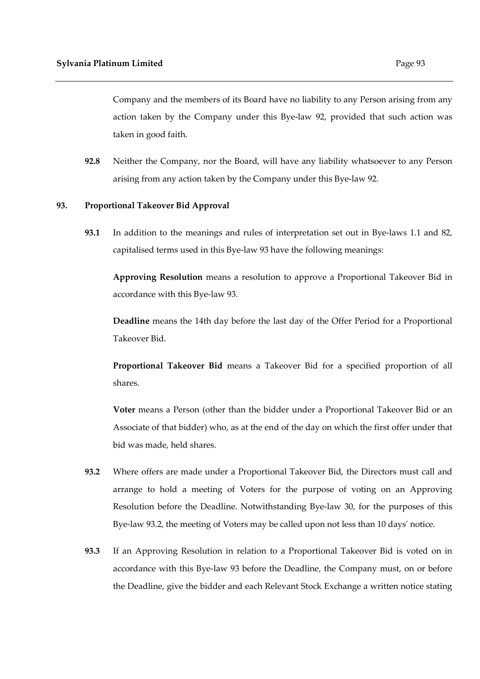Company and the members of its Board have no liability to any Person arising from any action taken by the Company under this Bye-law 92, provided that such action was taken in good faith.

**92.8** Neither the Company, nor the Board, will have any liability whatsoever to any Person arising from any action taken by the Company under this Bye-law 92.

#### **93. Proportional Takeover Bid Approval**

**93.1** In addition to the meanings and rules of interpretation set out in Bye-laws 1.1 and 82, capitalised terms used in this Bye-law 93 have the following meanings:

**Approving Resolution** means a resolution to approve a Proportional Takeover Bid in accordance with this Bye-law 93.

**Deadline** means the 14th day before the last day of the Offer Period for a Proportional Takeover Bid.

**Proportional Takeover Bid** means a Takeover Bid for a specified proportion of all shares.

**Voter** means a Person (other than the bidder under a Proportional Takeover Bid or an Associate of that bidder) who, as at the end of the day on which the first offer under that bid was made, held shares.

- **93.2** Where offers are made under a Proportional Takeover Bid, the Directors must call and arrange to hold a meeting of Voters for the purpose of voting on an Approving Resolution before the Deadline. Notwithstanding Bye-law 30, for the purposes of this Bye-law 93.2, the meeting of Voters may be called upon not less than 10 days' notice.
- **93.3** If an Approving Resolution in relation to a Proportional Takeover Bid is voted on in accordance with this Bye-law 93 before the Deadline, the Company must, on or before the Deadline, give the bidder and each Relevant Stock Exchange a written notice stating